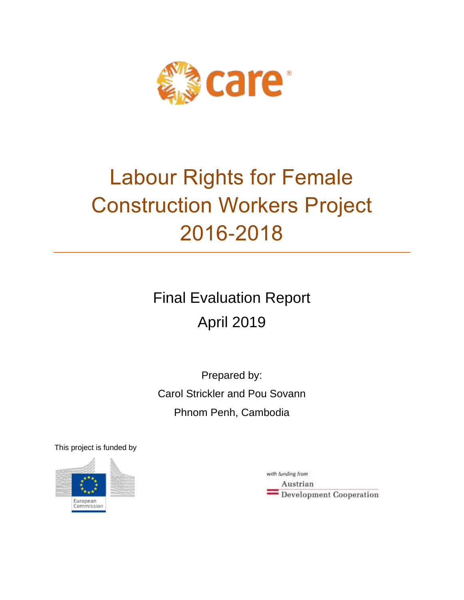

# Labour Rights for Female Construction Workers Project 2016-2018

Final Evaluation Report April 2019

Prepared by: Carol Strickler and Pou Sovann Phnom Penh, Cambodia

This project is funded by



with funding from Austrian Development Cooperation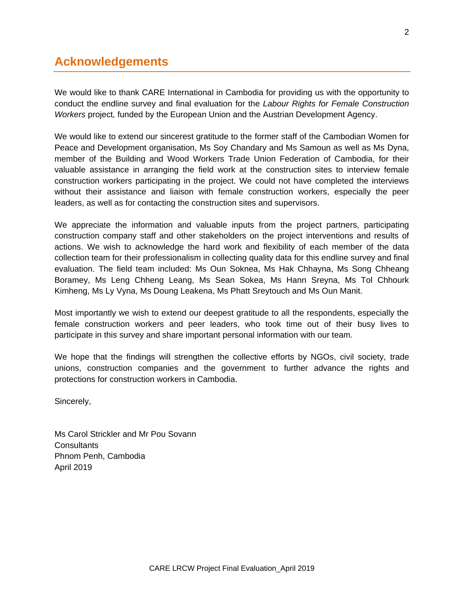# **Acknowledgements**

We would like to thank CARE International in Cambodia for providing us with the opportunity to conduct the endline survey and final evaluation for the *Labour Rights for Female Construction Workers* project*,* funded by the European Union and the Austrian Development Agency.

We would like to extend our sincerest gratitude to the former staff of the Cambodian Women for Peace and Development organisation, Ms Soy Chandary and Ms Samoun as well as Ms Dyna, member of the Building and Wood Workers Trade Union Federation of Cambodia, for their valuable assistance in arranging the field work at the construction sites to interview female construction workers participating in the project. We could not have completed the interviews without their assistance and liaison with female construction workers, especially the peer leaders, as well as for contacting the construction sites and supervisors.

We appreciate the information and valuable inputs from the project partners, participating construction company staff and other stakeholders on the project interventions and results of actions. We wish to acknowledge the hard work and flexibility of each member of the data collection team for their professionalism in collecting quality data for this endline survey and final evaluation. The field team included: Ms Oun Soknea, Ms Hak Chhayna, Ms Song Chheang Boramey, Ms Leng Chheng Leang, Ms Sean Sokea, Ms Hann Sreyna, Ms Tol Chhourk Kimheng, Ms Ly Vyna, Ms Doung Leakena, Ms Phatt Sreytouch and Ms Oun Manit.

Most importantly we wish to extend our deepest gratitude to all the respondents, especially the female construction workers and peer leaders, who took time out of their busy lives to participate in this survey and share important personal information with our team.

We hope that the findings will strengthen the collective efforts by NGOs, civil society, trade unions, construction companies and the government to further advance the rights and protections for construction workers in Cambodia.

Sincerely,

Ms Carol Strickler and Mr Pou Sovann **Consultants** Phnom Penh, Cambodia April 2019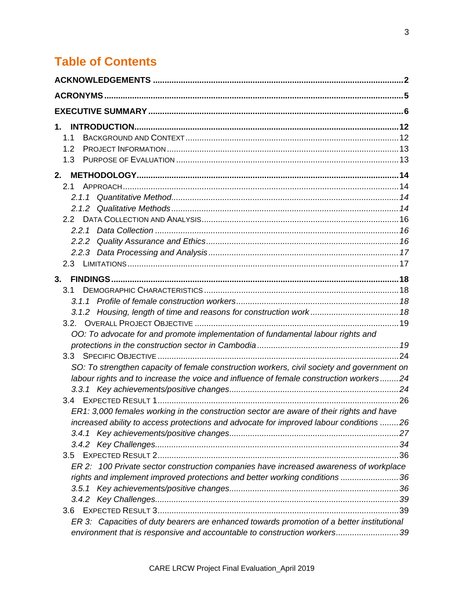# **Table of Contents**

| 1.<br>1.1                                                                                  |  |
|--------------------------------------------------------------------------------------------|--|
| 1.2<br>1.3                                                                                 |  |
| 2.                                                                                         |  |
| 2.1                                                                                        |  |
|                                                                                            |  |
|                                                                                            |  |
|                                                                                            |  |
|                                                                                            |  |
|                                                                                            |  |
|                                                                                            |  |
| 3.                                                                                         |  |
| 3.1                                                                                        |  |
|                                                                                            |  |
|                                                                                            |  |
|                                                                                            |  |
| OO: To advocate for and promote implementation of fundamental labour rights and            |  |
|                                                                                            |  |
|                                                                                            |  |
| SO: To strengthen capacity of female construction workers, civil society and government on |  |
| labour rights and to increase the voice and influence of female construction workers24     |  |
|                                                                                            |  |
|                                                                                            |  |
| ER1: 3,000 females working in the construction sector are aware of their rights and have   |  |
| increased ability to access protections and advocate for improved labour conditions 26     |  |
|                                                                                            |  |
|                                                                                            |  |
| 3.5                                                                                        |  |
| ER 2: 100 Private sector construction companies have increased awareness of workplace      |  |
| rights and implement improved protections and better working conditions 36                 |  |
|                                                                                            |  |
|                                                                                            |  |
| 3.6 <sub>2</sub>                                                                           |  |
| ER 3: Capacities of duty bearers are enhanced towards promotion of a better institutional  |  |
| environment that is responsive and accountable to construction workers39                   |  |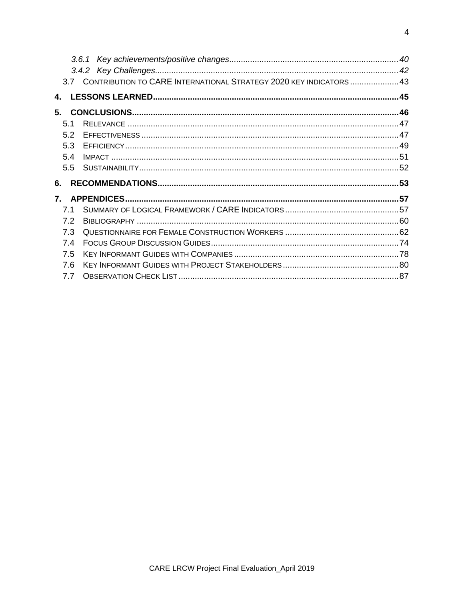|                        | 3.7 CONTRIBUTION TO CARE INTERNATIONAL STRATEGY 2020 KEY INDICATORS  43 |  |
|------------------------|-------------------------------------------------------------------------|--|
| 4.                     |                                                                         |  |
| 5.                     |                                                                         |  |
| 5.1                    |                                                                         |  |
| 5.2                    |                                                                         |  |
| 5.3                    |                                                                         |  |
| 5.4                    |                                                                         |  |
| 5.5                    |                                                                         |  |
| 6.                     |                                                                         |  |
| $\mathbf{7}_{\bullet}$ |                                                                         |  |
| 7.1                    |                                                                         |  |
| 7.2                    |                                                                         |  |
| 7.3                    |                                                                         |  |
| 7.4                    |                                                                         |  |
| 7.5                    |                                                                         |  |
| 7.6                    |                                                                         |  |
| 7.7                    |                                                                         |  |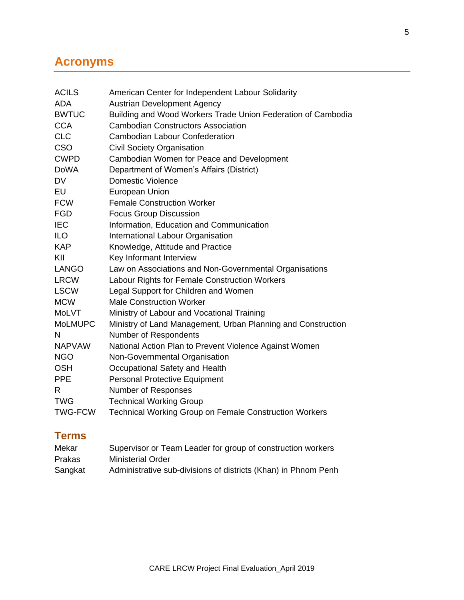# **Acronyms**

| <b>ACILS</b>   | American Center for Independent Labour Solidarity             |
|----------------|---------------------------------------------------------------|
| <b>ADA</b>     | <b>Austrian Development Agency</b>                            |
| <b>BWTUC</b>   | Building and Wood Workers Trade Union Federation of Cambodia  |
| <b>CCA</b>     | <b>Cambodian Constructors Association</b>                     |
| <b>CLC</b>     | <b>Cambodian Labour Confederation</b>                         |
| <b>CSO</b>     | <b>Civil Society Organisation</b>                             |
| <b>CWPD</b>    | Cambodian Women for Peace and Development                     |
| <b>DoWA</b>    | Department of Women's Affairs (District)                      |
| <b>DV</b>      | <b>Domestic Violence</b>                                      |
| EU             | <b>European Union</b>                                         |
| <b>FCW</b>     | <b>Female Construction Worker</b>                             |
| <b>FGD</b>     | <b>Focus Group Discussion</b>                                 |
| <b>IEC</b>     | Information, Education and Communication                      |
| <b>ILO</b>     | International Labour Organisation                             |
| <b>KAP</b>     | Knowledge, Attitude and Practice                              |
| KII            | Key Informant Interview                                       |
| <b>LANGO</b>   | Law on Associations and Non-Governmental Organisations        |
| <b>LRCW</b>    | Labour Rights for Female Construction Workers                 |
| <b>LSCW</b>    | Legal Support for Children and Women                          |
| <b>MCW</b>     | <b>Male Construction Worker</b>                               |
| <b>MoLVT</b>   | Ministry of Labour and Vocational Training                    |
| <b>MoLMUPC</b> | Ministry of Land Management, Urban Planning and Construction  |
| N              | Number of Respondents                                         |
| <b>NAPVAW</b>  | National Action Plan to Prevent Violence Against Women        |
| <b>NGO</b>     | Non-Governmental Organisation                                 |
| <b>OSH</b>     | Occupational Safety and Health                                |
| <b>PPE</b>     | <b>Personal Protective Equipment</b>                          |
| R.             | Number of Responses                                           |
| <b>TWG</b>     | <b>Technical Working Group</b>                                |
| <b>TWG-FCW</b> | <b>Technical Working Group on Female Construction Workers</b> |

# **Terms**

| Mekar         | Supervisor or Team Leader for group of construction workers    |
|---------------|----------------------------------------------------------------|
| <b>Prakas</b> | <b>Ministerial Order</b>                                       |
| Sangkat       | Administrative sub-divisions of districts (Khan) in Phnom Penh |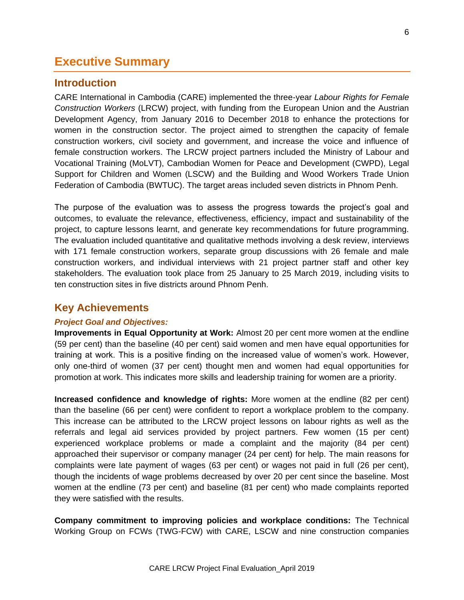# **Executive Summary**

#### **Introduction**

CARE International in Cambodia (CARE) implemented the three-year *Labour Rights for Female Construction Workers* (LRCW) project, with funding from the European Union and the Austrian Development Agency, from January 2016 to December 2018 to enhance the protections for women in the construction sector. The project aimed to strengthen the capacity of female construction workers, civil society and government, and increase the voice and influence of female construction workers. The LRCW project partners included the Ministry of Labour and Vocational Training (MoLVT), Cambodian Women for Peace and Development (CWPD), Legal Support for Children and Women (LSCW) and the Building and Wood Workers Trade Union Federation of Cambodia (BWTUC). The target areas included seven districts in Phnom Penh.

The purpose of the evaluation was to assess the progress towards the project's goal and outcomes, to evaluate the relevance, effectiveness, efficiency, impact and sustainability of the project, to capture lessons learnt, and generate key recommendations for future programming. The evaluation included quantitative and qualitative methods involving a desk review, interviews with 171 female construction workers, separate group discussions with 26 female and male construction workers, and individual interviews with 21 project partner staff and other key stakeholders. The evaluation took place from 25 January to 25 March 2019, including visits to ten construction sites in five districts around Phnom Penh.

## **Key Achievements**

#### *Project Goal and Objectives:*

**Improvements in Equal Opportunity at Work:** Almost 20 per cent more women at the endline (59 per cent) than the baseline (40 per cent) said women and men have equal opportunities for training at work. This is a positive finding on the increased value of women's work. However, only one-third of women (37 per cent) thought men and women had equal opportunities for promotion at work. This indicates more skills and leadership training for women are a priority.

**Increased confidence and knowledge of rights:** More women at the endline (82 per cent) than the baseline (66 per cent) were confident to report a workplace problem to the company. This increase can be attributed to the LRCW project lessons on labour rights as well as the referrals and legal aid services provided by project partners. Few women (15 per cent) experienced workplace problems or made a complaint and the majority (84 per cent) approached their supervisor or company manager (24 per cent) for help. The main reasons for complaints were late payment of wages (63 per cent) or wages not paid in full (26 per cent), though the incidents of wage problems decreased by over 20 per cent since the baseline. Most women at the endline (73 per cent) and baseline (81 per cent) who made complaints reported they were satisfied with the results.

**Company commitment to improving policies and workplace conditions:** The Technical Working Group on FCWs (TWG-FCW) with CARE, LSCW and nine construction companies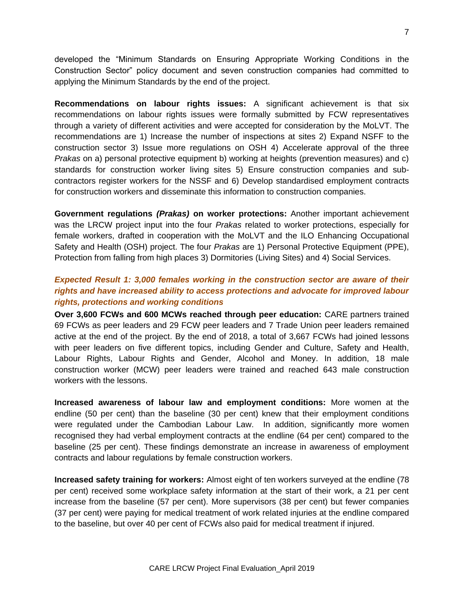developed the "Minimum Standards on Ensuring Appropriate Working Conditions in the Construction Sector" policy document and seven construction companies had committed to applying the Minimum Standards by the end of the project.

**Recommendations on labour rights issues:** A significant achievement is that six recommendations on labour rights issues were formally submitted by FCW representatives through a variety of different activities and were accepted for consideration by the MoLVT. The recommendations are 1) Increase the number of inspections at sites 2) Expand NSFF to the construction sector 3) Issue more regulations on OSH 4) Accelerate approval of the three *Prakas* on a) personal protective equipment b) working at heights (prevention measures) and c) standards for construction worker living sites 5) Ensure construction companies and subcontractors register workers for the NSSF and 6) Develop standardised employment contracts for construction workers and disseminate this information to construction companies.

**Government regulations** *(Prakas)* **on worker protections:** Another important achievement was the LRCW project input into the four *Prakas* related to worker protections, especially for female workers, drafted in cooperation with the MoLVT and the ILO Enhancing Occupational Safety and Health (OSH) project. The four *Prakas* are 1) Personal Protective Equipment (PPE), Protection from falling from high places 3) Dormitories (Living Sites) and 4) Social Services.

## *Expected Result 1: 3,000 females working in the construction sector are aware of their rights and have increased ability to access protections and advocate for improved labour rights, protections and working conditions*

**Over 3,600 FCWs and 600 MCWs reached through peer education:** CARE partners trained 69 FCWs as peer leaders and 29 FCW peer leaders and 7 Trade Union peer leaders remained active at the end of the project. By the end of 2018, a total of 3,667 FCWs had joined lessons with peer leaders on five different topics, including Gender and Culture, Safety and Health, Labour Rights, Labour Rights and Gender, Alcohol and Money. In addition, 18 male construction worker (MCW) peer leaders were trained and reached 643 male construction workers with the lessons.

**Increased awareness of labour law and employment conditions:** More women at the endline (50 per cent) than the baseline (30 per cent) knew that their employment conditions were regulated under the Cambodian Labour Law. In addition, significantly more women recognised they had verbal employment contracts at the endline (64 per cent) compared to the baseline (25 per cent). These findings demonstrate an increase in awareness of employment contracts and labour regulations by female construction workers.

**Increased safety training for workers:** Almost eight of ten workers surveyed at the endline (78 per cent) received some workplace safety information at the start of their work, a 21 per cent increase from the baseline (57 per cent). More supervisors (38 per cent) but fewer companies (37 per cent) were paying for medical treatment of work related injuries at the endline compared to the baseline, but over 40 per cent of FCWs also paid for medical treatment if injured.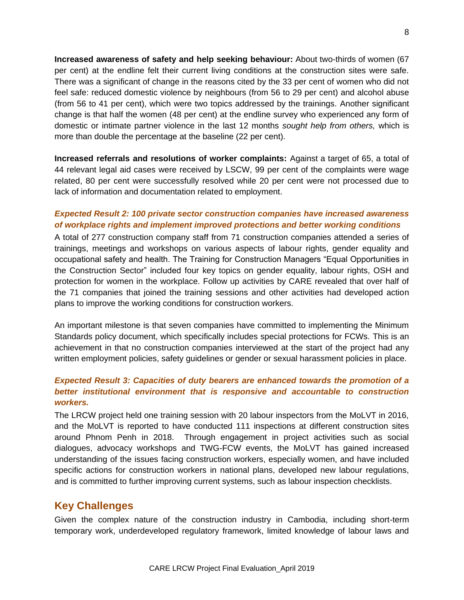**Increased awareness of safety and help seeking behaviour:** About two-thirds of women (67 per cent) at the endline felt their current living conditions at the construction sites were safe. There was a significant of change in the reasons cited by the 33 per cent of women who did not feel safe: reduced domestic violence by neighbours (from 56 to 29 per cent) and alcohol abuse (from 56 to 41 per cent), which were two topics addressed by the trainings. Another significant change is that half the women (48 per cent) at the endline survey who experienced any form of domestic or intimate partner violence in the last 12 months *sought help from others,* which is more than double the percentage at the baseline (22 per cent).

**Increased referrals and resolutions of worker complaints:** Against a target of 65, a total of 44 relevant legal aid cases were received by LSCW, 99 per cent of the complaints were wage related, 80 per cent were successfully resolved while 20 per cent were not processed due to lack of information and documentation related to employment.

#### *Expected Result 2: 100 private sector construction companies have increased awareness of workplace rights and implement improved protections and better working conditions*

A total of 277 construction company staff from 71 construction companies attended a series of trainings, meetings and workshops on various aspects of labour rights, gender equality and occupational safety and health. The Training for Construction Managers "Equal Opportunities in the Construction Sector" included four key topics on gender equality, labour rights, OSH and protection for women in the workplace. Follow up activities by CARE revealed that over half of the 71 companies that joined the training sessions and other activities had developed action plans to improve the working conditions for construction workers.

An important milestone is that seven companies have committed to implementing the Minimum Standards policy document, which specifically includes special protections for FCWs. This is an achievement in that no construction companies interviewed at the start of the project had any written employment policies, safety guidelines or gender or sexual harassment policies in place.

#### *Expected Result 3: Capacities of duty bearers are enhanced towards the promotion of a better institutional environment that is responsive and accountable to construction workers.*

The LRCW project held one training session with 20 labour inspectors from the MoLVT in 2016, and the MoLVT is reported to have conducted 111 inspections at different construction sites around Phnom Penh in 2018. Through engagement in project activities such as social dialogues, advocacy workshops and TWG-FCW events, the MoLVT has gained increased understanding of the issues facing construction workers, especially women, and have included specific actions for construction workers in national plans, developed new labour regulations, and is committed to further improving current systems, such as labour inspection checklists.

# **Key Challenges**

Given the complex nature of the construction industry in Cambodia, including short-term temporary work, underdeveloped regulatory framework, limited knowledge of labour laws and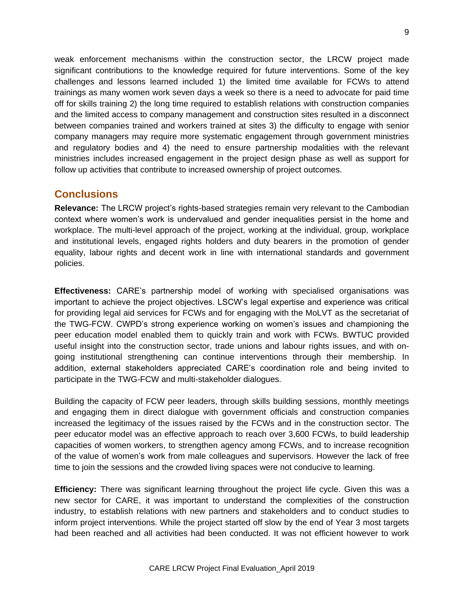weak enforcement mechanisms within the construction sector, the LRCW project made significant contributions to the knowledge required for future interventions. Some of the key challenges and lessons learned included 1) the limited time available for FCWs to attend trainings as many women work seven days a week so there is a need to advocate for paid time off for skills training 2) the long time required to establish relations with construction companies and the limited access to company management and construction sites resulted in a disconnect between companies trained and workers trained at sites 3) the difficulty to engage with senior company managers may require more systematic engagement through government ministries and regulatory bodies and 4) the need to ensure partnership modalities with the relevant ministries includes increased engagement in the project design phase as well as support for follow up activities that contribute to increased ownership of project outcomes.

# **Conclusions**

**Relevance:** The LRCW project's rights-based strategies remain very relevant to the Cambodian context where women's work is undervalued and gender inequalities persist in the home and workplace. The multi-level approach of the project, working at the individual, group, workplace and institutional levels, engaged rights holders and duty bearers in the promotion of gender equality, labour rights and decent work in line with international standards and government policies.

**Effectiveness:** CARE's partnership model of working with specialised organisations was important to achieve the project objectives. LSCW's legal expertise and experience was critical for providing legal aid services for FCWs and for engaging with the MoLVT as the secretariat of the TWG-FCW. CWPD's strong experience working on women's issues and championing the peer education model enabled them to quickly train and work with FCWs. BWTUC provided useful insight into the construction sector, trade unions and labour rights issues, and with ongoing institutional strengthening can continue interventions through their membership. In addition, external stakeholders appreciated CARE's coordination role and being invited to participate in the TWG-FCW and multi-stakeholder dialogues.

Building the capacity of FCW peer leaders, through skills building sessions, monthly meetings and engaging them in direct dialogue with government officials and construction companies increased the legitimacy of the issues raised by the FCWs and in the construction sector. The peer educator model was an effective approach to reach over 3,600 FCWs, to build leadership capacities of women workers, to strengthen agency among FCWs, and to increase recognition of the value of women's work from male colleagues and supervisors. However the lack of free time to join the sessions and the crowded living spaces were not conducive to learning.

**Efficiency:** There was significant learning throughout the project life cycle. Given this was a new sector for CARE, it was important to understand the complexities of the construction industry, to establish relations with new partners and stakeholders and to conduct studies to inform project interventions. While the project started off slow by the end of Year 3 most targets had been reached and all activities had been conducted. It was not efficient however to work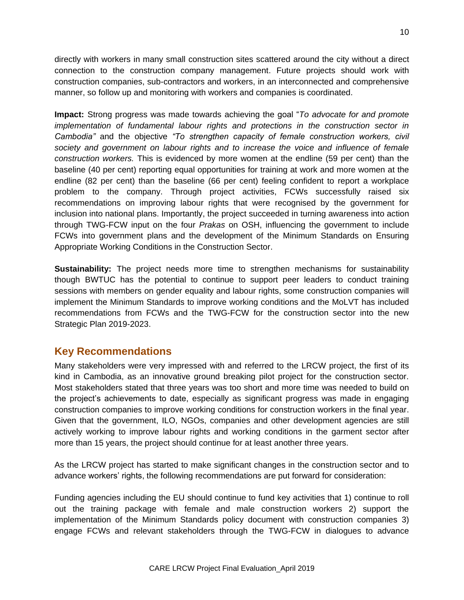directly with workers in many small construction sites scattered around the city without a direct connection to the construction company management. Future projects should work with construction companies, sub-contractors and workers, in an interconnected and comprehensive manner, so follow up and monitoring with workers and companies is coordinated.

**Impact:** Strong progress was made towards achieving the goal "*To advocate for and promote implementation of fundamental labour rights and protections in the construction sector in Cambodia"* and the objective *"To strengthen capacity of female construction workers, civil society and government on labour rights and to increase the voice and influence of female construction workers.* This is evidenced by more women at the endline (59 per cent) than the baseline (40 per cent) reporting equal opportunities for training at work and more women at the endline (82 per cent) than the baseline (66 per cent) feeling confident to report a workplace problem to the company. Through project activities, FCWs successfully raised six recommendations on improving labour rights that were recognised by the government for inclusion into national plans. Importantly, the project succeeded in turning awareness into action through TWG-FCW input on the four *Prakas* on OSH, influencing the government to include FCWs into government plans and the development of the Minimum Standards on Ensuring Appropriate Working Conditions in the Construction Sector.

**Sustainability:** The project needs more time to strengthen mechanisms for sustainability though BWTUC has the potential to continue to support peer leaders to conduct training sessions with members on gender equality and labour rights, some construction companies will implement the Minimum Standards to improve working conditions and the MoLVT has included recommendations from FCWs and the TWG-FCW for the construction sector into the new Strategic Plan 2019-2023.

# **Key Recommendations**

Many stakeholders were very impressed with and referred to the LRCW project, the first of its kind in Cambodia, as an innovative ground breaking pilot project for the construction sector. Most stakeholders stated that three years was too short and more time was needed to build on the project's achievements to date, especially as significant progress was made in engaging construction companies to improve working conditions for construction workers in the final year. Given that the government, ILO, NGOs, companies and other development agencies are still actively working to improve labour rights and working conditions in the garment sector after more than 15 years, the project should continue for at least another three years.

As the LRCW project has started to make significant changes in the construction sector and to advance workers' rights, the following recommendations are put forward for consideration:

Funding agencies including the EU should continue to fund key activities that 1) continue to roll out the training package with female and male construction workers 2) support the implementation of the Minimum Standards policy document with construction companies 3) engage FCWs and relevant stakeholders through the TWG-FCW in dialogues to advance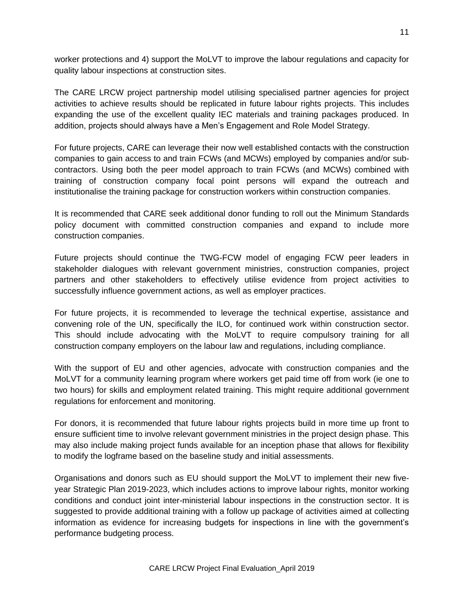worker protections and 4) support the MoLVT to improve the labour regulations and capacity for quality labour inspections at construction sites.

The CARE LRCW project partnership model utilising specialised partner agencies for project activities to achieve results should be replicated in future labour rights projects. This includes expanding the use of the excellent quality IEC materials and training packages produced. In addition, projects should always have a Men's Engagement and Role Model Strategy.

For future projects, CARE can leverage their now well established contacts with the construction companies to gain access to and train FCWs (and MCWs) employed by companies and/or subcontractors. Using both the peer model approach to train FCWs (and MCWs) combined with training of construction company focal point persons will expand the outreach and institutionalise the training package for construction workers within construction companies.

It is recommended that CARE seek additional donor funding to roll out the Minimum Standards policy document with committed construction companies and expand to include more construction companies.

Future projects should continue the TWG-FCW model of engaging FCW peer leaders in stakeholder dialogues with relevant government ministries, construction companies, project partners and other stakeholders to effectively utilise evidence from project activities to successfully influence government actions, as well as employer practices.

For future projects, it is recommended to leverage the technical expertise, assistance and convening role of the UN, specifically the ILO, for continued work within construction sector. This should include advocating with the MoLVT to require compulsory training for all construction company employers on the labour law and regulations, including compliance.

With the support of EU and other agencies, advocate with construction companies and the MoLVT for a community learning program where workers get paid time off from work (ie one to two hours) for skills and employment related training. This might require additional government regulations for enforcement and monitoring.

For donors, it is recommended that future labour rights projects build in more time up front to ensure sufficient time to involve relevant government ministries in the project design phase. This may also include making project funds available for an inception phase that allows for flexibility to modify the logframe based on the baseline study and initial assessments.

Organisations and donors such as EU should support the MoLVT to implement their new fiveyear Strategic Plan 2019-2023, which includes actions to improve labour rights, monitor working conditions and conduct joint inter-ministerial labour inspections in the construction sector. It is suggested to provide additional training with a follow up package of activities aimed at collecting information as evidence for increasing budgets for inspections in line with the government's performance budgeting process.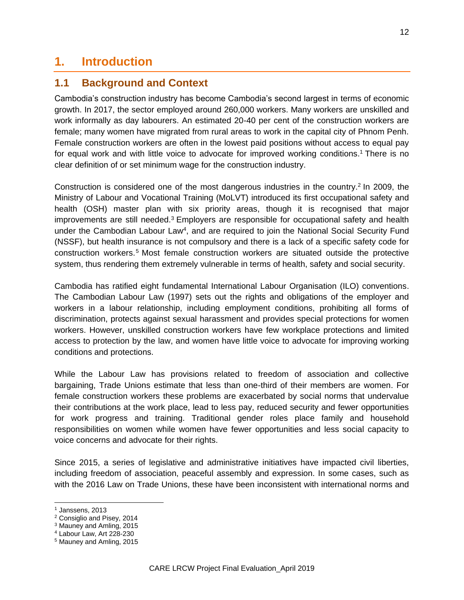# **1. Introduction**

# **1.1 Background and Context**

Cambodia's construction industry has become Cambodia's second largest in terms of economic growth. In 2017, the sector employed around 260,000 workers. Many workers are unskilled and work informally as day labourers. An estimated 20-40 per cent of the construction workers are female; many women have migrated from rural areas to work in the capital city of Phnom Penh. Female construction workers are often in the lowest paid positions without access to equal pay for equal work and with little voice to advocate for improved working conditions. <sup>1</sup> There is no clear definition of or set minimum wage for the construction industry.

Construction is considered one of the most dangerous industries in the country.<sup>2</sup> In 2009, the Ministry of Labour and Vocational Training (MoLVT) introduced its first occupational safety and health (OSH) master plan with six priority areas, though it is recognised that major improvements are still needed.<sup>3</sup> Employers are responsible for occupational safety and health under the Cambodian Labour Law<sup>4</sup>, and are required to join the National Social Security Fund (NSSF), but health insurance is not compulsory and there is a lack of a specific safety code for construction workers.<sup>5</sup> Most female construction workers are situated outside the protective system, thus rendering them extremely vulnerable in terms of health, safety and social security.

Cambodia has ratified eight fundamental International Labour Organisation (ILO) conventions. The Cambodian Labour Law (1997) sets out the rights and obligations of the employer and workers in a labour relationship, including employment conditions, prohibiting all forms of discrimination, protects against sexual harassment and provides special protections for women workers. However, unskilled construction workers have few workplace protections and limited access to protection by the law, and women have little voice to advocate for improving working conditions and protections.

While the Labour Law has provisions related to freedom of association and collective bargaining, Trade Unions estimate that less than one-third of their members are women. For female construction workers these problems are exacerbated by social norms that undervalue their contributions at the work place, lead to less pay, reduced security and fewer opportunities for work progress and training. Traditional gender roles place family and household responsibilities on women while women have fewer opportunities and less social capacity to voice concerns and advocate for their rights.

Since 2015, a series of legislative and administrative initiatives have impacted civil liberties, including freedom of association, peaceful assembly and expression. In some cases, such as with the 2016 Law on Trade Unions, these have been inconsistent with international norms and

<sup>1</sup> Janssens, 2013

<sup>2</sup> Consiglio and Pisey, 2014

<sup>3</sup> Mauney and Amling, 2015

<sup>4</sup> Labour Law, Art 228-230

<sup>5</sup> Mauney and Amling, 2015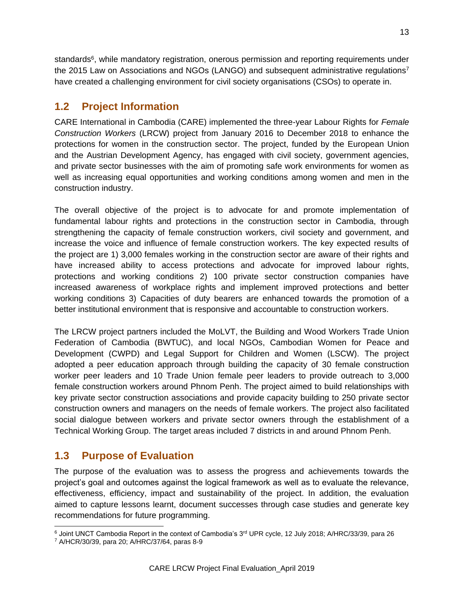standards<sup>6</sup>, while mandatory registration, onerous permission and reporting requirements under the 2015 Law on Associations and NGOs (LANGO) and subsequent administrative regulations<sup>7</sup> have created a challenging environment for civil society organisations (CSOs) to operate in.

# **1.2 Project Information**

CARE International in Cambodia (CARE) implemented the three-year Labour Rights for *Female Construction Workers* (LRCW) project from January 2016 to December 2018 to enhance the protections for women in the construction sector. The project, funded by the European Union and the Austrian Development Agency, has engaged with civil society, government agencies, and private sector businesses with the aim of promoting safe work environments for women as well as increasing equal opportunities and working conditions among women and men in the construction industry.

The overall objective of the project is to advocate for and promote implementation of fundamental labour rights and protections in the construction sector in Cambodia, through strengthening the capacity of female construction workers, civil society and government, and increase the voice and influence of female construction workers. The key expected results of the project are 1) 3,000 females working in the construction sector are aware of their rights and have increased ability to access protections and advocate for improved labour rights, protections and working conditions 2) 100 private sector construction companies have increased awareness of workplace rights and implement improved protections and better working conditions 3) Capacities of duty bearers are enhanced towards the promotion of a better institutional environment that is responsive and accountable to construction workers.

The LRCW project partners included the MoLVT, the Building and Wood Workers Trade Union Federation of Cambodia (BWTUC), and local NGOs, Cambodian Women for Peace and Development (CWPD) and Legal Support for Children and Women (LSCW). The project adopted a peer education approach through building the capacity of 30 female construction worker peer leaders and 10 Trade Union female peer leaders to provide outreach to 3,000 female construction workers around Phnom Penh. The project aimed to build relationships with key private sector construction associations and provide capacity building to 250 private sector construction owners and managers on the needs of female workers. The project also facilitated social dialogue between workers and private sector owners through the establishment of a Technical Working Group. The target areas included 7 districts in and around Phnom Penh.

# **1.3 Purpose of Evaluation**

The purpose of the evaluation was to assess the progress and achievements towards the project's goal and outcomes against the logical framework as well as to evaluate the relevance, effectiveness, efficiency, impact and sustainability of the project. In addition, the evaluation aimed to capture lessons learnt, document successes through case studies and generate key recommendations for future programming.

 $\overline{a}$  $6$  Joint UNCT Cambodia Report in the context of Cambodia's  $3^{rd}$  UPR cycle, 12 July 2018; A/HRC/33/39, para 26

<sup>7</sup> A/HCR/30/39, para 20; A/HRC/37/64, paras 8-9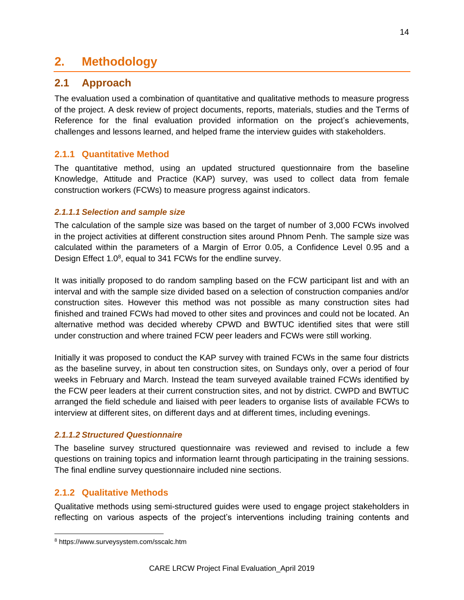# **2. Methodology**

# **2.1 Approach**

The evaluation used a combination of quantitative and qualitative methods to measure progress of the project. A desk review of project documents, reports, materials, studies and the Terms of Reference for the final evaluation provided information on the project's achievements, challenges and lessons learned, and helped frame the interview guides with stakeholders.

# **2.1.1 Quantitative Method**

The quantitative method, using an updated structured questionnaire from the baseline Knowledge, Attitude and Practice (KAP) survey, was used to collect data from female construction workers (FCWs) to measure progress against indicators.

#### *2.1.1.1 Selection and sample size*

The calculation of the sample size was based on the target of number of 3,000 FCWs involved in the project activities at different construction sites around Phnom Penh. The sample size was calculated within the parameters of a Margin of Error 0.05, a Confidence Level 0.95 and a Design Effect 1.0<sup>8</sup>, equal to 341 FCWs for the endline survey.

It was initially proposed to do random sampling based on the FCW participant list and with an interval and with the sample size divided based on a selection of construction companies and/or construction sites. However this method was not possible as many construction sites had finished and trained FCWs had moved to other sites and provinces and could not be located. An alternative method was decided whereby CPWD and BWTUC identified sites that were still under construction and where trained FCW peer leaders and FCWs were still working.

Initially it was proposed to conduct the KAP survey with trained FCWs in the same four districts as the baseline survey, in about ten construction sites, on Sundays only, over a period of four weeks in February and March. Instead the team surveyed available trained FCWs identified by the FCW peer leaders at their current construction sites, and not by district. CWPD and BWTUC arranged the field schedule and liaised with peer leaders to organise lists of available FCWs to interview at different sites, on different days and at different times, including evenings.

## *2.1.1.2 Structured Questionnaire*

The baseline survey structured questionnaire was reviewed and revised to include a few questions on training topics and information learnt through participating in the training sessions. The final endline survey questionnaire included nine sections.

## **2.1.2 Qualitative Methods**

Qualitative methods using semi-structured guides were used to engage project stakeholders in reflecting on various aspects of the project's interventions including training contents and

<sup>8</sup> https://www.surveysystem.com/sscalc.htm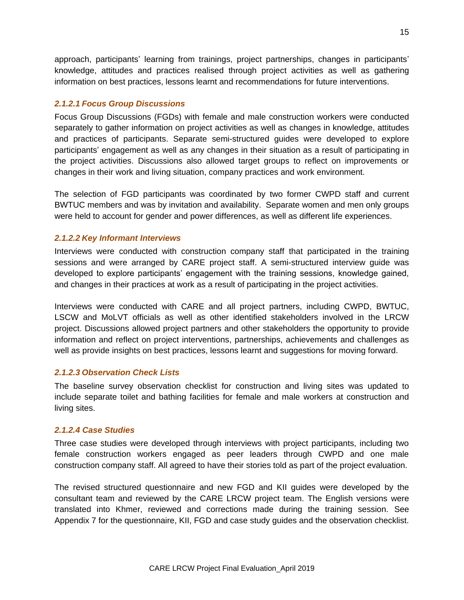approach, participants' learning from trainings, project partnerships, changes in participants' knowledge, attitudes and practices realised through project activities as well as gathering information on best practices, lessons learnt and recommendations for future interventions.

#### *2.1.2.1 Focus Group Discussions*

Focus Group Discussions (FGDs) with female and male construction workers were conducted separately to gather information on project activities as well as changes in knowledge, attitudes and practices of participants. Separate semi-structured guides were developed to explore participants' engagement as well as any changes in their situation as a result of participating in the project activities. Discussions also allowed target groups to reflect on improvements or changes in their work and living situation, company practices and work environment.

The selection of FGD participants was coordinated by two former CWPD staff and current BWTUC members and was by invitation and availability. Separate women and men only groups were held to account for gender and power differences, as well as different life experiences.

#### *2.1.2.2 Key Informant Interviews*

Interviews were conducted with construction company staff that participated in the training sessions and were arranged by CARE project staff. A semi-structured interview guide was developed to explore participants' engagement with the training sessions, knowledge gained, and changes in their practices at work as a result of participating in the project activities.

Interviews were conducted with CARE and all project partners, including CWPD, BWTUC, LSCW and MoLVT officials as well as other identified stakeholders involved in the LRCW project. Discussions allowed project partners and other stakeholders the opportunity to provide information and reflect on project interventions, partnerships, achievements and challenges as well as provide insights on best practices, lessons learnt and suggestions for moving forward.

#### *2.1.2.3 Observation Check Lists*

The baseline survey observation checklist for construction and living sites was updated to include separate toilet and bathing facilities for female and male workers at construction and living sites.

#### *2.1.2.4 Case Studies*

Three case studies were developed through interviews with project participants, including two female construction workers engaged as peer leaders through CWPD and one male construction company staff. All agreed to have their stories told as part of the project evaluation.

The revised structured questionnaire and new FGD and KII guides were developed by the consultant team and reviewed by the CARE LRCW project team. The English versions were translated into Khmer, reviewed and corrections made during the training session. See Appendix 7 for the questionnaire, KII, FGD and case study guides and the observation checklist.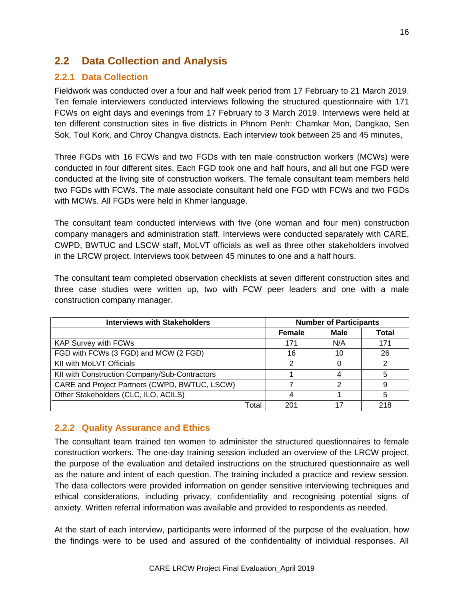# **2.2 Data Collection and Analysis**

# **2.2.1 Data Collection**

Fieldwork was conducted over a four and half week period from 17 February to 21 March 2019. Ten female interviewers conducted interviews following the structured questionnaire with 171 FCWs on eight days and evenings from 17 February to 3 March 2019. Interviews were held at ten different construction sites in five districts in Phnom Penh: Chamkar Mon, Dangkao, Sen Sok, Toul Kork, and Chroy Changva districts. Each interview took between 25 and 45 minutes,

Three FGDs with 16 FCWs and two FGDs with ten male construction workers (MCWs) were conducted in four different sites. Each FGD took one and half hours, and all but one FGD were conducted at the living site of construction workers. The female consultant team members held two FGDs with FCWs. The male associate consultant held one FGD with FCWs and two FGDs with MCWs. All FGDs were held in Khmer language.

The consultant team conducted interviews with five (one woman and four men) construction company managers and administration staff. Interviews were conducted separately with CARE, CWPD, BWTUC and LSCW staff, MoLVT officials as well as three other stakeholders involved in the LRCW project. Interviews took between 45 minutes to one and a half hours.

The consultant team completed observation checklists at seven different construction sites and three case studies were written up, two with FCW peer leaders and one with a male construction company manager.

| <b>Interviews with Stakeholders</b>           |       | <b>Number of Participants</b> |             |       |  |
|-----------------------------------------------|-------|-------------------------------|-------------|-------|--|
|                                               |       | <b>Female</b>                 | <b>Male</b> | Total |  |
| <b>KAP Survey with FCWs</b>                   |       | 171                           | N/A         | 171   |  |
| FGD with FCWs (3 FGD) and MCW (2 FGD)         |       | 16                            | 10          | 26    |  |
| KII with MoLVT Officials                      |       | າ                             |             |       |  |
| KII with Construction Company/Sub-Contractors |       |                               |             | 5     |  |
| CARE and Project Partners (CWPD, BWTUC, LSCW) |       |                               | າ           | 9     |  |
| Other Stakeholders (CLC, ILO, ACILS)          |       |                               |             | 5     |  |
|                                               | Total | 201                           | 17          | 218   |  |

## **2.2.2 Quality Assurance and Ethics**

The consultant team trained ten women to administer the structured questionnaires to female construction workers. The one-day training session included an overview of the LRCW project, the purpose of the evaluation and detailed instructions on the structured questionnaire as well as the nature and intent of each question. The training included a practice and review session. The data collectors were provided information on gender sensitive interviewing techniques and ethical considerations, including privacy, confidentiality and recognising potential signs of anxiety. Written referral information was available and provided to respondents as needed.

At the start of each interview, participants were informed of the purpose of the evaluation, how the findings were to be used and assured of the confidentiality of individual responses. All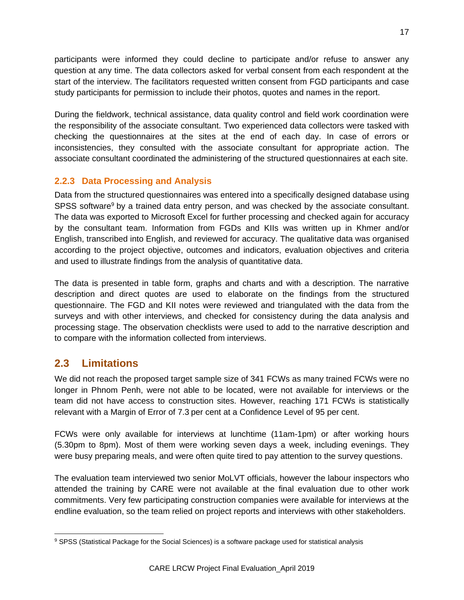participants were informed they could decline to participate and/or refuse to answer any question at any time. The data collectors asked for verbal consent from each respondent at the start of the interview. The facilitators requested written consent from FGD participants and case study participants for permission to include their photos, quotes and names in the report.

During the fieldwork, technical assistance, data quality control and field work coordination were the responsibility of the associate consultant. Two experienced data collectors were tasked with checking the questionnaires at the sites at the end of each day. In case of errors or inconsistencies, they consulted with the associate consultant for appropriate action. The associate consultant coordinated the administering of the structured questionnaires at each site.

# **2.2.3 Data Processing and Analysis**

Data from the structured questionnaires was entered into a specifically designed database using SPSS software<sup>9</sup> by a trained data entry person, and was checked by the associate consultant. The data was exported to Microsoft Excel for further processing and checked again for accuracy by the consultant team. Information from FGDs and KIIs was written up in Khmer and/or English, transcribed into English, and reviewed for accuracy. The qualitative data was organised according to the project objective, outcomes and indicators, evaluation objectives and criteria and used to illustrate findings from the analysis of quantitative data.

The data is presented in table form, graphs and charts and with a description. The narrative description and direct quotes are used to elaborate on the findings from the structured questionnaire. The FGD and KII notes were reviewed and triangulated with the data from the surveys and with other interviews, and checked for consistency during the data analysis and processing stage. The observation checklists were used to add to the narrative description and to compare with the information collected from interviews.

# **2.3 Limitations**

We did not reach the proposed target sample size of 341 FCWs as many trained FCWs were no longer in Phnom Penh, were not able to be located, were not available for interviews or the team did not have access to construction sites. However, reaching 171 FCWs is statistically relevant with a Margin of Error of 7.3 per cent at a Confidence Level of 95 per cent.

FCWs were only available for interviews at lunchtime (11am-1pm) or after working hours (5.30pm to 8pm). Most of them were working seven days a week, including evenings. They were busy preparing meals, and were often quite tired to pay attention to the survey questions.

The evaluation team interviewed two senior MoLVT officials, however the labour inspectors who attended the training by CARE were not available at the final evaluation due to other work commitments. Very few participating construction companies were available for interviews at the endline evaluation, so the team relied on project reports and interviews with other stakeholders.

<sup>&</sup>lt;sup>9</sup> SPSS (Statistical Package for the Social Sciences) is a software package used for statistical analysis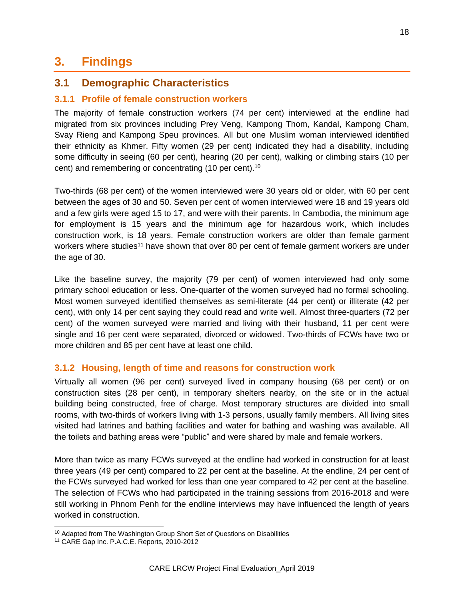# **3. Findings**

# **3.1 Demographic Characteristics**

## **3.1.1 Profile of female construction workers**

The majority of female construction workers (74 per cent) interviewed at the endline had migrated from six provinces including Prey Veng, Kampong Thom, Kandal, Kampong Cham, Svay Rieng and Kampong Speu provinces. All but one Muslim woman interviewed identified their ethnicity as Khmer. Fifty women (29 per cent) indicated they had a disability, including some difficulty in seeing (60 per cent), hearing (20 per cent), walking or climbing stairs (10 per cent) and remembering or concentrating (10 per cent).<sup>10</sup>

Two-thirds (68 per cent) of the women interviewed were 30 years old or older, with 60 per cent between the ages of 30 and 50. Seven per cent of women interviewed were 18 and 19 years old and a few girls were aged 15 to 17, and were with their parents. In Cambodia, the minimum age for employment is 15 years and the minimum age for hazardous work, which includes construction work, is 18 years. Female construction workers are older than female garment workers where studies<sup>11</sup> have shown that over 80 per cent of female garment workers are under the age of 30.

Like the baseline survey, the majority (79 per cent) of women interviewed had only some primary school education or less. One-quarter of the women surveyed had no formal schooling. Most women surveyed identified themselves as semi-literate (44 per cent) or illiterate (42 per cent), with only 14 per cent saying they could read and write well. Almost three-quarters (72 per cent) of the women surveyed were married and living with their husband, 11 per cent were single and 16 per cent were separated, divorced or widowed. Two-thirds of FCWs have two or more children and 85 per cent have at least one child.

#### **3.1.2 Housing, length of time and reasons for construction work**

Virtually all women (96 per cent) surveyed lived in company housing (68 per cent) or on construction sites (28 per cent), in temporary shelters nearby, on the site or in the actual building being constructed, free of charge. Most temporary structures are divided into small rooms, with two-thirds of workers living with 1-3 persons, usually family members. All living sites visited had latrines and bathing facilities and water for bathing and washing was available. All the toilets and bathing areas were "public" and were shared by male and female workers.

More than twice as many FCWs surveyed at the endline had worked in construction for at least three years (49 per cent) compared to 22 per cent at the baseline. At the endline, 24 per cent of the FCWs surveyed had worked for less than one year compared to 42 per cent at the baseline. The selection of FCWs who had participated in the training sessions from 2016-2018 and were still working in Phnom Penh for the endline interviews may have influenced the length of years worked in construction.

 $\overline{a}$ 

<sup>&</sup>lt;sup>10</sup> Adapted from The Washington Group Short Set of Questions on Disabilities

<sup>11</sup> CARE Gap Inc. P.A.C.E. Reports, 2010-2012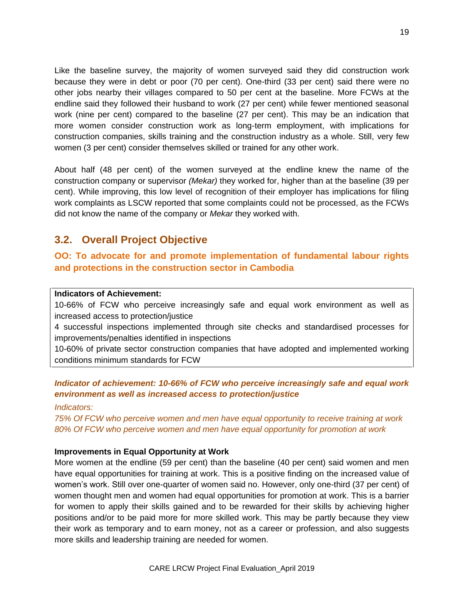Like the baseline survey, the majority of women surveyed said they did construction work because they were in debt or poor (70 per cent). One-third (33 per cent) said there were no other jobs nearby their villages compared to 50 per cent at the baseline. More FCWs at the endline said they followed their husband to work (27 per cent) while fewer mentioned seasonal work (nine per cent) compared to the baseline (27 per cent). This may be an indication that more women consider construction work as long-term employment, with implications for construction companies, skills training and the construction industry as a whole. Still, very few women (3 per cent) consider themselves skilled or trained for any other work.

About half (48 per cent) of the women surveyed at the endline knew the name of the construction company or supervisor *(Mekar)* they worked for, higher than at the baseline (39 per cent). While improving, this low level of recognition of their employer has implications for filing work complaints as LSCW reported that some complaints could not be processed, as the FCWs did not know the name of the company or *Mekar* they worked with.

# **3.2. Overall Project Objective**

**OO: To advocate for and promote implementation of fundamental labour rights and protections in the construction sector in Cambodia**

#### **Indicators of Achievement:**

10-66% of FCW who perceive increasingly safe and equal work environment as well as increased access to protection/justice

4 successful inspections implemented through site checks and standardised processes for improvements/penalties identified in inspections

10-60% of private sector construction companies that have adopted and implemented working conditions minimum standards for FCW

# *Indicator of achievement: 10-66% of FCW who perceive increasingly safe and equal work environment as well as increased access to protection/justice*

*Indicators:*

*75% Of FCW who perceive women and men have equal opportunity to receive training at work 80% Of FCW who perceive women and men have equal opportunity for promotion at work*

#### **Improvements in Equal Opportunity at Work**

More women at the endline (59 per cent) than the baseline (40 per cent) said women and men have equal opportunities for training at work. This is a positive finding on the increased value of women's work. Still over one-quarter of women said no. However, only one-third (37 per cent) of women thought men and women had equal opportunities for promotion at work. This is a barrier for women to apply their skills gained and to be rewarded for their skills by achieving higher positions and/or to be paid more for more skilled work. This may be partly because they view their work as temporary and to earn money, not as a career or profession, and also suggests more skills and leadership training are needed for women.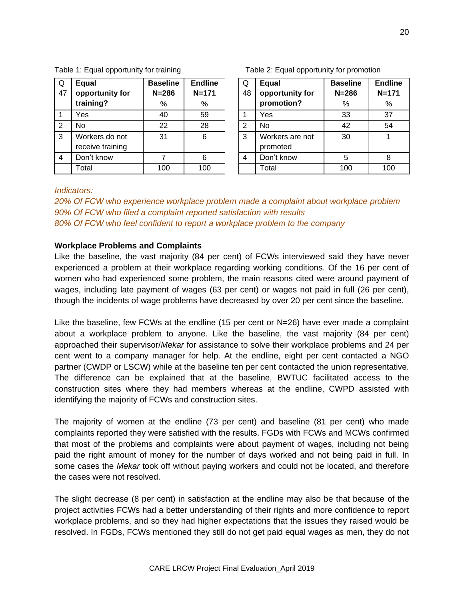| 4                                                                                   | Don't know                               |     | 6   |  | 4 | Don't know | 5   | 8   |  |  |
|-------------------------------------------------------------------------------------|------------------------------------------|-----|-----|--|---|------------|-----|-----|--|--|
|                                                                                     | Total                                    | 100 | 100 |  |   | Total      | 100 | 100 |  |  |
|                                                                                     |                                          |     |     |  |   |            |     |     |  |  |
| <i>Indicators:</i>                                                                  |                                          |     |     |  |   |            |     |     |  |  |
| 20% Of FCW who experience workplace problem made a complaint about workplace proble |                                          |     |     |  |   |            |     |     |  |  |
| 90% Of FCW who filed a complaint reported satisfaction with results                 |                                          |     |     |  |   |            |     |     |  |  |
| 80% Of FCW who feel confident to report a workplace problem to the company          |                                          |     |     |  |   |            |     |     |  |  |
|                                                                                     |                                          |     |     |  |   |            |     |     |  |  |
|                                                                                     | <b>Workplace Problems and Complaints</b> |     |     |  |   |            |     |     |  |  |
|                                                                                     |                                          |     |     |  |   |            |     |     |  |  |

**Baseline N=286**

**Endline N=171**

Table 1: Equal opportunity for training Table 2: Equal opportunity for promotion

Q 47 **Equal** 

**training?**

3 Workers do not receive training

**opportunity for** 

Q 48 **Equal opportunity for promotion?** % % % % **Baseline N=286 Endline N=171** 1 Yes 40 59 1 Yes 33 37 2 No 22 28 2 No 42 54 31 | 6 | 3 | Workers are not promoted 30 1 4 Don't know 1 5 8

Like the baseline, the vast majority (84 per cent) of FCWs interviewed said they have never experienced a problem at their workplace regarding working conditions. Of the 16 per cent of women who had experienced some problem, the main reasons cited were around payment of wages, including late payment of wages (63 per cent) or wages not paid in full (26 per cent), though the incidents of wage problems have decreased by over 20 per cent since the baseline.

Like the baseline, few FCWs at the endline (15 per cent or N=26) have ever made a complaint about a workplace problem to anyone. Like the baseline, the vast majority (84 per cent) approached their supervisor/*Mekar* for assistance to solve their workplace problems and 24 per cent went to a company manager for help. At the endline, eight per cent contacted a NGO partner (CWDP or LSCW) while at the baseline ten per cent contacted the union representative. The difference can be explained that at the baseline, BWTUC facilitated access to the construction sites where they had members whereas at the endline, CWPD assisted with identifying the majority of FCWs and construction sites.

The majority of women at the endline (73 per cent) and baseline (81 per cent) who made complaints reported they were satisfied with the results. FGDs with FCWs and MCWs confirmed that most of the problems and complaints were about payment of wages, including not being paid the right amount of money for the number of days worked and not being paid in full. In some cases the *Mekar* took off without paying workers and could not be located, and therefore the cases were not resolved.

The slight decrease (8 per cent) in satisfaction at the endline may also be that because of the project activities FCWs had a better understanding of their rights and more confidence to report workplace problems, and so they had higher expectations that the issues they raised would be resolved. In FGDs, FCWs mentioned they still do not get paid equal wages as men, they do not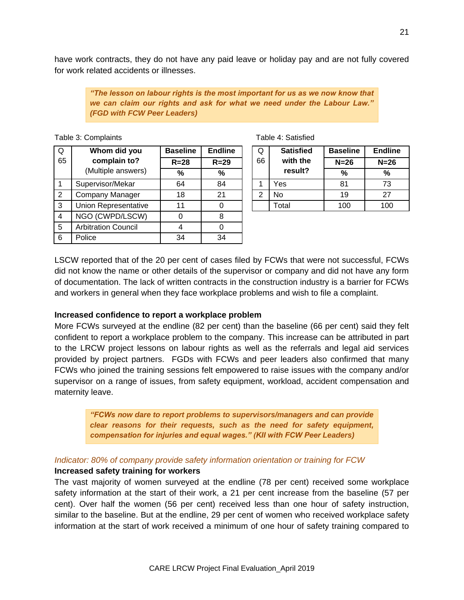have work contracts, they do not have any paid leave or holiday pay and are not fully covered for work related accidents or illnesses.

> *"The lesson on labour rights is the most important for us as we now know that we can claim our rights and ask for what we need under the Labour Law." (FGD with FCW Peer Leaders)*

Table 3: Complaints Table 4: Satisfied

| Q              | Whom did you               | <b>Baseline</b> | <b>Endline</b> | Q  | <b>Satisfied</b> | <b>Baseline</b> | Endli  |
|----------------|----------------------------|-----------------|----------------|----|------------------|-----------------|--------|
| 65             | complain to?               | $R = 28$        | $R = 29$       | 66 | with the         | $N=26$          | $N=20$ |
|                | (Multiple answers)         | %               | $\%$           |    | result?          | %               | %      |
|                | Supervisor/Mekar           | 64              | 84             |    | Yes              | 81              | 73     |
| 2              | <b>Company Manager</b>     | 18              | 21             | 2  | <b>No</b>        | 19              | 27     |
| 3              | Union Representative       | 11              | 0              |    | Total            | 100             | 100    |
| $\overline{4}$ | NGO (CWPD/LSCW)            | 0               | 8              |    |                  |                 |        |
| 5              | <b>Arbitration Council</b> | 4               |                |    |                  |                 |        |
| 6              | Police                     | 34              | 34             |    |                  |                 |        |

| <b>Satisfied</b> | <b>Baseline</b> | Endline |
|------------------|-----------------|---------|
| with the         |                 |         |

| 2001110 | -------  | ∼  | <b>VULIVIIVU</b> | Puvville | ------ |  |
|---------|----------|----|------------------|----------|--------|--|
| R=28    | $R = 29$ | 66 | with the         | $N=26$   | $N=26$ |  |
| $\%$    | %        |    | result?          | %        | %      |  |
| 64      | 84       |    | Yes              | 81       | 73     |  |
| 18      | 21       |    | No               | 19       | 27     |  |
| 11      |          |    | Total            | 100      | 100    |  |

LSCW reported that of the 20 per cent of cases filed by FCWs that were not successful, FCWs did not know the name or other details of the supervisor or company and did not have any form of documentation. The lack of written contracts in the construction industry is a barrier for FCWs and workers in general when they face workplace problems and wish to file a complaint.

#### **Increased confidence to report a workplace problem**

More FCWs surveyed at the endline (82 per cent) than the baseline (66 per cent) said they felt confident to report a workplace problem to the company. This increase can be attributed in part to the LRCW project lessons on labour rights as well as the referrals and legal aid services provided by project partners. FGDs with FCWs and peer leaders also confirmed that many FCWs who joined the training sessions felt empowered to raise issues with the company and/or supervisor on a range of issues, from safety equipment, workload, accident compensation and maternity leave.

*"FCWs now dare to report problems to supervisors/managers and can provide clear reasons for their requests, such as the need for safety equipment, compensation for injuries and equal wages." (KII with FCW Peer Leaders)*

#### *Indicator: 80% of company provide safety information orientation or training for FCW*

#### **Increased safety training for workers**

The vast majority of women surveyed at the endline (78 per cent) received some workplace safety information at the start of their work, a 21 per cent increase from the baseline (57 per cent). Over half the women (56 per cent) received less than one hour of safety instruction, similar to the baseline. But at the endline, 29 per cent of women who received workplace safety information at the start of work received a minimum of one hour of safety training compared to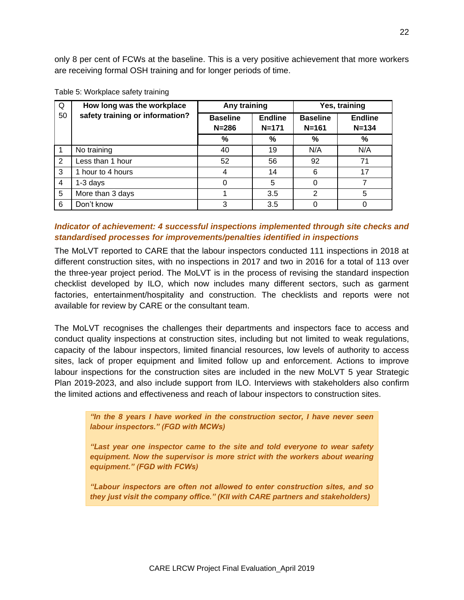| Q              | How long was the workplace      | Any training                 |                             | Yes, training                |                             |  |
|----------------|---------------------------------|------------------------------|-----------------------------|------------------------------|-----------------------------|--|
| 50             | safety training or information? | <b>Baseline</b><br>$N = 286$ | <b>Endline</b><br>$N = 171$ | <b>Baseline</b><br>$N = 161$ | <b>Endline</b><br>$N = 134$ |  |
|                |                                 | $\%$                         | %                           | $\%$                         | $\frac{9}{6}$               |  |
|                | No training                     | 40                           | 19                          | N/A                          | N/A                         |  |
| -2             | Less than 1 hour                | 52                           | 56                          | 92                           | 71                          |  |
| 3              | 1 hour to 4 hours               | 4                            | 14                          | 6                            | 17                          |  |
| $\overline{4}$ | $1-3$ days                      | 0                            | 5                           | 0                            |                             |  |
| 5              | More than 3 days                |                              | 3.5                         | 2                            | 5                           |  |
| 6              | Don't know                      | 3                            | 3.5                         | $\Omega$                     |                             |  |

| Table 5: Workplace safety training |  |  |
|------------------------------------|--|--|
|------------------------------------|--|--|

### *Indicator of achievement: 4 successful inspections implemented through site checks and standardised processes for improvements/penalties identified in inspections*

The MoLVT reported to CARE that the labour inspectors conducted 111 inspections in 2018 at different construction sites, with no inspections in 2017 and two in 2016 for a total of 113 over the three-year project period. The MoLVT is in the process of revising the standard inspection checklist developed by ILO, which now includes many different sectors, such as garment factories, entertainment/hospitality and construction. The checklists and reports were not available for review by CARE or the consultant team.

The MoLVT recognises the challenges their departments and inspectors face to access and conduct quality inspections at construction sites, including but not limited to weak regulations, capacity of the labour inspectors, limited financial resources, low levels of authority to access sites, lack of proper equipment and limited follow up and enforcement. Actions to improve labour inspections for the construction sites are included in the new MoLVT 5 year Strategic Plan 2019-2023, and also include support from ILO. Interviews with stakeholders also confirm the limited actions and effectiveness and reach of labour inspectors to construction sites.

*"In the 8 years I have worked in the construction sector, I have never seen labour inspectors." (FGD with MCWs)* 

*"Last year one inspector came to the site and told everyone to wear safety equipment. Now the supervisor is more strict with the workers about wearing equipment." (FGD with FCWs)* 

*"Labour inspectors are often not allowed to enter construction sites, and so they just visit the company office." (KII with CARE partners and stakeholders)*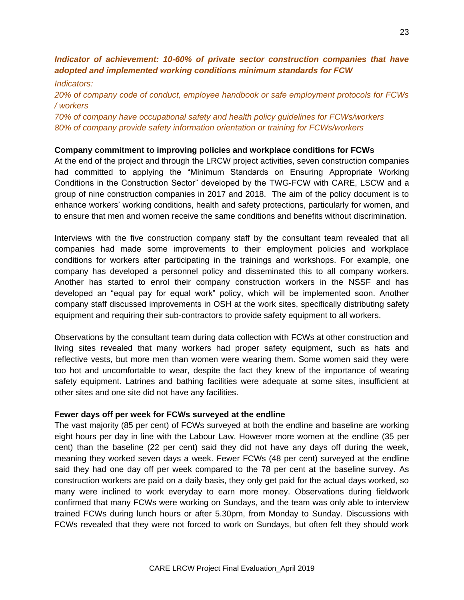## *Indicator of achievement: 10-60% of private sector construction companies that have adopted and implemented working conditions minimum standards for FCW*

*Indicators: 20% of company code of conduct, employee handbook or safe employment protocols for FCWs / workers*

*70% of company have occupational safety and health policy guidelines for FCWs/workers 80% of company provide safety information orientation or training for FCWs/workers*

#### **Company commitment to improving policies and workplace conditions for FCWs**

At the end of the project and through the LRCW project activities, seven construction companies had committed to applying the "Minimum Standards on Ensuring Appropriate Working Conditions in the Construction Sector" developed by the TWG-FCW with CARE, LSCW and a group of nine construction companies in 2017 and 2018. The aim of the policy document is to enhance workers' working conditions, health and safety protections, particularly for women, and to ensure that men and women receive the same conditions and benefits without discrimination.

Interviews with the five construction company staff by the consultant team revealed that all companies had made some improvements to their employment policies and workplace conditions for workers after participating in the trainings and workshops. For example, one company has developed a personnel policy and disseminated this to all company workers. Another has started to enrol their company construction workers in the NSSF and has developed an "equal pay for equal work" policy, which will be implemented soon. Another company staff discussed improvements in OSH at the work sites, specifically distributing safety equipment and requiring their sub-contractors to provide safety equipment to all workers.

Observations by the consultant team during data collection with FCWs at other construction and living sites revealed that many workers had proper safety equipment, such as hats and reflective vests, but more men than women were wearing them. Some women said they were too hot and uncomfortable to wear, despite the fact they knew of the importance of wearing safety equipment. Latrines and bathing facilities were adequate at some sites, insufficient at other sites and one site did not have any facilities.

#### **Fewer days off per week for FCWs surveyed at the endline**

The vast majority (85 per cent) of FCWs surveyed at both the endline and baseline are working eight hours per day in line with the Labour Law. However more women at the endline (35 per cent) than the baseline (22 per cent) said they did not have any days off during the week, meaning they worked seven days a week. Fewer FCWs (48 per cent) surveyed at the endline said they had one day off per week compared to the 78 per cent at the baseline survey. As construction workers are paid on a daily basis, they only get paid for the actual days worked, so many were inclined to work everyday to earn more money. Observations during fieldwork confirmed that many FCWs were working on Sundays, and the team was only able to interview trained FCWs during lunch hours or after 5.30pm, from Monday to Sunday. Discussions with FCWs revealed that they were not forced to work on Sundays, but often felt they should work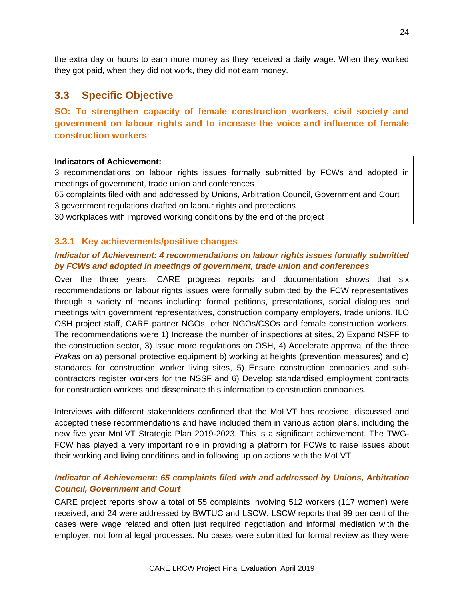the extra day or hours to earn more money as they received a daily wage. When they worked they got paid, when they did not work, they did not earn money.

# **3.3 Specific Objective**

**SO: To strengthen capacity of female construction workers, civil society and government on labour rights and to increase the voice and influence of female construction workers**

#### **Indicators of Achievement:**

3 recommendations on labour rights issues formally submitted by FCWs and adopted in meetings of government, trade union and conferences

65 complaints filed with and addressed by Unions, Arbitration Council, Government and Court 3 government regulations drafted on labour rights and protections

30 workplaces with improved working conditions by the end of the project

#### **3.3.1 Key achievements/positive changes**

### *Indicator of Achievement: 4 recommendations on labour rights issues formally submitted by FCWs and adopted in meetings of government, trade union and conferences*

Over the three years, CARE progress reports and documentation shows that six recommendations on labour rights issues were formally submitted by the FCW representatives through a variety of means including: formal petitions, presentations, social dialogues and meetings with government representatives, construction company employers, trade unions, ILO OSH project staff, CARE partner NGOs, other NGOs/CSOs and female construction workers. The recommendations were 1) Increase the number of inspections at sites, 2) Expand NSFF to the construction sector, 3) Issue more regulations on OSH, 4) Accelerate approval of the three *Prakas* on a) personal protective equipment b) working at heights (prevention measures) and c) standards for construction worker living sites, 5) Ensure construction companies and subcontractors register workers for the NSSF and 6) Develop standardised employment contracts for construction workers and disseminate this information to construction companies.

Interviews with different stakeholders confirmed that the MoLVT has received, discussed and accepted these recommendations and have included them in various action plans, including the new five year MoLVT Strategic Plan 2019-2023. This is a significant achievement. The TWG-FCW has played a very important role in providing a platform for FCWs to raise issues about their working and living conditions and in following up on actions with the MoLVT.

## *Indicator of Achievement: 65 complaints filed with and addressed by Unions, Arbitration Council, Government and Court*

CARE project reports show a total of 55 complaints involving 512 workers (117 women) were received, and 24 were addressed by BWTUC and LSCW. LSCW reports that 99 per cent of the cases were wage related and often just required negotiation and informal mediation with the employer, not formal legal processes. No cases were submitted for formal review as they were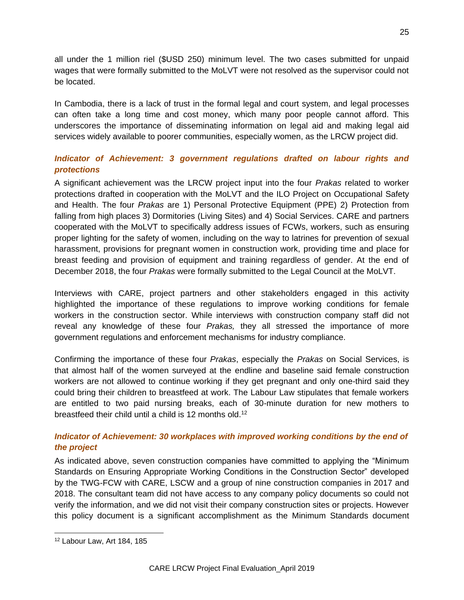all under the 1 million riel (\$USD 250) minimum level. The two cases submitted for unpaid wages that were formally submitted to the MoLVT were not resolved as the supervisor could not be located.

In Cambodia, there is a lack of trust in the formal legal and court system, and legal processes can often take a long time and cost money, which many poor people cannot afford. This underscores the importance of disseminating information on legal aid and making legal aid services widely available to poorer communities, especially women, as the LRCW project did.

# *Indicator of Achievement: 3 government regulations drafted on labour rights and protections*

A significant achievement was the LRCW project input into the four *Prakas* related to worker protections drafted in cooperation with the MoLVT and the ILO Project on Occupational Safety and Health. The four *Prakas* are 1) Personal Protective Equipment (PPE) 2) Protection from falling from high places 3) Dormitories (Living Sites) and 4) Social Services. CARE and partners cooperated with the MoLVT to specifically address issues of FCWs, workers, such as ensuring proper lighting for the safety of women, including on the way to latrines for prevention of sexual harassment, provisions for pregnant women in construction work, providing time and place for breast feeding and provision of equipment and training regardless of gender. At the end of December 2018, the four *Prakas* were formally submitted to the Legal Council at the MoLVT.

Interviews with CARE, project partners and other stakeholders engaged in this activity highlighted the importance of these regulations to improve working conditions for female workers in the construction sector. While interviews with construction company staff did not reveal any knowledge of these four *Prakas,* they all stressed the importance of more government regulations and enforcement mechanisms for industry compliance.

Confirming the importance of these four *Prakas*, especially the *Prakas* on Social Services, is that almost half of the women surveyed at the endline and baseline said female construction workers are not allowed to continue working if they get pregnant and only one-third said they could bring their children to breastfeed at work. The Labour Law stipulates that female workers are entitled to two paid nursing breaks, each of 30-minute duration for new mothers to breastfeed their child until a child is 12 months old.<sup>12</sup>

## *Indicator of Achievement: 30 workplaces with improved working conditions by the end of the project*

As indicated above, seven construction companies have committed to applying the "Minimum Standards on Ensuring Appropriate Working Conditions in the Construction Sector" developed by the TWG-FCW with CARE, LSCW and a group of nine construction companies in 2017 and 2018. The consultant team did not have access to any company policy documents so could not verify the information, and we did not visit their company construction sites or projects. However this policy document is a significant accomplishment as the Minimum Standards document

<sup>12</sup> Labour Law, Art 184, 185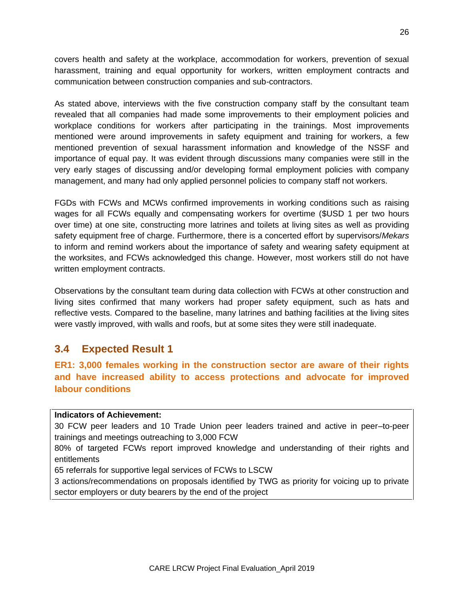covers health and safety at the workplace, accommodation for workers, prevention of sexual harassment, training and equal opportunity for workers, written employment contracts and communication between construction companies and sub-contractors.

As stated above, interviews with the five construction company staff by the consultant team revealed that all companies had made some improvements to their employment policies and workplace conditions for workers after participating in the trainings. Most improvements mentioned were around improvements in safety equipment and training for workers, a few mentioned prevention of sexual harassment information and knowledge of the NSSF and importance of equal pay. It was evident through discussions many companies were still in the very early stages of discussing and/or developing formal employment policies with company management, and many had only applied personnel policies to company staff not workers.

FGDs with FCWs and MCWs confirmed improvements in working conditions such as raising wages for all FCWs equally and compensating workers for overtime (\$USD 1 per two hours over time) at one site, constructing more latrines and toilets at living sites as well as providing safety equipment free of charge. Furthermore, there is a concerted effort by supervisors/*Mekars*  to inform and remind workers about the importance of safety and wearing safety equipment at the worksites, and FCWs acknowledged this change. However, most workers still do not have written employment contracts.

Observations by the consultant team during data collection with FCWs at other construction and living sites confirmed that many workers had proper safety equipment, such as hats and reflective vests. Compared to the baseline, many latrines and bathing facilities at the living sites were vastly improved, with walls and roofs, but at some sites they were still inadequate.

# **3.4 Expected Result 1**

**ER1: 3,000 females working in the construction sector are aware of their rights and have increased ability to access protections and advocate for improved labour conditions**

#### **Indicators of Achievement:**

30 FCW peer leaders and 10 Trade Union peer leaders trained and active in peer–to-peer trainings and meetings outreaching to 3,000 FCW

80% of targeted FCWs report improved knowledge and understanding of their rights and entitlements

65 referrals for supportive legal services of FCWs to LSCW

3 actions/recommendations on proposals identified by TWG as priority for voicing up to private sector employers or duty bearers by the end of the project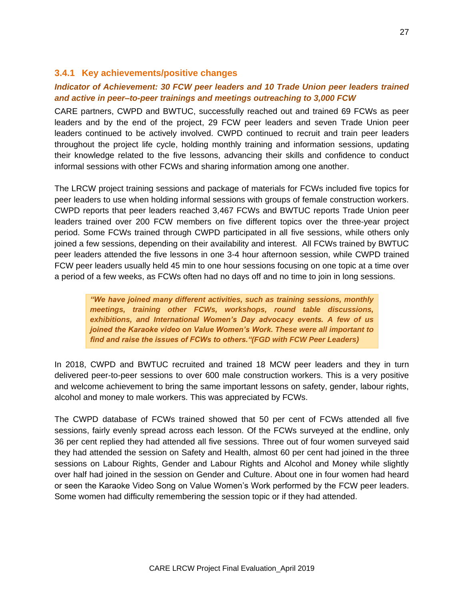#### **3.4.1 Key achievements/positive changes**

## *Indicator of Achievement: 30 FCW peer leaders and 10 Trade Union peer leaders trained and active in peer–to-peer trainings and meetings outreaching to 3,000 FCW*

CARE partners, CWPD and BWTUC, successfully reached out and trained 69 FCWs as peer leaders and by the end of the project, 29 FCW peer leaders and seven Trade Union peer leaders continued to be actively involved. CWPD continued to recruit and train peer leaders throughout the project life cycle, holding monthly training and information sessions, updating their knowledge related to the five lessons, advancing their skills and confidence to conduct informal sessions with other FCWs and sharing information among one another.

The LRCW project training sessions and package of materials for FCWs included five topics for peer leaders to use when holding informal sessions with groups of female construction workers. CWPD reports that peer leaders reached 3,467 FCWs and BWTUC reports Trade Union peer leaders trained over 200 FCW members on five different topics over the three-year project period. Some FCWs trained through CWPD participated in all five sessions, while others only joined a few sessions, depending on their availability and interest. All FCWs trained by BWTUC peer leaders attended the five lessons in one 3-4 hour afternoon session, while CWPD trained FCW peer leaders usually held 45 min to one hour sessions focusing on one topic at a time over a period of a few weeks, as FCWs often had no days off and no time to join in long sessions.

*"We have joined many different activities, such as training sessions, monthly meetings, training other FCWs, workshops, round table discussions, exhibitions, and International Women's Day advocacy events. A few of us joined the Karaoke video on Value Women's Work. These were all important to find and raise the issues of FCWs to others."(FGD with FCW Peer Leaders)*

In 2018, CWPD and BWTUC recruited and trained 18 MCW peer leaders and they in turn delivered peer-to-peer sessions to over 600 male construction workers. This is a very positive and welcome achievement to bring the same important lessons on safety, gender, labour rights, alcohol and money to male workers. This was appreciated by FCWs.

The CWPD database of FCWs trained showed that 50 per cent of FCWs attended all five sessions, fairly evenly spread across each lesson. Of the FCWs surveyed at the endline, only 36 per cent replied they had attended all five sessions. Three out of four women surveyed said they had attended the session on Safety and Health, almost 60 per cent had joined in the three sessions on Labour Rights, Gender and Labour Rights and Alcohol and Money while slightly over half had joined in the session on Gender and Culture. About one in four women had heard or seen the Karaoke Video Song on Value Women's Work performed by the FCW peer leaders. Some women had difficulty remembering the session topic or if they had attended.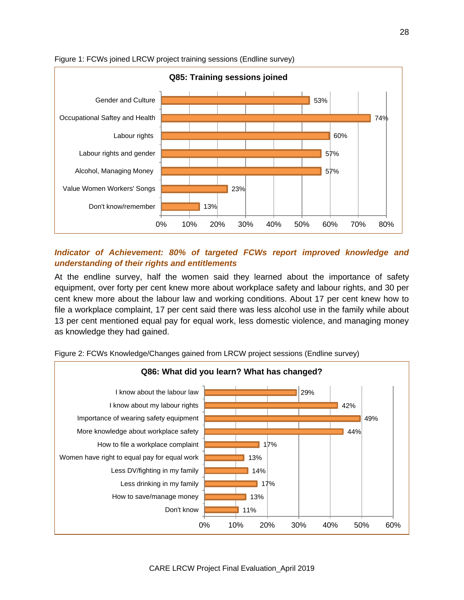



# *Indicator of Achievement: 80% of targeted FCWs report improved knowledge and understanding of their rights and entitlements*

At the endline survey, half the women said they learned about the importance of safety equipment, over forty per cent knew more about workplace safety and labour rights, and 30 per cent knew more about the labour law and working conditions. About 17 per cent knew how to file a workplace complaint, 17 per cent said there was less alcohol use in the family while about 13 per cent mentioned equal pay for equal work, less domestic violence, and managing money as knowledge they had gained.



Figure 2: FCWs Knowledge/Changes gained from LRCW project sessions (Endline survey)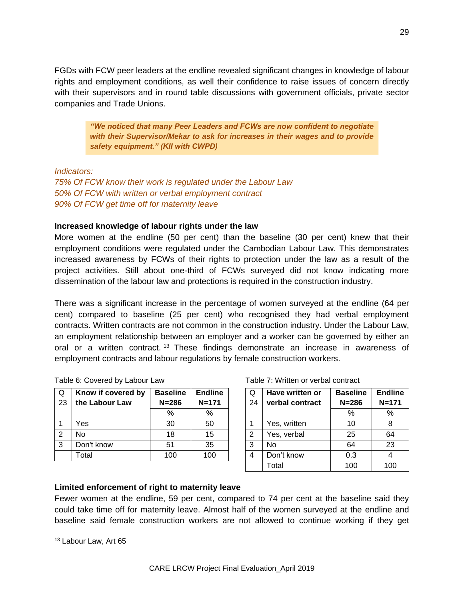FGDs with FCW peer leaders at the endline revealed significant changes in knowledge of labour rights and employment conditions, as well their confidence to raise issues of concern directly with their supervisors and in round table discussions with government officials, private sector companies and Trade Unions.

*"We noticed that many Peer Leaders and FCWs are now confident to negotiate with their Supervisor/Mekar to ask for increases in their wages and to provide safety equipment." (KII with CWPD)*

*Indicators:* 

*75% Of FCW know their work is regulated under the Labour Law 50% Of FCW with written or verbal employment contract 90% Of FCW get time off for maternity leave*

#### **Increased knowledge of labour rights under the law**

More women at the endline (50 per cent) than the baseline (30 per cent) knew that their employment conditions were regulated under the Cambodian Labour Law. This demonstrates increased awareness by FCWs of their rights to protection under the law as a result of the project activities. Still about one-third of FCWs surveyed did not know indicating more dissemination of the labour law and protections is required in the construction industry.

There was a significant increase in the percentage of women surveyed at the endline (64 per cent) compared to baseline (25 per cent) who recognised they had verbal employment contracts. Written contracts are not common in the construction industry. Under the Labour Law, an employment relationship between an employer and a worker can be governed by either an oral or a written contract. <sup>13</sup> These findings demonstrate an increase in awareness of employment contracts and labour regulations by female construction workers.

| Q<br>23 | Know if covered by<br>the Labour Law | <b>Baseline</b><br>$N = 286$ | <b>Endline</b><br>$N = 171$ | Q<br>24 | Have written or<br>verbal contract | <b>Baseline</b><br>$N = 286$ | Endli<br>$N=1$ |
|---------|--------------------------------------|------------------------------|-----------------------------|---------|------------------------------------|------------------------------|----------------|
|         |                                      | %                            | %                           |         |                                    | %                            | %              |
|         | Yes                                  | 30                           | 50                          |         | Yes, written                       | 10                           | 8              |
| 2       | No                                   | 18                           | 15                          | 2       | Yes, verbal                        | 25                           | 64             |
| 3       | Don't know                           | 51                           | 35                          | 3       | No                                 | 64                           | 23             |
|         | Total                                | 100                          | 100                         | 4       | Don't know                         | 0.3                          | $\overline{4}$ |

Table 6: Covered by Labour Law

| Table 7: Written or verbal contract |
|-------------------------------------|
|-------------------------------------|

| seline<br>:286  | <b>Endline</b><br>$N = 171$ | Q<br>24 | Have written or<br>verbal contract | <b>Baseline</b><br>$N = 286$ | <b>Endline</b><br>$N = 171$ |
|-----------------|-----------------------------|---------|------------------------------------|------------------------------|-----------------------------|
| $\%$            | %                           |         |                                    | %                            | %                           |
| 30              | 50                          |         | Yes, written                       | 10                           |                             |
| $\overline{18}$ | 15                          | 2       | Yes, verbal                        | 25                           | 64                          |
| 51              | 35                          | 3       | No                                 | 64                           | 23                          |
| 00              | 100                         | 4       | Don't know                         | 0.3                          |                             |
|                 |                             |         | Total                              | 100                          | 100                         |

#### **Limited enforcement of right to maternity leave**

Fewer women at the endline, 59 per cent, compared to 74 per cent at the baseline said they could take time off for maternity leave. Almost half of the women surveyed at the endline and baseline said female construction workers are not allowed to continue working if they get

<sup>&</sup>lt;sup>13</sup> Labour Law, Art 65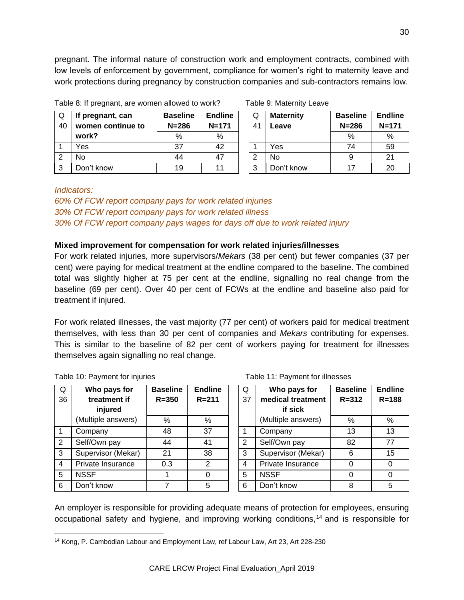pregnant. The informal nature of construction work and employment contracts, combined with low levels of enforcement by government, compliance for women's right to maternity leave and work protections during pregnancy by construction companies and sub-contractors remains low.

| Q<br>40 | If pregnant, can<br>women continue to | <b>Baseline</b><br>$N = 286$ | <b>Endline</b><br>$N = 171$ | Q<br>4 <sup>1</sup> | <b>Maternity</b><br>Leave | <b>Baseline</b><br>$N = 286$ | Endli<br>$N=1$ |
|---------|---------------------------------------|------------------------------|-----------------------------|---------------------|---------------------------|------------------------------|----------------|
|         | work?                                 | %                            | %                           |                     |                           | %                            | $\%$           |
|         | Yes                                   | 37                           | 42                          |                     | Yes                       | 74                           | 59             |
| ⌒       | No                                    | 44                           | 47                          | 2                   | No                        |                              | 21             |
| 3       | Don't know                            | 19                           | 11                          | 3                   | Don't know                |                              | 20             |

Table 8: If pregnant, are women allowed to work? Table 9: Maternity Leave

| seline | <b>Endline</b> | Q             | <b>Maternity</b> | <b>Baseline</b> | <b>Endline</b> |
|--------|----------------|---------------|------------------|-----------------|----------------|
| :286   | $N = 171$      | 41            | eave.            | $N = 286$       | $N = 171$      |
| %      | %              |               |                  | %               | %              |
| 37     | 42             |               | Yes              | 74              | 59             |
| 44     | 47             | $\mathcal{P}$ | No               |                 | 21             |
| 19     | 11             | 3             | Don't know       | 17              | 20             |

#### *Indicators:*

*60% Of FCW report company pays for work related injuries 30% Of FCW report company pays for work related illness 30% Of FCW report company pays wages for days off due to work related injury*

#### **Mixed improvement for compensation for work related injuries/illnesses**

For work related injuries, more supervisors/*Mekars* (38 per cent) but fewer companies (37 per cent) were paying for medical treatment at the endline compared to the baseline. The combined total was slightly higher at 75 per cent at the endline, signalling no real change from the baseline (69 per cent). Over 40 per cent of FCWs at the endline and baseline also paid for treatment if injured.

For work related illnesses, the vast majority (77 per cent) of workers paid for medical treatment themselves, with less than 30 per cent of companies and *Mekars* contributing for expenses. This is similar to the baseline of 82 per cent of workers paying for treatment for illnesses themselves again signalling no real change.

|  | Table 10: Payment for injuries |  |  |
|--|--------------------------------|--|--|
|  |                                |  |  |

| Q           | Who pays for       | <b>Baseline</b> | <b>Endline</b> | Q              | Who pays for       | <b>Baseline</b> | Endli    |
|-------------|--------------------|-----------------|----------------|----------------|--------------------|-----------------|----------|
| 36          | treatment if       | $R = 350$       | $R = 211$      | 37             | medical treatment  | $R = 312$       | $R=18$   |
|             | injured            |                 |                |                | if sick            |                 |          |
|             | (Multiple answers) | %               | %              |                | (Multiple answers) | %               | %        |
| $\mathbf 1$ | Company            | 48              | 37             |                | Company            | 13              | 13       |
| 2           | Self/Own pay       | 44              | 41             | $\overline{2}$ | Self/Own pay       | 82              | 77       |
| 3           | Supervisor (Mekar) | 21              | 38             | 3              | Supervisor (Mekar) | 6               | 15       |
| 4           | Private Insurance  | 0.3             | $\overline{2}$ | $\overline{4}$ | Private Insurance  |                 | $\Omega$ |
| 5           | <b>NSSF</b>        |                 | $\Omega$       | 5              | <b>NSSF</b>        |                 | $\Omega$ |
| 6           | Don't know         |                 | 5              | 6              | Don't know         | 8               | 5        |

#### Table 11: Payment for illnesses

| seline             | <b>Endline</b> | Q  | Who pays for       | <b>Baseline</b> | <b>Endline</b> |
|--------------------|----------------|----|--------------------|-----------------|----------------|
| :350               | $R = 211$      | 37 | medical treatment  | $R = 312$       | $R = 188$      |
|                    |                |    | if sick            |                 |                |
| %                  | %              |    | (Multiple answers) | %               | %              |
| 48                 | 37             |    | Company            | 13              | 13             |
| 44                 | 41             | 2  | Self/Own pay       | 82              | 77             |
| 21                 | 38             | 3  | Supervisor (Mekar) | 6               | 15             |
| $\overline{) . 3}$ | $\overline{2}$ | 4  | Private Insurance  |                 |                |
| $\mathbf 1$        |                | 5  | <b>NSSF</b>        |                 |                |
| $\overline{7}$     | 5              | 6  | Don't know         | ឧ               | 5              |

An employer is responsible for providing adequate means of protection for employees, ensuring occupational safety and hygiene, and improving working conditions,<sup>14</sup> and is responsible for

 <sup>14</sup> Kong, P. Cambodian Labour and Employment Law, ref Labour Law, Art 23, Art 228-230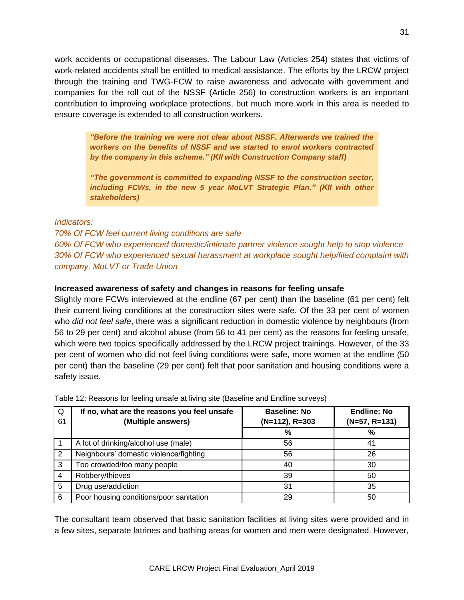work accidents or occupational diseases. The Labour Law (Articles 254) states that victims of work-related accidents shall be entitled to medical assistance. The efforts by the LRCW project through the training and TWG-FCW to raise awareness and advocate with government and companies for the roll out of the NSSF (Article 256) to construction workers is an important contribution to improving workplace protections, but much more work in this area is needed to ensure coverage is extended to all construction workers.

*"Before the training we were not clear about NSSF. Afterwards we trained the workers on the benefits of NSSF and we started to enrol workers contracted by the company in this scheme." (KII with Construction Company staff)*

*"The government is committed to expanding NSSF to the construction sector, including FCWs, in the new 5 year MoLVT Strategic Plan." (KII with other stakeholders)*

#### *Indicators:*

*70% Of FCW feel current living conditions are safe 60% Of FCW who experienced domestic/intimate partner violence sought help to stop violence 30% Of FCW who experienced sexual harassment at workplace sought help/filed complaint with company, MoLVT or Trade Union*

#### **Increased awareness of safety and changes in reasons for feeling unsafe**

Slightly more FCWs interviewed at the endline (67 per cent) than the baseline (61 per cent) felt their current living conditions at the construction sites were safe. Of the 33 per cent of women who *did not feel safe*, there was a significant reduction in domestic violence by neighbours (from 56 to 29 per cent) and alcohol abuse (from 56 to 41 per cent) as the reasons for feeling unsafe, which were two topics specifically addressed by the LRCW project trainings. However, of the 33 per cent of women who did not feel living conditions were safe, more women at the endline (50 per cent) than the baseline (29 per cent) felt that poor sanitation and housing conditions were a safety issue.

| Q  | If no, what are the reasons you feel unsafe | <b>Baseline: No</b> | <b>Endline: No</b> |  |
|----|---------------------------------------------|---------------------|--------------------|--|
| 61 | (Multiple answers)                          | (N=112), R=303      | $(N=57, R=131)$    |  |
|    |                                             | %                   | %                  |  |
|    | A lot of drinking/alcohol use (male)        | 56                  | 41                 |  |
| 2  | Neighbours' domestic violence/fighting      | 56                  | 26                 |  |
| 3  | Too crowded/too many people                 | 40                  | 30                 |  |
| 4  | Robbery/thieves                             | 39                  | 50                 |  |
| 5  | Drug use/addiction                          | 31                  | 35                 |  |
| 6  | Poor housing conditions/poor sanitation     | 29                  | 50                 |  |

Table 12: Reasons for feeling unsafe at living site (Baseline and Endline surveys)

The consultant team observed that basic sanitation facilities at living sites were provided and in a few sites, separate latrines and bathing areas for women and men were designated. However,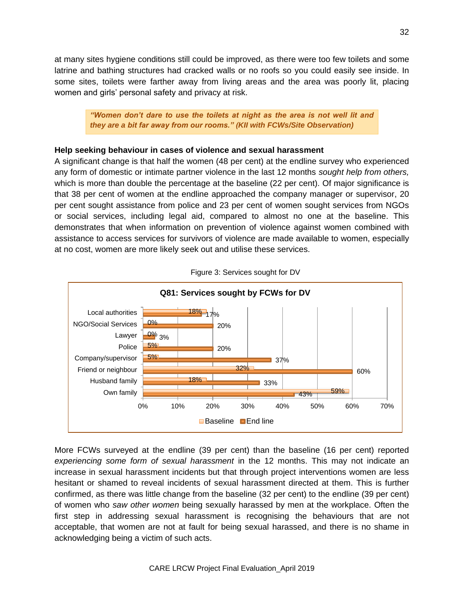at many sites hygiene conditions still could be improved, as there were too few toilets and some latrine and bathing structures had cracked walls or no roofs so you could easily see inside. In some sites, toilets were farther away from living areas and the area was poorly lit, placing women and girls' personal safety and privacy at risk.

*"Women don't dare to use the toilets at night as the area is not well lit and they are a bit far away from our rooms." (KII with FCWs/Site Observation)* 

#### **Help seeking behaviour in cases of violence and sexual harassment**

A significant change is that half the women (48 per cent) at the endline survey who experienced any form of domestic or intimate partner violence in the last 12 months *sought help from others,* which is more than double the percentage at the baseline (22 per cent). Of major significance is that 38 per cent of women at the endline approached the company manager or supervisor, 20 per cent sought assistance from police and 23 per cent of women sought services from NGOs or social services, including legal aid, compared to almost no one at the baseline. This demonstrates that when information on prevention of violence against women combined with assistance to access services for survivors of violence are made available to women, especially at no cost, women are more likely seek out and utilise these services.



Figure 3: Services sought for DV

More FCWs surveyed at the endline (39 per cent) than the baseline (16 per cent) reported *experiencing some form of sexual harassment* in the 12 months. This may not indicate an increase in sexual harassment incidents but that through project interventions women are less hesitant or shamed to reveal incidents of sexual harassment directed at them. This is further confirmed, as there was little change from the baseline (32 per cent) to the endline (39 per cent) of women who *saw other women* being sexually harassed by men at the workplace. Often the first step in addressing sexual harassment is recognising the behaviours that are not acceptable, that women are not at fault for being sexual harassed, and there is no shame in acknowledging being a victim of such acts.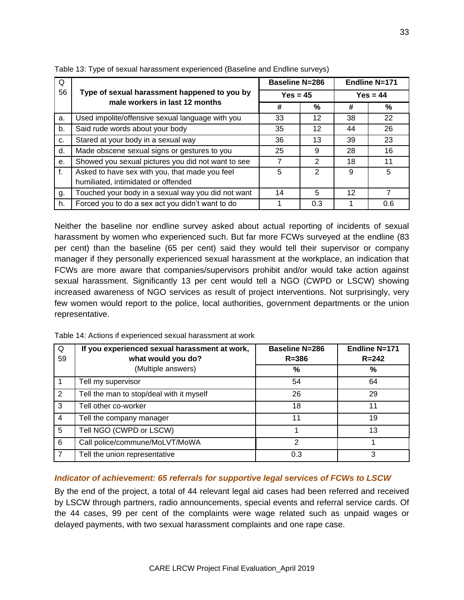| Q              |                                                                                       | <b>Baseline N=286</b> |               | <b>Endline N=171</b> |      |  |
|----------------|---------------------------------------------------------------------------------------|-----------------------|---------------|----------------------|------|--|
| 56             | Type of sexual harassment happened to you by                                          | $Yes = 45$            |               | $Yes = 44$           |      |  |
|                | male workers in last 12 months                                                        |                       | $\%$          | #                    | $\%$ |  |
| a.             | Used impolite/offensive sexual language with you                                      | 33                    | 12            | 38                   | 22   |  |
| b <sub>1</sub> | Said rude words about your body                                                       | 35                    | 12            | 44                   | 26   |  |
| $C_{r}$        | Stared at your body in a sexual way                                                   | 36                    | 13            | 39                   | 23   |  |
| d.             | Made obscene sexual signs or gestures to you                                          | 25                    | 9             | 28                   | 16   |  |
| e <sub>1</sub> | Showed you sexual pictures you did not want to see                                    | 7                     | 2             | 18                   | 11   |  |
| f.             | Asked to have sex with you, that made you feel<br>humiliated, intimidated or offended | 5                     | $\mathcal{P}$ | 9                    | 5    |  |
| g.             | Touched your body in a sexual way you did not want                                    | 14                    | 5             | 12                   | 7    |  |
| h.             | Forced you to do a sex act you didn't want to do                                      |                       | 0.3           |                      | 0.6  |  |

Table 13: Type of sexual harassment experienced (Baseline and Endline surveys)

Neither the baseline nor endline survey asked about actual reporting of incidents of sexual harassment by women who experienced such. But far more FCWs surveyed at the endline (83 per cent) than the baseline (65 per cent) said they would tell their supervisor or company manager if they personally experienced sexual harassment at the workplace, an indication that FCWs are more aware that companies/supervisors prohibit and/or would take action against sexual harassment. Significantly 13 per cent would tell a NGO (CWPD or LSCW) showing increased awareness of NGO services as result of project interventions. Not surprisingly, very few women would report to the police, local authorities, government departments or the union representative.

| Q<br>59        | If you experienced sexual harassment at work,<br>what would you do? | <b>Baseline N=286</b><br>$R = 386$ | Endline N=171<br>$R = 242$ |
|----------------|---------------------------------------------------------------------|------------------------------------|----------------------------|
|                | (Multiple answers)                                                  | %                                  | %                          |
| 1              | Tell my supervisor                                                  | 54                                 | 64                         |
| 2              | Tell the man to stop/deal with it myself                            | 26                                 | 29                         |
| 3              | Tell other co-worker                                                | 18                                 | 11                         |
| $\overline{4}$ | Tell the company manager                                            | 11                                 | 19                         |
| 5              | Tell NGO (CWPD or LSCW)                                             |                                    | 13                         |
| 6              | Call police/commune/MoLVT/MoWA                                      | 2                                  |                            |
| 7              | Tell the union representative                                       | 0.3                                | 3                          |

Table 14: Actions if experienced sexual harassment at work

#### *Indicator of achievement: 65 referrals for supportive legal services of FCWs to LSCW*

By the end of the project, a total of 44 relevant legal aid cases had been referred and received by LSCW through partners, radio announcements, special events and referral service cards. Of the 44 cases, 99 per cent of the complaints were wage related such as unpaid wages or delayed payments, with two sexual harassment complaints and one rape case.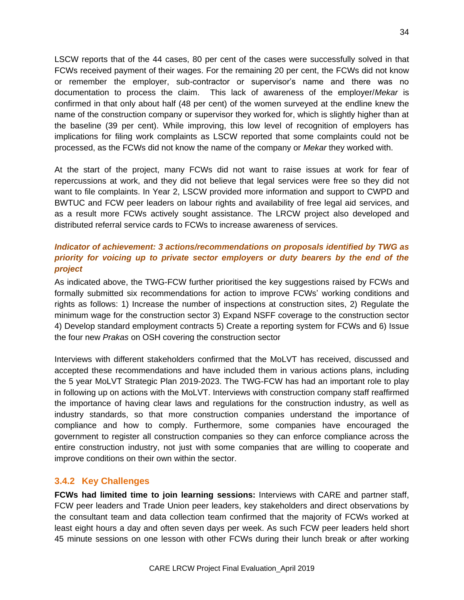LSCW reports that of the 44 cases, 80 per cent of the cases were successfully solved in that FCWs received payment of their wages. For the remaining 20 per cent, the FCWs did not know or remember the employer, sub-contractor or supervisor's name and there was no documentation to process the claim. This lack of awareness of the employer/*Mekar* is confirmed in that only about half (48 per cent) of the women surveyed at the endline knew the name of the construction company or supervisor they worked for, which is slightly higher than at the baseline (39 per cent). While improving, this low level of recognition of employers has implications for filing work complaints as LSCW reported that some complaints could not be processed, as the FCWs did not know the name of the company or *Mekar* they worked with.

At the start of the project, many FCWs did not want to raise issues at work for fear of repercussions at work, and they did not believe that legal services were free so they did not want to file complaints. In Year 2, LSCW provided more information and support to CWPD and BWTUC and FCW peer leaders on labour rights and availability of free legal aid services, and as a result more FCWs actively sought assistance. The LRCW project also developed and distributed referral service cards to FCWs to increase awareness of services.

## *Indicator of achievement: 3 actions/recommendations on proposals identified by TWG as priority for voicing up to private sector employers or duty bearers by the end of the project*

As indicated above, the TWG-FCW further prioritised the key suggestions raised by FCWs and formally submitted six recommendations for action to improve FCWs' working conditions and rights as follows: 1) Increase the number of inspections at construction sites, 2) Regulate the minimum wage for the construction sector 3) Expand NSFF coverage to the construction sector 4) Develop standard employment contracts 5) Create a reporting system for FCWs and 6) Issue the four new *Prakas* on OSH covering the construction sector

Interviews with different stakeholders confirmed that the MoLVT has received, discussed and accepted these recommendations and have included them in various actions plans, including the 5 year MoLVT Strategic Plan 2019-2023. The TWG-FCW has had an important role to play in following up on actions with the MoLVT. Interviews with construction company staff reaffirmed the importance of having clear laws and regulations for the construction industry, as well as industry standards, so that more construction companies understand the importance of compliance and how to comply. Furthermore, some companies have encouraged the government to register all construction companies so they can enforce compliance across the entire construction industry, not just with some companies that are willing to cooperate and improve conditions on their own within the sector.

#### **3.4.2 Key Challenges**

**FCWs had limited time to join learning sessions:** Interviews with CARE and partner staff, FCW peer leaders and Trade Union peer leaders, key stakeholders and direct observations by the consultant team and data collection team confirmed that the majority of FCWs worked at least eight hours a day and often seven days per week. As such FCW peer leaders held short 45 minute sessions on one lesson with other FCWs during their lunch break or after working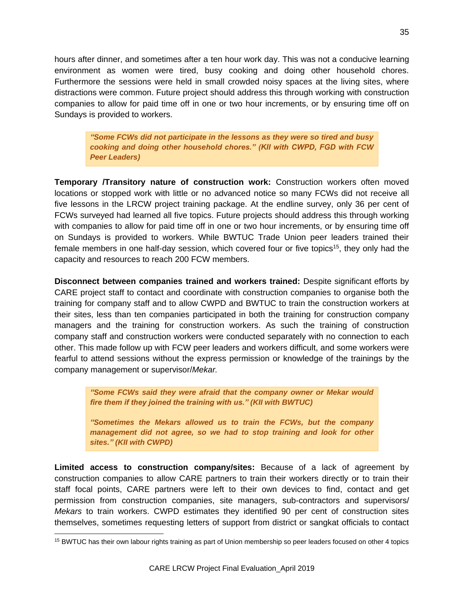hours after dinner, and sometimes after a ten hour work day. This was not a conducive learning environment as women were tired, busy cooking and doing other household chores. Furthermore the sessions were held in small crowded noisy spaces at the living sites, where distractions were common. Future project should address this through working with construction companies to allow for paid time off in one or two hour increments, or by ensuring time off on Sundays is provided to workers.

*"Some FCWs did not participate in the lessons as they were so tired and busy cooking and doing other household chores." (KII with CWPD, FGD with FCW Peer Leaders)*

**Temporary /Transitory nature of construction work:** Construction workers often moved locations or stopped work with little or no advanced notice so many FCWs did not receive all five lessons in the LRCW project training package. At the endline survey, only 36 per cent of FCWs surveyed had learned all five topics. Future projects should address this through working with companies to allow for paid time off in one or two hour increments, or by ensuring time off on Sundays is provided to workers. While BWTUC Trade Union peer leaders trained their female members in one half-day session, which covered four or five topics<sup>15</sup>, they only had the capacity and resources to reach 200 FCW members.

**Disconnect between companies trained and workers trained:** Despite significant efforts by CARE project staff to contact and coordinate with construction companies to organise both the training for company staff and to allow CWPD and BWTUC to train the construction workers at their sites, less than ten companies participated in both the training for construction company managers and the training for construction workers. As such the training of construction company staff and construction workers were conducted separately with no connection to each other. This made follow up with FCW peer leaders and workers difficult, and some workers were fearful to attend sessions without the express permission or knowledge of the trainings by the company management or supervisor/*Mekar.* 

*"Some FCWs said they were afraid that the company owner or Mekar would fire them if they joined the training with us." (KII with BWTUC)*

*"Sometimes the Mekars allowed us to train the FCWs, but the company management did not agree, so we had to stop training and look for other sites." (KII with CWPD)*

**Limited access to construction company/sites:** Because of a lack of agreement by construction companies to allow CARE partners to train their workers directly or to train their staff focal points, CARE partners were left to their own devices to find, contact and get permission from construction companies, site managers, sub-contractors and supervisors/ *Mekars* to train workers. CWPD estimates they identified 90 per cent of construction sites themselves, sometimes requesting letters of support from district or sangkat officials to contact

<sup>&</sup>lt;sup>15</sup> BWTUC has their own labour rights training as part of Union membership so peer leaders focused on other 4 topics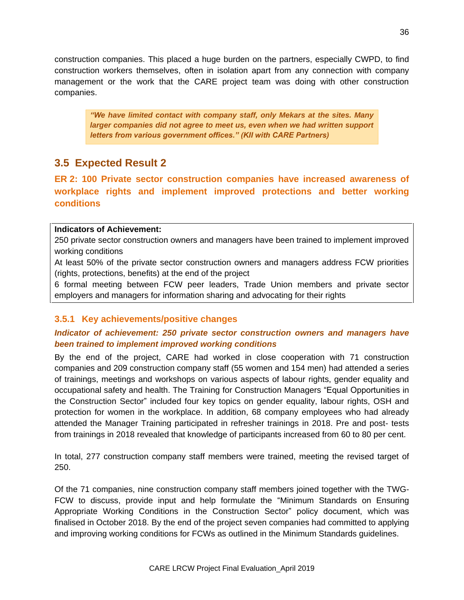construction companies. This placed a huge burden on the partners, especially CWPD, to find construction workers themselves, often in isolation apart from any connection with company management or the work that the CARE project team was doing with other construction companies.

*"We have limited contact with company staff, only Mekars at the sites. Many larger companies did not agree to meet us, even when we had written support letters from various government offices." (KII with CARE Partners)*

# **3.5 Expected Result 2**

**ER 2: 100 Private sector construction companies have increased awareness of workplace rights and implement improved protections and better working conditions**

#### **Indicators of Achievement:**

250 private sector construction owners and managers have been trained to implement improved working conditions

At least 50% of the private sector construction owners and managers address FCW priorities (rights, protections, benefits) at the end of the project

6 formal meeting between FCW peer leaders, Trade Union members and private sector employers and managers for information sharing and advocating for their rights

## **3.5.1 Key achievements/positive changes**

## *Indicator of achievement: 250 private sector construction owners and managers have been trained to implement improved working conditions*

By the end of the project, CARE had worked in close cooperation with 71 construction companies and 209 construction company staff (55 women and 154 men) had attended a series of trainings, meetings and workshops on various aspects of labour rights, gender equality and occupational safety and health. The Training for Construction Managers "Equal Opportunities in the Construction Sector" included four key topics on gender equality, labour rights, OSH and protection for women in the workplace. In addition, 68 company employees who had already attended the Manager Training participated in refresher trainings in 2018. Pre and post- tests from trainings in 2018 revealed that knowledge of participants increased from 60 to 80 per cent.

In total, 277 construction company staff members were trained, meeting the revised target of 250.

Of the 71 companies, nine construction company staff members joined together with the TWG-FCW to discuss, provide input and help formulate the "Minimum Standards on Ensuring Appropriate Working Conditions in the Construction Sector" policy document, which was finalised in October 2018. By the end of the project seven companies had committed to applying and improving working conditions for FCWs as outlined in the Minimum Standards guidelines.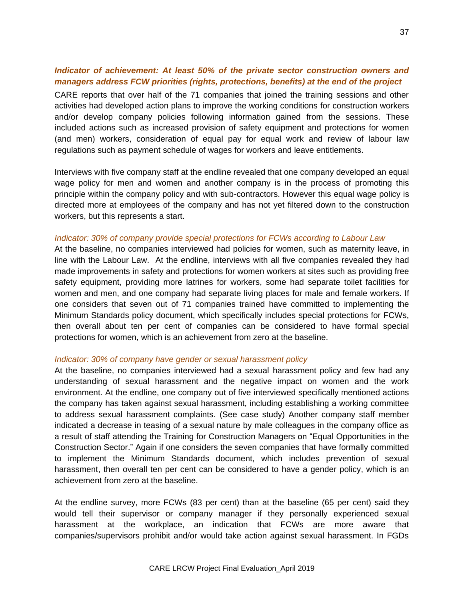### *Indicator of achievement: At least 50% of the private sector construction owners and managers address FCW priorities (rights, protections, benefits) at the end of the project*

CARE reports that over half of the 71 companies that joined the training sessions and other activities had developed action plans to improve the working conditions for construction workers and/or develop company policies following information gained from the sessions. These included actions such as increased provision of safety equipment and protections for women (and men) workers, consideration of equal pay for equal work and review of labour law regulations such as payment schedule of wages for workers and leave entitlements.

Interviews with five company staff at the endline revealed that one company developed an equal wage policy for men and women and another company is in the process of promoting this principle within the company policy and with sub-contractors. However this equal wage policy is directed more at employees of the company and has not yet filtered down to the construction workers, but this represents a start.

#### *Indicator: 30% of company provide special protections for FCWs according to Labour Law*

At the baseline, no companies interviewed had policies for women, such as maternity leave, in line with the Labour Law. At the endline, interviews with all five companies revealed they had made improvements in safety and protections for women workers at sites such as providing free safety equipment, providing more latrines for workers, some had separate toilet facilities for women and men, and one company had separate living places for male and female workers. If one considers that seven out of 71 companies trained have committed to implementing the Minimum Standards policy document, which specifically includes special protections for FCWs, then overall about ten per cent of companies can be considered to have formal special protections for women, which is an achievement from zero at the baseline.

### *Indicator: 30% of company have gender or sexual harassment policy*

At the baseline, no companies interviewed had a sexual harassment policy and few had any understanding of sexual harassment and the negative impact on women and the work environment. At the endline, one company out of five interviewed specifically mentioned actions the company has taken against sexual harassment, including establishing a working committee to address sexual harassment complaints. (See case study) Another company staff member indicated a decrease in teasing of a sexual nature by male colleagues in the company office as a result of staff attending the Training for Construction Managers on "Equal Opportunities in the Construction Sector." Again if one considers the seven companies that have formally committed to implement the Minimum Standards document, which includes prevention of sexual harassment, then overall ten per cent can be considered to have a gender policy, which is an achievement from zero at the baseline.

At the endline survey, more FCWs (83 per cent) than at the baseline (65 per cent) said they would tell their supervisor or company manager if they personally experienced sexual harassment at the workplace, an indication that FCWs are more aware that companies/supervisors prohibit and/or would take action against sexual harassment. In FGDs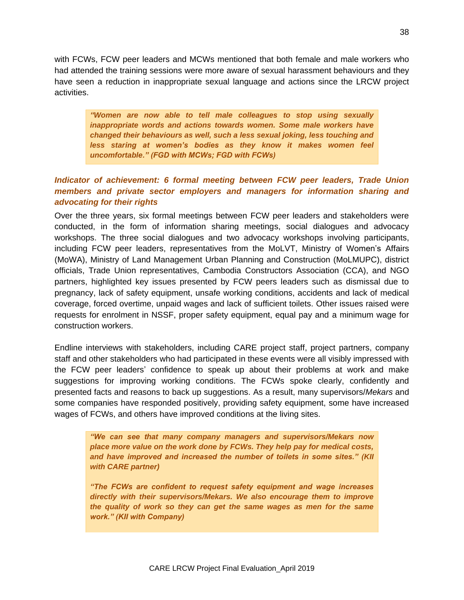with FCWs, FCW peer leaders and MCWs mentioned that both female and male workers who had attended the training sessions were more aware of sexual harassment behaviours and they have seen a reduction in inappropriate sexual language and actions since the LRCW project activities.

*"Women are now able to tell male colleagues to stop using sexually inappropriate words and actions towards women. Some male workers have changed their behaviours as well, such a less sexual joking, less touching and less staring at women's bodies as they know it makes women feel uncomfortable." (FGD with MCWs; FGD with FCWs)*

### *Indicator of achievement: 6 formal meeting between FCW peer leaders, Trade Union members and private sector employers and managers for information sharing and advocating for their rights*

Over the three years, six formal meetings between FCW peer leaders and stakeholders were conducted, in the form of information sharing meetings, social dialogues and advocacy workshops. The three social dialogues and two advocacy workshops involving participants, including FCW peer leaders, representatives from the MoLVT, Ministry of Women's Affairs (MoWA), Ministry of Land Management Urban Planning and Construction (MoLMUPC), district officials, Trade Union representatives, Cambodia Constructors Association (CCA), and NGO partners, highlighted key issues presented by FCW peers leaders such as dismissal due to pregnancy, lack of safety equipment, unsafe working conditions, accidents and lack of medical coverage, forced overtime, unpaid wages and lack of sufficient toilets. Other issues raised were requests for enrolment in NSSF, proper safety equipment, equal pay and a minimum wage for construction workers.

Endline interviews with stakeholders, including CARE project staff, project partners, company staff and other stakeholders who had participated in these events were all visibly impressed with the FCW peer leaders' confidence to speak up about their problems at work and make suggestions for improving working conditions. The FCWs spoke clearly, confidently and presented facts and reasons to back up suggestions. As a result, many supervisors/*Mekars* and some companies have responded positively, providing safety equipment, some have increased wages of FCWs, and others have improved conditions at the living sites.

*"We can see that many company managers and supervisors/Mekars now place more value on the work done by FCWs. They help pay for medical costs, and have improved and increased the number of toilets in some sites." (KII with CARE partner)*

*"The FCWs are confident to request safety equipment and wage increases directly with their supervisors/Mekars. We also encourage them to improve the quality of work so they can get the same wages as men for the same work." (KII with Company)*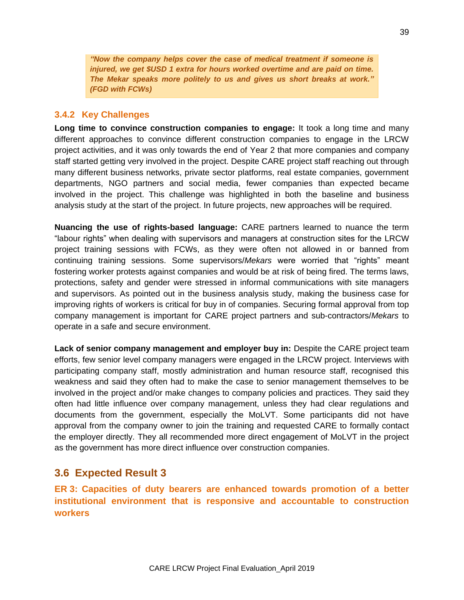*"Now the company helps cover the case of medical treatment if someone is injured, we get \$USD 1 extra for hours worked overtime and are paid on time. The Mekar speaks more politely to us and gives us short breaks at work." (FGD with FCWs)*

### **3.4.2 Key Challenges**

**Long time to convince construction companies to engage:** It took a long time and many different approaches to convince different construction companies to engage in the LRCW project activities, and it was only towards the end of Year 2 that more companies and company staff started getting very involved in the project. Despite CARE project staff reaching out through many different business networks, private sector platforms, real estate companies, government departments, NGO partners and social media, fewer companies than expected became involved in the project. This challenge was highlighted in both the baseline and business analysis study at the start of the project. In future projects, new approaches will be required.

**Nuancing the use of rights-based language:** CARE partners learned to nuance the term "labour rights" when dealing with supervisors and managers at construction sites for the LRCW project training sessions with FCWs, as they were often not allowed in or banned from continuing training sessions. Some supervisors/*Mekars* were worried that "rights" meant fostering worker protests against companies and would be at risk of being fired. The terms laws, protections, safety and gender were stressed in informal communications with site managers and supervisors. As pointed out in the business analysis study, making the business case for improving rights of workers is critical for buy in of companies. Securing formal approval from top company management is important for CARE project partners and sub-contractors/*Mekars* to operate in a safe and secure environment.

Lack of senior company management and employer buy in: Despite the CARE project team efforts, few senior level company managers were engaged in the LRCW project. Interviews with participating company staff, mostly administration and human resource staff, recognised this weakness and said they often had to make the case to senior management themselves to be involved in the project and/or make changes to company policies and practices. They said they often had little influence over company management, unless they had clear regulations and documents from the government, especially the MoLVT. Some participants did not have approval from the company owner to join the training and requested CARE to formally contact the employer directly. They all recommended more direct engagement of MoLVT in the project as the government has more direct influence over construction companies.

### **3.6 Expected Result 3**

**ER 3: Capacities of duty bearers are enhanced towards promotion of a better institutional environment that is responsive and accountable to construction workers**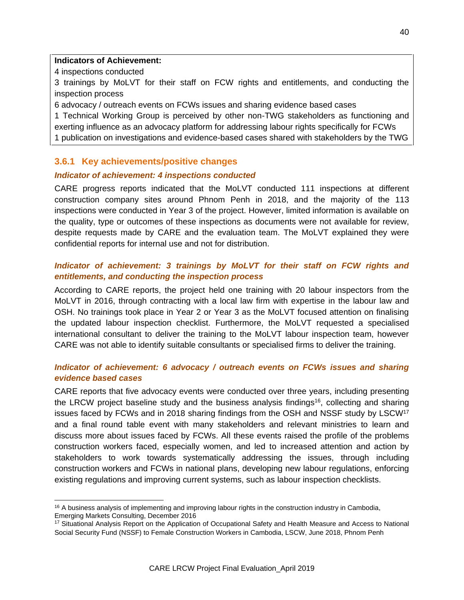### **Indicators of Achievement:**

4 inspections conducted

 $\overline{a}$ 

3 trainings by MoLVT for their staff on FCW rights and entitlements, and conducting the inspection process

6 advocacy / outreach events on FCWs issues and sharing evidence based cases

1 Technical Working Group is perceived by other non-TWG stakeholders as functioning and exerting influence as an advocacy platform for addressing labour rights specifically for FCWs 1 publication on investigations and evidence-based cases shared with stakeholders by the TWG

### **3.6.1 Key achievements/positive changes**

### *Indicator of achievement: 4 inspections conducted*

CARE progress reports indicated that the MoLVT conducted 111 inspections at different construction company sites around Phnom Penh in 2018, and the majority of the 113 inspections were conducted in Year 3 of the project. However, limited information is available on the quality, type or outcomes of these inspections as documents were not available for review, despite requests made by CARE and the evaluation team. The MoLVT explained they were confidential reports for internal use and not for distribution.

### *Indicator of achievement: 3 trainings by MoLVT for their staff on FCW rights and entitlements, and conducting the inspection process*

According to CARE reports, the project held one training with 20 labour inspectors from the MoLVT in 2016, through contracting with a local law firm with expertise in the labour law and OSH. No trainings took place in Year 2 or Year 3 as the MoLVT focused attention on finalising the updated labour inspection checklist. Furthermore, the MoLVT requested a specialised international consultant to deliver the training to the MoLVT labour inspection team, however CARE was not able to identify suitable consultants or specialised firms to deliver the training.

### *Indicator of achievement: 6 advocacy / outreach events on FCWs issues and sharing evidence based cases*

CARE reports that five advocacy events were conducted over three years, including presenting the LRCW project baseline study and the business analysis findings<sup>16</sup>, collecting and sharing issues faced by FCWs and in 2018 sharing findings from the OSH and NSSF study by LSCW<sup>17</sup> and a final round table event with many stakeholders and relevant ministries to learn and discuss more about issues faced by FCWs. All these events raised the profile of the problems construction workers faced, especially women, and led to increased attention and action by stakeholders to work towards systematically addressing the issues, through including construction workers and FCWs in national plans, developing new labour regulations, enforcing existing regulations and improving current systems, such as labour inspection checklists.

 $16$  A business analysis of implementing and improving labour rights in the construction industry in Cambodia, Emerging Markets Consulting, December 2016

<sup>17</sup> Situational Analysis Report on the Application of Occupational Safety and Health Measure and Access to National Social Security Fund (NSSF) to Female Construction Workers in Cambodia, LSCW, June 2018, Phnom Penh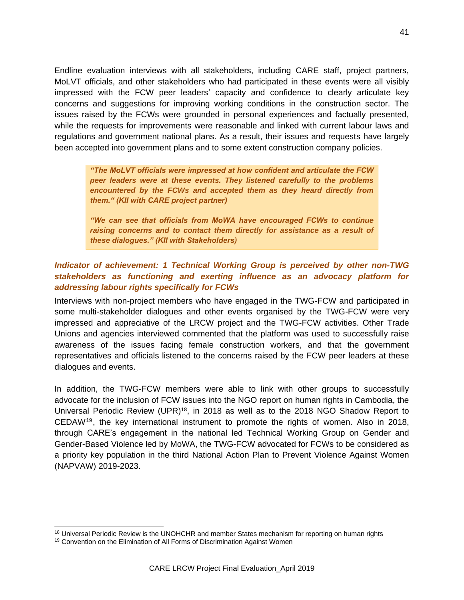Endline evaluation interviews with all stakeholders, including CARE staff, project partners, MoLVT officials, and other stakeholders who had participated in these events were all visibly impressed with the FCW peer leaders' capacity and confidence to clearly articulate key concerns and suggestions for improving working conditions in the construction sector. The issues raised by the FCWs were grounded in personal experiences and factually presented, while the requests for improvements were reasonable and linked with current labour laws and regulations and government national plans. As a result, their issues and requests have largely been accepted into government plans and to some extent construction company policies.

*"The MoLVT officials were impressed at how confident and articulate the FCW peer leaders were at these events. They listened carefully to the problems encountered by the FCWs and accepted them as they heard directly from them." (KII with CARE project partner)* 

*"We can see that officials from MoWA have encouraged FCWs to continue raising concerns and to contact them directly for assistance as a result of these dialogues." (KII with Stakeholders)*

### *Indicator of achievement: 1 Technical Working Group is perceived by other non-TWG stakeholders as functioning and exerting influence as an advocacy platform for addressing labour rights specifically for FCWs*

Interviews with non-project members who have engaged in the TWG-FCW and participated in some multi-stakeholder dialogues and other events organised by the TWG-FCW were very impressed and appreciative of the LRCW project and the TWG-FCW activities. Other Trade Unions and agencies interviewed commented that the platform was used to successfully raise awareness of the issues facing female construction workers, and that the government representatives and officials listened to the concerns raised by the FCW peer leaders at these dialogues and events.

In addition, the TWG-FCW members were able to link with other groups to successfully advocate for the inclusion of FCW issues into the NGO report on human rights in Cambodia, the Universal Periodic Review (UPR)<sup>18</sup>, in 2018 as well as to the 2018 NGO Shadow Report to CEDAW<sup>19</sup> , the key international instrument to promote the rights of women. Also in 2018, through CARE's engagement in the national led Technical Working Group on Gender and Gender-Based Violence led by MoWA, the TWG-FCW advocated for FCWs to be considered as a priority key population in the third National Action Plan to Prevent Violence Against Women (NAPVAW) 2019-2023.

 $\overline{a}$ 

<sup>&</sup>lt;sup>18</sup> Universal Periodic Review is the UNOHCHR and member States mechanism for reporting on human rights

<sup>&</sup>lt;sup>19</sup> Convention on the Elimination of All Forms of Discrimination Against Women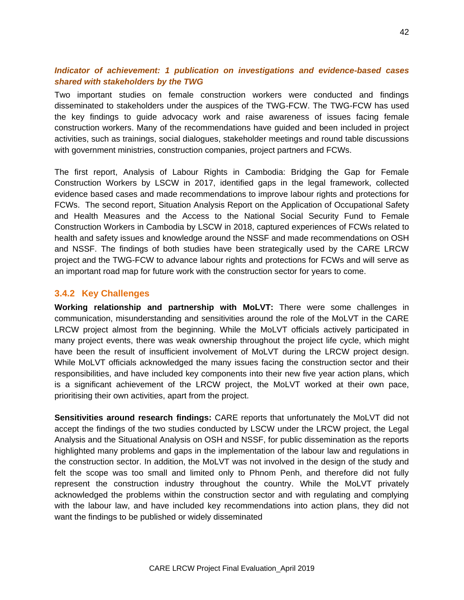### *Indicator of achievement: 1 publication on investigations and evidence-based cases shared with stakeholders by the TWG*

Two important studies on female construction workers were conducted and findings disseminated to stakeholders under the auspices of the TWG-FCW. The TWG-FCW has used the key findings to guide advocacy work and raise awareness of issues facing female construction workers. Many of the recommendations have guided and been included in project activities, such as trainings, social dialogues, stakeholder meetings and round table discussions with government ministries, construction companies, project partners and FCWs.

The first report, Analysis of Labour Rights in Cambodia: Bridging the Gap for Female Construction Workers by LSCW in 2017, identified gaps in the legal framework, collected evidence based cases and made recommendations to improve labour rights and protections for FCWs. The second report, Situation Analysis Report on the Application of Occupational Safety and Health Measures and the Access to the National Social Security Fund to Female Construction Workers in Cambodia by LSCW in 2018, captured experiences of FCWs related to health and safety issues and knowledge around the NSSF and made recommendations on OSH and NSSF. The findings of both studies have been strategically used by the CARE LRCW project and the TWG-FCW to advance labour rights and protections for FCWs and will serve as an important road map for future work with the construction sector for years to come.

### **3.4.2 Key Challenges**

**Working relationship and partnership with MoLVT:** There were some challenges in communication, misunderstanding and sensitivities around the role of the MoLVT in the CARE LRCW project almost from the beginning. While the MoLVT officials actively participated in many project events, there was weak ownership throughout the project life cycle, which might have been the result of insufficient involvement of MoLVT during the LRCW project design. While MoLVT officials acknowledged the many issues facing the construction sector and their responsibilities, and have included key components into their new five year action plans, which is a significant achievement of the LRCW project, the MoLVT worked at their own pace, prioritising their own activities, apart from the project.

**Sensitivities around research findings:** CARE reports that unfortunately the MoLVT did not accept the findings of the two studies conducted by LSCW under the LRCW project, the Legal Analysis and the Situational Analysis on OSH and NSSF, for public dissemination as the reports highlighted many problems and gaps in the implementation of the labour law and regulations in the construction sector. In addition, the MoLVT was not involved in the design of the study and felt the scope was too small and limited only to Phnom Penh, and therefore did not fully represent the construction industry throughout the country. While the MoLVT privately acknowledged the problems within the construction sector and with regulating and complying with the labour law, and have included key recommendations into action plans, they did not want the findings to be published or widely disseminated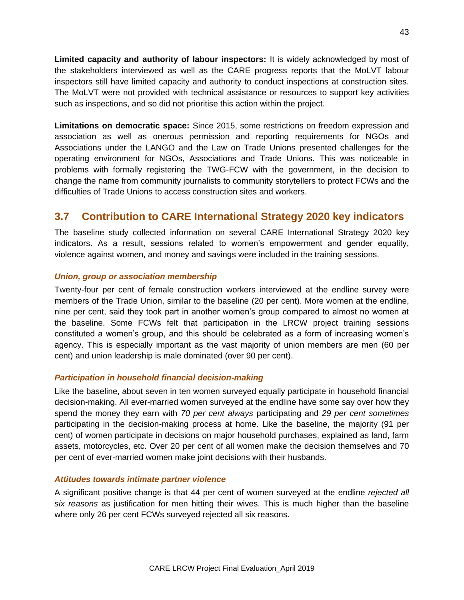**Limited capacity and authority of labour inspectors:** It is widely acknowledged by most of the stakeholders interviewed as well as the CARE progress reports that the MoLVT labour inspectors still have limited capacity and authority to conduct inspections at construction sites. The MoLVT were not provided with technical assistance or resources to support key activities such as inspections, and so did not prioritise this action within the project.

**Limitations on democratic space:** Since 2015, some restrictions on freedom expression and association as well as onerous permission and reporting requirements for NGOs and Associations under the LANGO and the Law on Trade Unions presented challenges for the operating environment for NGOs, Associations and Trade Unions. This was noticeable in problems with formally registering the TWG-FCW with the government, in the decision to change the name from community journalists to community storytellers to protect FCWs and the difficulties of Trade Unions to access construction sites and workers.

# **3.7 Contribution to CARE International Strategy 2020 key indicators**

The baseline study collected information on several CARE International Strategy 2020 key indicators. As a result, sessions related to women's empowerment and gender equality, violence against women, and money and savings were included in the training sessions.

### *Union, group or association membership*

Twenty-four per cent of female construction workers interviewed at the endline survey were members of the Trade Union, similar to the baseline (20 per cent). More women at the endline, nine per cent, said they took part in another women's group compared to almost no women at the baseline. Some FCWs felt that participation in the LRCW project training sessions constituted a women's group, and this should be celebrated as a form of increasing women's agency. This is especially important as the vast majority of union members are men (60 per cent) and union leadership is male dominated (over 90 per cent).

### *Participation in household financial decision-making*

Like the baseline, about seven in ten women surveyed equally participate in household financial decision-making. All ever-married women surveyed at the endline have some say over how they spend the money they earn with *70 per cent always* participating and *29 per cent sometimes* participating in the decision-making process at home. Like the baseline, the majority (91 per cent) of women participate in decisions on major household purchases, explained as land, farm assets, motorcycles, etc. Over 20 per cent of all women make the decision themselves and 70 per cent of ever-married women make joint decisions with their husbands.

### *Attitudes towards intimate partner violence*

A significant positive change is that 44 per cent of women surveyed at the endline *rejected all six reasons* as justification for men hitting their wives. This is much higher than the baseline where only 26 per cent FCWs surveyed rejected all six reasons.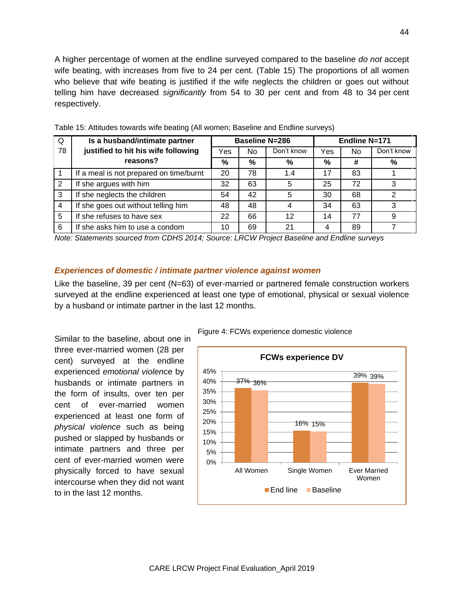A higher percentage of women at the endline surveyed compared to the baseline *do not* accept wife beating, with increases from five to 24 per cent. (Table 15) The proportions of all women who believe that wife beating is justified if the wife neglects the children or goes out without telling him have decreased *significantly* from 54 to 30 per cent and from 48 to 34 per cent respectively.

| Q  | Is a husband/intimate partner           |     | <b>Baseline N=286</b> |            |     | Endline N=171 |            |  |
|----|-----------------------------------------|-----|-----------------------|------------|-----|---------------|------------|--|
| 78 | justified to hit his wife following     | Yes | No                    | Don't know | Yes | No            | Don't know |  |
|    | reasons?                                | %   | %                     | %          | %   | #             | %          |  |
|    | If a meal is not prepared on time/burnt | 20  | 78                    | 1.4        | 17  | 83            |            |  |
|    | If she argues with him                  | 32  | 63                    | 5          | 25  | 72            | 3          |  |
| 3  | If she neglects the children            | 54  | 42                    | 5          | 30  | 68            | 2          |  |
| 4  | If she goes out without telling him     | 48  | 48                    | 4          | 34  | 63            | 3          |  |
| 5  | If she refuses to have sex              | 22  | 66                    | 12         | 14  | 77            | 9          |  |
| 6  | If she asks him to use a condom         | 10  | 69                    | 21         | 4   | 89            |            |  |

Table 15: Attitudes towards wife beating (All women; Baseline and Endline surveys)

*Note: Statements sourced from CDHS 2014; Source: LRCW Project Baseline and Endline surveys*

### *Experiences of domestic / intimate partner violence against women*

Like the baseline, 39 per cent  $(N=63)$  of ever-married or partnered female construction workers surveyed at the endline experienced at least one type of emotional, physical or sexual violence by a husband or intimate partner in the last 12 months.

Similar to the baseline, about one in three ever-married women (28 per cent) surveyed at the endline experienced *emotional violen*ce by husbands or intimate partners in the form of insults, over ten per cent of ever-married women experienced at least one form of *physical violence* such as being pushed or slapped by husbands or intimate partners and three per cent of ever-married women were physically forced to have sexual intercourse when they did not want to in the last 12 months.

Figure 4: FCWs experience domestic violence

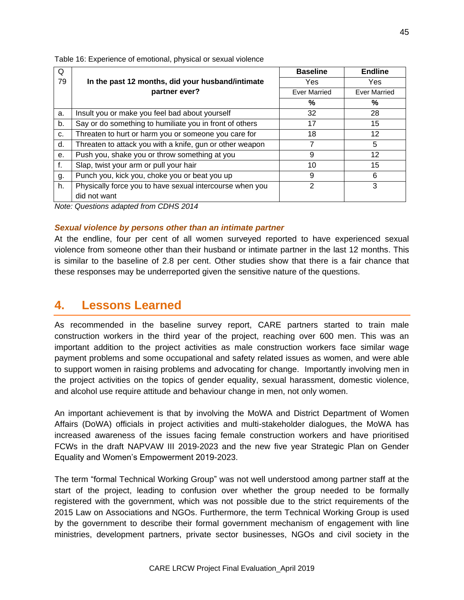| Q  |                                                          | <b>Baseline</b>     | <b>Endline</b>      |
|----|----------------------------------------------------------|---------------------|---------------------|
| 79 | In the past 12 months, did your husband/intimate         | Yes                 | Yes                 |
|    | partner ever?                                            | <b>Ever Married</b> | <b>Ever Married</b> |
|    |                                                          | %                   | %                   |
| a. | Insult you or make you feel bad about yourself           | 32                  | 28                  |
| b. | Say or do something to humiliate you in front of others  | 17                  | 15                  |
| c. | Threaten to hurt or harm you or someone you care for     | 18                  | 12                  |
| d. | Threaten to attack you with a knife, gun or other weapon | 7                   | 5                   |
| е. | Push you, shake you or throw something at you            | 9                   | 12                  |
| f. | Slap, twist your arm or pull your hair                   | 10                  | 15                  |
| g. | Punch you, kick you, choke you or beat you up            | 9                   | 6                   |
| h. | Physically force you to have sexual intercourse when you | 2                   | 3                   |
|    | did not want                                             |                     |                     |

Table 16: Experience of emotional, physical or sexual violence

*Note: Questions adapted from CDHS 2014*

### *Sexual violence by persons other than an intimate partner*

At the endline, four per cent of all women surveyed reported to have experienced sexual violence from someone other than their husband or intimate partner in the last 12 months. This is similar to the baseline of 2.8 per cent. Other studies show that there is a fair chance that these responses may be underreported given the sensitive nature of the questions.

# **4. Lessons Learned**

As recommended in the baseline survey report, CARE partners started to train male construction workers in the third year of the project, reaching over 600 men. This was an important addition to the project activities as male construction workers face similar wage payment problems and some occupational and safety related issues as women, and were able to support women in raising problems and advocating for change. Importantly involving men in the project activities on the topics of gender equality, sexual harassment, domestic violence, and alcohol use require attitude and behaviour change in men, not only women.

An important achievement is that by involving the MoWA and District Department of Women Affairs (DoWA) officials in project activities and multi-stakeholder dialogues, the MoWA has increased awareness of the issues facing female construction workers and have prioritised FCWs in the draft NAPVAW III 2019-2023 and the new five year Strategic Plan on Gender Equality and Women's Empowerment 2019-2023.

The term "formal Technical Working Group" was not well understood among partner staff at the start of the project, leading to confusion over whether the group needed to be formally registered with the government, which was not possible due to the strict requirements of the 2015 Law on Associations and NGOs. Furthermore, the term Technical Working Group is used by the government to describe their formal government mechanism of engagement with line ministries, development partners, private sector businesses, NGOs and civil society in the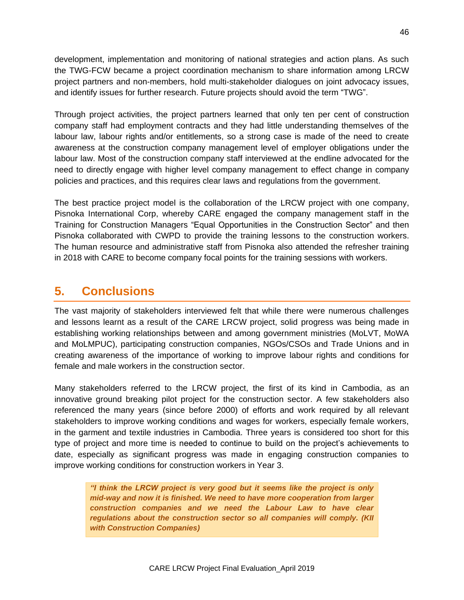development, implementation and monitoring of national strategies and action plans. As such the TWG-FCW became a project coordination mechanism to share information among LRCW project partners and non-members, hold multi-stakeholder dialogues on joint advocacy issues, and identify issues for further research. Future projects should avoid the term "TWG".

Through project activities, the project partners learned that only ten per cent of construction company staff had employment contracts and they had little understanding themselves of the labour law, labour rights and/or entitlements, so a strong case is made of the need to create awareness at the construction company management level of employer obligations under the labour law. Most of the construction company staff interviewed at the endline advocated for the need to directly engage with higher level company management to effect change in company policies and practices, and this requires clear laws and regulations from the government.

The best practice project model is the collaboration of the LRCW project with one company, Pisnoka International Corp, whereby CARE engaged the company management staff in the Training for Construction Managers "Equal Opportunities in the Construction Sector" and then Pisnoka collaborated with CWPD to provide the training lessons to the construction workers. The human resource and administrative staff from Pisnoka also attended the refresher training in 2018 with CARE to become company focal points for the training sessions with workers.

# **5. Conclusions**

The vast majority of stakeholders interviewed felt that while there were numerous challenges and lessons learnt as a result of the CARE LRCW project, solid progress was being made in establishing working relationships between and among government ministries (MoLVT, MoWA and MoLMPUC), participating construction companies, NGOs/CSOs and Trade Unions and in creating awareness of the importance of working to improve labour rights and conditions for female and male workers in the construction sector.

Many stakeholders referred to the LRCW project, the first of its kind in Cambodia, as an innovative ground breaking pilot project for the construction sector. A few stakeholders also referenced the many years (since before 2000) of efforts and work required by all relevant stakeholders to improve working conditions and wages for workers, especially female workers, in the garment and textile industries in Cambodia. Three years is considered too short for this type of project and more time is needed to continue to build on the project's achievements to date, especially as significant progress was made in engaging construction companies to improve working conditions for construction workers in Year 3.

*"I think the LRCW project is very good but it seems like the project is only mid-way and now it is finished. We need to have more cooperation from larger construction companies and we need the Labour Law to have clear regulations about the construction sector so all companies will comply. (KII with Construction Companies)*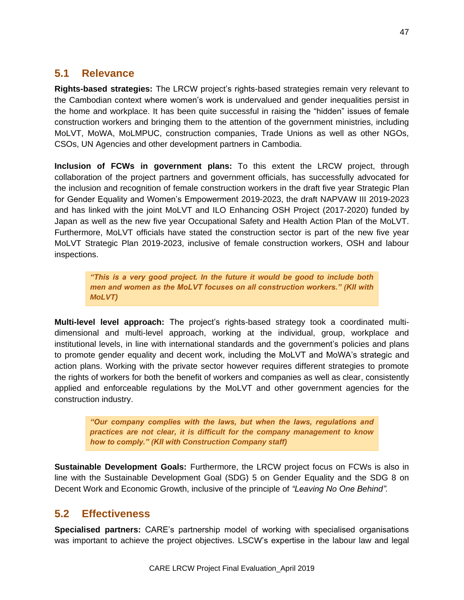## **5.1 Relevance**

**Rights-based strategies:** The LRCW project's rights-based strategies remain very relevant to the Cambodian context where women's work is undervalued and gender inequalities persist in the home and workplace. It has been quite successful in raising the "hidden" issues of female construction workers and bringing them to the attention of the government ministries, including MoLVT, MoWA, MoLMPUC, construction companies, Trade Unions as well as other NGOs, CSOs, UN Agencies and other development partners in Cambodia.

**Inclusion of FCWs in government plans:** To this extent the LRCW project, through collaboration of the project partners and government officials, has successfully advocated for the inclusion and recognition of female construction workers in the draft five year Strategic Plan for Gender Equality and Women's Empowerment 2019-2023, the draft NAPVAW III 2019-2023 and has linked with the joint MoLVT and ILO Enhancing OSH Project (2017-2020) funded by Japan as well as the new five year Occupational Safety and Health Action Plan of the MoLVT. Furthermore, MoLVT officials have stated the construction sector is part of the new five year MoLVT Strategic Plan 2019-2023, inclusive of female construction workers, OSH and labour inspections.

*"This is a very good project. In the future it would be good to include both men and women as the MoLVT focuses on all construction workers." (KII with MoLVT)*

**Multi-level level approach:** The project's rights-based strategy took a coordinated multidimensional and multi-level approach, working at the individual, group, workplace and institutional levels, in line with international standards and the government's policies and plans to promote gender equality and decent work, including the MoLVT and MoWA's strategic and action plans. Working with the private sector however requires different strategies to promote the rights of workers for both the benefit of workers and companies as well as clear, consistently applied and enforceable regulations by the MoLVT and other government agencies for the construction industry.

*"Our company complies with the laws, but when the laws, regulations and practices are not clear, it is difficult for the company management to know how to comply." (KII with Construction Company staff)*

**Sustainable Development Goals:** Furthermore, the LRCW project focus on FCWs is also in line with the Sustainable Development Goal (SDG) 5 on Gender Equality and the SDG 8 on Decent Work and Economic Growth, inclusive of the principle of *"Leaving No One Behind".*

## **5.2 Effectiveness**

**Specialised partners:** CARE's partnership model of working with specialised organisations was important to achieve the project objectives. LSCW's expertise in the labour law and legal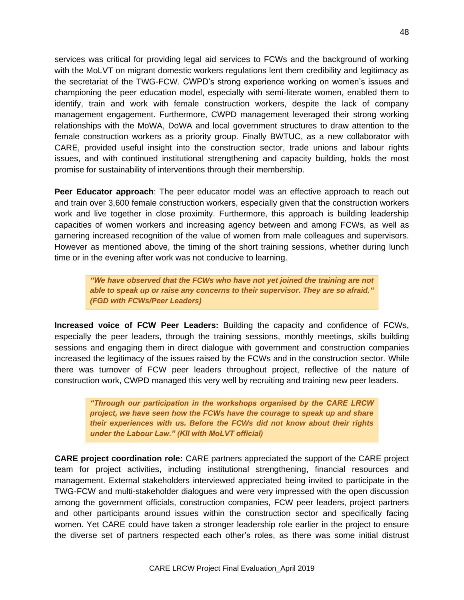services was critical for providing legal aid services to FCWs and the background of working with the MoLVT on migrant domestic workers regulations lent them credibility and legitimacy as the secretariat of the TWG-FCW. CWPD's strong experience working on women's issues and championing the peer education model, especially with semi-literate women, enabled them to identify, train and work with female construction workers, despite the lack of company management engagement. Furthermore, CWPD management leveraged their strong working relationships with the MoWA, DoWA and local government structures to draw attention to the female construction workers as a priority group. Finally BWTUC, as a new collaborator with CARE, provided useful insight into the construction sector, trade unions and labour rights issues, and with continued institutional strengthening and capacity building, holds the most promise for sustainability of interventions through their membership.

**Peer Educator approach**: The peer educator model was an effective approach to reach out and train over 3,600 female construction workers, especially given that the construction workers work and live together in close proximity. Furthermore, this approach is building leadership capacities of women workers and increasing agency between and among FCWs, as well as garnering increased recognition of the value of women from male colleagues and supervisors. However as mentioned above, the timing of the short training sessions, whether during lunch time or in the evening after work was not conducive to learning.

*"We have observed that the FCWs who have not yet joined the training are not able to speak up or raise any concerns to their supervisor. They are so afraid." (FGD with FCWs/Peer Leaders)*

**Increased voice of FCW Peer Leaders:** Building the capacity and confidence of FCWs, especially the peer leaders, through the training sessions, monthly meetings, skills building sessions and engaging them in direct dialogue with government and construction companies increased the legitimacy of the issues raised by the FCWs and in the construction sector. While there was turnover of FCW peer leaders throughout project, reflective of the nature of construction work, CWPD managed this very well by recruiting and training new peer leaders.

*"Through our participation in the workshops organised by the CARE LRCW project, we have seen how the FCWs have the courage to speak up and share their experiences with us. Before the FCWs did not know about their rights under the Labour Law." (KII with MoLVT official)*

**CARE project coordination role:** CARE partners appreciated the support of the CARE project team for project activities, including institutional strengthening, financial resources and management. External stakeholders interviewed appreciated being invited to participate in the TWG-FCW and multi-stakeholder dialogues and were very impressed with the open discussion among the government officials, construction companies, FCW peer leaders, project partners and other participants around issues within the construction sector and specifically facing women. Yet CARE could have taken a stronger leadership role earlier in the project to ensure the diverse set of partners respected each other's roles, as there was some initial distrust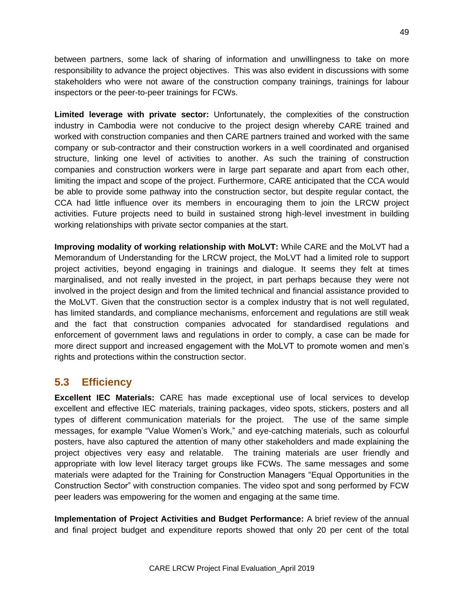between partners, some lack of sharing of information and unwillingness to take on more responsibility to advance the project objectives. This was also evident in discussions with some stakeholders who were not aware of the construction company trainings, trainings for labour inspectors or the peer-to-peer trainings for FCWs.

**Limited leverage with private sector:** Unfortunately, the complexities of the construction industry in Cambodia were not conducive to the project design whereby CARE trained and worked with construction companies and then CARE partners trained and worked with the same company or sub-contractor and their construction workers in a well coordinated and organised structure, linking one level of activities to another. As such the training of construction companies and construction workers were in large part separate and apart from each other, limiting the impact and scope of the project. Furthermore, CARE anticipated that the CCA would be able to provide some pathway into the construction sector, but despite regular contact, the CCA had little influence over its members in encouraging them to join the LRCW project activities. Future projects need to build in sustained strong high-level investment in building working relationships with private sector companies at the start.

**Improving modality of working relationship with MoLVT:** While CARE and the MoLVT had a Memorandum of Understanding for the LRCW project, the MoLVT had a limited role to support project activities, beyond engaging in trainings and dialogue. It seems they felt at times marginalised, and not really invested in the project, in part perhaps because they were not involved in the project design and from the limited technical and financial assistance provided to the MoLVT. Given that the construction sector is a complex industry that is not well regulated, has limited standards, and compliance mechanisms, enforcement and regulations are still weak and the fact that construction companies advocated for standardised regulations and enforcement of government laws and regulations in order to comply, a case can be made for more direct support and increased engagement with the MoLVT to promote women and men's rights and protections within the construction sector.

## **5.3 Efficiency**

**Excellent IEC Materials:** CARE has made exceptional use of local services to develop excellent and effective IEC materials, training packages, video spots, stickers, posters and all types of different communication materials for the project. The use of the same simple messages, for example "Value Women's Work," and eye-catching materials, such as colourful posters, have also captured the attention of many other stakeholders and made explaining the project objectives very easy and relatable. The training materials are user friendly and appropriate with low level literacy target groups like FCWs. The same messages and some materials were adapted for the Training for Construction Managers "Equal Opportunities in the Construction Sector" with construction companies. The video spot and song performed by FCW peer leaders was empowering for the women and engaging at the same time.

**Implementation of Project Activities and Budget Performance:** A brief review of the annual and final project budget and expenditure reports showed that only 20 per cent of the total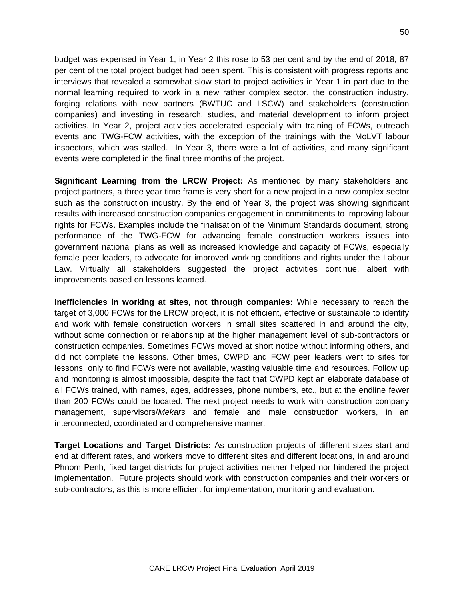budget was expensed in Year 1, in Year 2 this rose to 53 per cent and by the end of 2018, 87 per cent of the total project budget had been spent. This is consistent with progress reports and interviews that revealed a somewhat slow start to project activities in Year 1 in part due to the normal learning required to work in a new rather complex sector, the construction industry, forging relations with new partners (BWTUC and LSCW) and stakeholders (construction companies) and investing in research, studies, and material development to inform project activities. In Year 2, project activities accelerated especially with training of FCWs, outreach events and TWG-FCW activities, with the exception of the trainings with the MoLVT labour inspectors, which was stalled. In Year 3, there were a lot of activities, and many significant events were completed in the final three months of the project.

**Significant Learning from the LRCW Project:** As mentioned by many stakeholders and project partners, a three year time frame is very short for a new project in a new complex sector such as the construction industry. By the end of Year 3, the project was showing significant results with increased construction companies engagement in commitments to improving labour rights for FCWs. Examples include the finalisation of the Minimum Standards document, strong performance of the TWG-FCW for advancing female construction workers issues into government national plans as well as increased knowledge and capacity of FCWs, especially female peer leaders, to advocate for improved working conditions and rights under the Labour Law. Virtually all stakeholders suggested the project activities continue, albeit with improvements based on lessons learned.

**Inefficiencies in working at sites, not through companies:** While necessary to reach the target of 3,000 FCWs for the LRCW project, it is not efficient, effective or sustainable to identify and work with female construction workers in small sites scattered in and around the city, without some connection or relationship at the higher management level of sub-contractors or construction companies. Sometimes FCWs moved at short notice without informing others, and did not complete the lessons. Other times, CWPD and FCW peer leaders went to sites for lessons, only to find FCWs were not available, wasting valuable time and resources. Follow up and monitoring is almost impossible, despite the fact that CWPD kept an elaborate database of all FCWs trained, with names, ages, addresses, phone numbers, etc., but at the endline fewer than 200 FCWs could be located. The next project needs to work with construction company management, supervisors/*Mekars* and female and male construction workers, in an interconnected, coordinated and comprehensive manner.

**Target Locations and Target Districts:** As construction projects of different sizes start and end at different rates, and workers move to different sites and different locations, in and around Phnom Penh, fixed target districts for project activities neither helped nor hindered the project implementation. Future projects should work with construction companies and their workers or sub-contractors, as this is more efficient for implementation, monitoring and evaluation.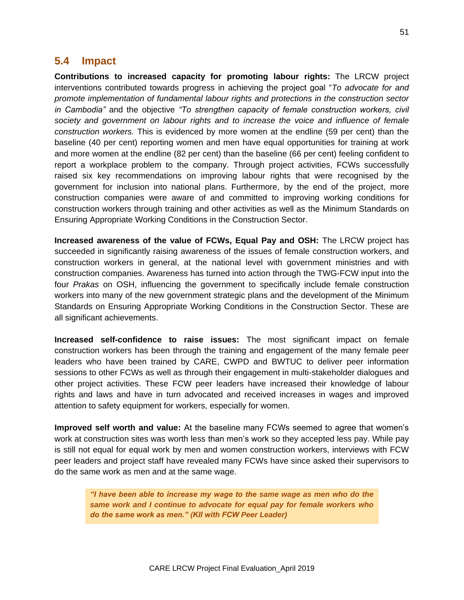### **5.4 Impact**

**Contributions to increased capacity for promoting labour rights:** The LRCW project interventions contributed towards progress in achieving the project goal "*To advocate for and promote implementation of fundamental labour rights and protections in the construction sector in Cambodia"* and the objective *"To strengthen capacity of female construction workers, civil society and government on labour rights and to increase the voice and influence of female construction workers.* This is evidenced by more women at the endline (59 per cent) than the baseline (40 per cent) reporting women and men have equal opportunities for training at work and more women at the endline (82 per cent) than the baseline (66 per cent) feeling confident to report a workplace problem to the company. Through project activities, FCWs successfully raised six key recommendations on improving labour rights that were recognised by the government for inclusion into national plans. Furthermore, by the end of the project, more construction companies were aware of and committed to improving working conditions for construction workers through training and other activities as well as the Minimum Standards on Ensuring Appropriate Working Conditions in the Construction Sector.

**Increased awareness of the value of FCWs, Equal Pay and OSH:** The LRCW project has succeeded in significantly raising awareness of the issues of female construction workers, and construction workers in general, at the national level with government ministries and with construction companies. Awareness has turned into action through the TWG-FCW input into the four *Prakas* on OSH, influencing the government to specifically include female construction workers into many of the new government strategic plans and the development of the Minimum Standards on Ensuring Appropriate Working Conditions in the Construction Sector. These are all significant achievements.

**Increased self-confidence to raise issues:** The most significant impact on female construction workers has been through the training and engagement of the many female peer leaders who have been trained by CARE, CWPD and BWTUC to deliver peer information sessions to other FCWs as well as through their engagement in multi-stakeholder dialogues and other project activities. These FCW peer leaders have increased their knowledge of labour rights and laws and have in turn advocated and received increases in wages and improved attention to safety equipment for workers, especially for women.

**Improved self worth and value:** At the baseline many FCWs seemed to agree that women's work at construction sites was worth less than men's work so they accepted less pay. While pay is still not equal for equal work by men and women construction workers, interviews with FCW peer leaders and project staff have revealed many FCWs have since asked their supervisors to do the same work as men and at the same wage.

*"I have been able to increase my wage to the same wage as men who do the same work and I continue to advocate for equal pay for female workers who do the same work as men." (KII with FCW Peer Leader)*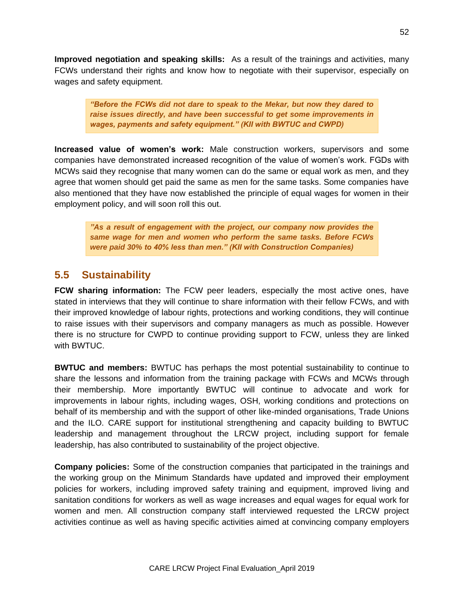**Improved negotiation and speaking skills:** As a result of the trainings and activities, many FCWs understand their rights and know how to negotiate with their supervisor, especially on wages and safety equipment.

*"Before the FCWs did not dare to speak to the Mekar, but now they dared to raise issues directly, and have been successful to get some improvements in wages, payments and safety equipment." (KII with BWTUC and CWPD)*

**Increased value of women's work:** Male construction workers, supervisors and some companies have demonstrated increased recognition of the value of women's work. FGDs with MCWs said they recognise that many women can do the same or equal work as men, and they agree that women should get paid the same as men for the same tasks. Some companies have also mentioned that they have now established the principle of equal wages for women in their employment policy, and will soon roll this out.

*"As a result of engagement with the project, our company now provides the same wage for men and women who perform the same tasks. Before FCWs were paid 30% to 40% less than men." (KII with Construction Companies)*

## **5.5 Sustainability**

**FCW sharing information:** The FCW peer leaders, especially the most active ones, have stated in interviews that they will continue to share information with their fellow FCWs, and with their improved knowledge of labour rights, protections and working conditions, they will continue to raise issues with their supervisors and company managers as much as possible. However there is no structure for CWPD to continue providing support to FCW, unless they are linked with BWTUC.

**BWTUC and members:** BWTUC has perhaps the most potential sustainability to continue to share the lessons and information from the training package with FCWs and MCWs through their membership. More importantly BWTUC will continue to advocate and work for improvements in labour rights, including wages, OSH, working conditions and protections on behalf of its membership and with the support of other like-minded organisations, Trade Unions and the ILO. CARE support for institutional strengthening and capacity building to BWTUC leadership and management throughout the LRCW project, including support for female leadership, has also contributed to sustainability of the project objective.

**Company policies:** Some of the construction companies that participated in the trainings and the working group on the Minimum Standards have updated and improved their employment policies for workers, including improved safety training and equipment, improved living and sanitation conditions for workers as well as wage increases and equal wages for equal work for women and men. All construction company staff interviewed requested the LRCW project activities continue as well as having specific activities aimed at convincing company employers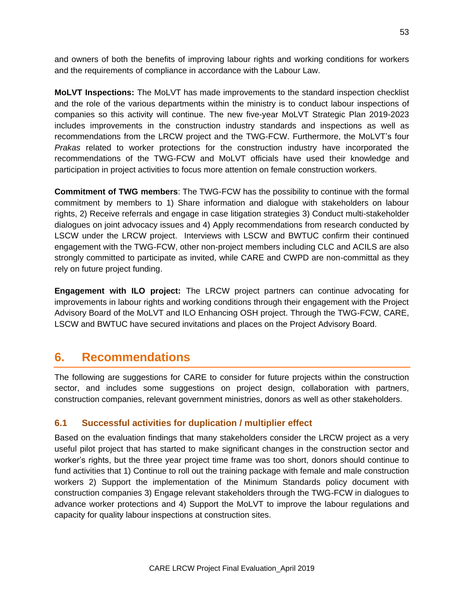and owners of both the benefits of improving labour rights and working conditions for workers and the requirements of compliance in accordance with the Labour Law.

**MoLVT Inspections:** The MoLVT has made improvements to the standard inspection checklist and the role of the various departments within the ministry is to conduct labour inspections of companies so this activity will continue. The new five-year MoLVT Strategic Plan 2019-2023 includes improvements in the construction industry standards and inspections as well as recommendations from the LRCW project and the TWG-FCW. Furthermore, the MoLVT's four *Prakas* related to worker protections for the construction industry have incorporated the recommendations of the TWG-FCW and MoLVT officials have used their knowledge and participation in project activities to focus more attention on female construction workers.

**Commitment of TWG members**: The TWG-FCW has the possibility to continue with the formal commitment by members to 1) Share information and dialogue with stakeholders on labour rights, 2) Receive referrals and engage in case litigation strategies 3) Conduct multi-stakeholder dialogues on joint advocacy issues and 4) Apply recommendations from research conducted by LSCW under the LRCW project. Interviews with LSCW and BWTUC confirm their continued engagement with the TWG-FCW, other non-project members including CLC and ACILS are also strongly committed to participate as invited, while CARE and CWPD are non-committal as they rely on future project funding.

**Engagement with ILO project:** The LRCW project partners can continue advocating for improvements in labour rights and working conditions through their engagement with the Project Advisory Board of the MoLVT and ILO Enhancing OSH project. Through the TWG-FCW, CARE, LSCW and BWTUC have secured invitations and places on the Project Advisory Board.

# **6. Recommendations**

The following are suggestions for CARE to consider for future projects within the construction sector, and includes some suggestions on project design, collaboration with partners, construction companies, relevant government ministries, donors as well as other stakeholders.

### **6.1 Successful activities for duplication / multiplier effect**

Based on the evaluation findings that many stakeholders consider the LRCW project as a very useful pilot project that has started to make significant changes in the construction sector and worker's rights, but the three year project time frame was too short, donors should continue to fund activities that 1) Continue to roll out the training package with female and male construction workers 2) Support the implementation of the Minimum Standards policy document with construction companies 3) Engage relevant stakeholders through the TWG-FCW in dialogues to advance worker protections and 4) Support the MoLVT to improve the labour regulations and capacity for quality labour inspections at construction sites.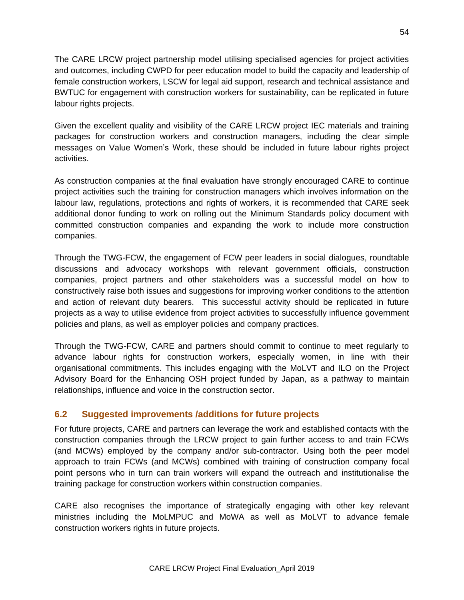The CARE LRCW project partnership model utilising specialised agencies for project activities and outcomes, including CWPD for peer education model to build the capacity and leadership of female construction workers, LSCW for legal aid support, research and technical assistance and BWTUC for engagement with construction workers for sustainability, can be replicated in future labour rights projects.

Given the excellent quality and visibility of the CARE LRCW project IEC materials and training packages for construction workers and construction managers, including the clear simple messages on Value Women's Work, these should be included in future labour rights project activities.

As construction companies at the final evaluation have strongly encouraged CARE to continue project activities such the training for construction managers which involves information on the labour law, regulations, protections and rights of workers, it is recommended that CARE seek additional donor funding to work on rolling out the Minimum Standards policy document with committed construction companies and expanding the work to include more construction companies.

Through the TWG-FCW, the engagement of FCW peer leaders in social dialogues, roundtable discussions and advocacy workshops with relevant government officials, construction companies, project partners and other stakeholders was a successful model on how to constructively raise both issues and suggestions for improving worker conditions to the attention and action of relevant duty bearers. This successful activity should be replicated in future projects as a way to utilise evidence from project activities to successfully influence government policies and plans, as well as employer policies and company practices.

Through the TWG-FCW, CARE and partners should commit to continue to meet regularly to advance labour rights for construction workers, especially women, in line with their organisational commitments. This includes engaging with the MoLVT and ILO on the Project Advisory Board for the Enhancing OSH project funded by Japan, as a pathway to maintain relationships, influence and voice in the construction sector.

### **6.2 Suggested improvements /additions for future projects**

For future projects, CARE and partners can leverage the work and established contacts with the construction companies through the LRCW project to gain further access to and train FCWs (and MCWs) employed by the company and/or sub-contractor. Using both the peer model approach to train FCWs (and MCWs) combined with training of construction company focal point persons who in turn can train workers will expand the outreach and institutionalise the training package for construction workers within construction companies.

CARE also recognises the importance of strategically engaging with other key relevant ministries including the MoLMPUC and MoWA as well as MoLVT to advance female construction workers rights in future projects.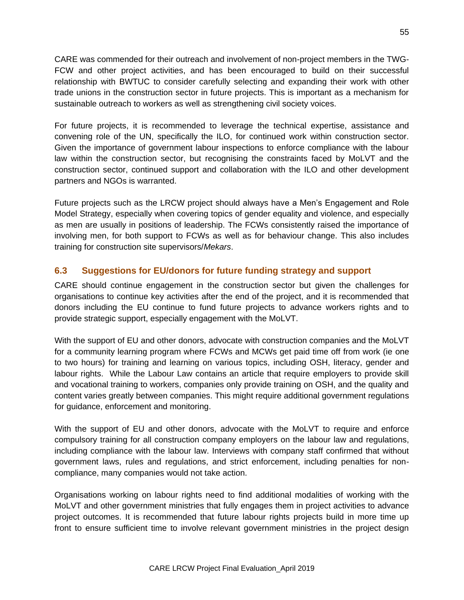CARE was commended for their outreach and involvement of non-project members in the TWG-FCW and other project activities, and has been encouraged to build on their successful relationship with BWTUC to consider carefully selecting and expanding their work with other trade unions in the construction sector in future projects. This is important as a mechanism for sustainable outreach to workers as well as strengthening civil society voices.

For future projects, it is recommended to leverage the technical expertise, assistance and convening role of the UN, specifically the ILO, for continued work within construction sector. Given the importance of government labour inspections to enforce compliance with the labour law within the construction sector, but recognising the constraints faced by MoLVT and the construction sector, continued support and collaboration with the ILO and other development partners and NGOs is warranted.

Future projects such as the LRCW project should always have a Men's Engagement and Role Model Strategy, especially when covering topics of gender equality and violence, and especially as men are usually in positions of leadership. The FCWs consistently raised the importance of involving men, for both support to FCWs as well as for behaviour change. This also includes training for construction site supervisors/*Mekars*.

### **6.3 Suggestions for EU/donors for future funding strategy and support**

CARE should continue engagement in the construction sector but given the challenges for organisations to continue key activities after the end of the project, and it is recommended that donors including the EU continue to fund future projects to advance workers rights and to provide strategic support, especially engagement with the MoLVT.

With the support of EU and other donors, advocate with construction companies and the MoLVT for a community learning program where FCWs and MCWs get paid time off from work (ie one to two hours) for training and learning on various topics, including OSH, literacy, gender and labour rights. While the Labour Law contains an article that require employers to provide skill and vocational training to workers, companies only provide training on OSH, and the quality and content varies greatly between companies. This might require additional government regulations for guidance, enforcement and monitoring.

With the support of EU and other donors, advocate with the MoLVT to require and enforce compulsory training for all construction company employers on the labour law and regulations, including compliance with the labour law. Interviews with company staff confirmed that without government laws, rules and regulations, and strict enforcement, including penalties for noncompliance, many companies would not take action.

Organisations working on labour rights need to find additional modalities of working with the MoLVT and other government ministries that fully engages them in project activities to advance project outcomes. It is recommended that future labour rights projects build in more time up front to ensure sufficient time to involve relevant government ministries in the project design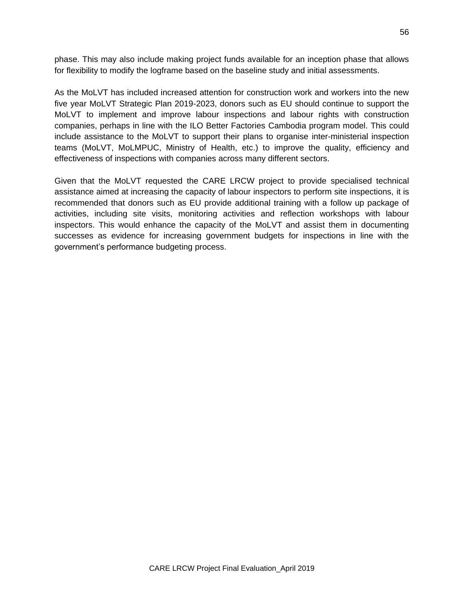phase. This may also include making project funds available for an inception phase that allows for flexibility to modify the logframe based on the baseline study and initial assessments.

As the MoLVT has included increased attention for construction work and workers into the new five year MoLVT Strategic Plan 2019-2023, donors such as EU should continue to support the MoLVT to implement and improve labour inspections and labour rights with construction companies, perhaps in line with the ILO Better Factories Cambodia program model. This could include assistance to the MoLVT to support their plans to organise inter-ministerial inspection teams (MoLVT, MoLMPUC, Ministry of Health, etc.) to improve the quality, efficiency and effectiveness of inspections with companies across many different sectors.

Given that the MoLVT requested the CARE LRCW project to provide specialised technical assistance aimed at increasing the capacity of labour inspectors to perform site inspections, it is recommended that donors such as EU provide additional training with a follow up package of activities, including site visits, monitoring activities and reflection workshops with labour inspectors. This would enhance the capacity of the MoLVT and assist them in documenting successes as evidence for increasing government budgets for inspections in line with the government's performance budgeting process.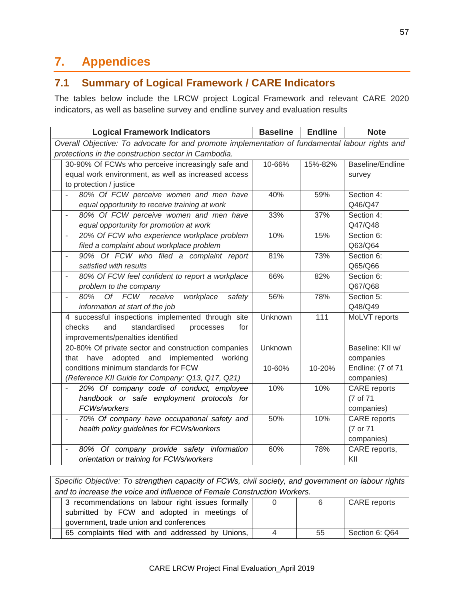# **7. Appendices**

# **7.1 Summary of Logical Framework / CARE Indicators**

The tables below include the LRCW project Logical Framework and relevant CARE 2020 indicators, as well as baseline survey and endline survey and evaluation results

| <b>Logical Framework Indicators</b>                                                            | <b>Baseline</b> | <b>Endline</b> | <b>Note</b>         |  |  |
|------------------------------------------------------------------------------------------------|-----------------|----------------|---------------------|--|--|
| Overall Objective: To advocate for and promote implementation of fundamental labour rights and |                 |                |                     |  |  |
| protections in the construction sector in Cambodia.                                            |                 |                |                     |  |  |
| 30-90% Of FCWs who perceive increasingly safe and                                              | 10-66%          | 15%-82%        | Baseline/Endline    |  |  |
| equal work environment, as well as increased access                                            |                 |                | survey              |  |  |
| to protection / justice                                                                        |                 |                |                     |  |  |
| 80% Of FCW perceive women and men have                                                         | 40%             | 59%            | Section 4:          |  |  |
| equal opportunity to receive training at work                                                  |                 |                | Q46/Q47             |  |  |
| 80% Of FCW perceive women and men have<br>L,                                                   | 33%             | 37%            | Section 4:          |  |  |
| equal opportunity for promotion at work                                                        |                 |                | Q47/Q48             |  |  |
| 20% Of FCW who experience workplace problem<br>$\overline{a}$                                  | 10%             | 15%            | Section 6:          |  |  |
| filed a complaint about workplace problem                                                      |                 |                | Q63/Q64             |  |  |
| 90% Of FCW who filed a complaint report<br>L,                                                  | 81%             | 73%            | Section 6:          |  |  |
| satisfied with results                                                                         |                 |                | Q65/Q66             |  |  |
| 80% Of FCW feel confident to report a workplace<br>÷,                                          | 66%             | 82%            | Section 6:          |  |  |
| problem to the company                                                                         |                 |                | Q67/Q68             |  |  |
| 80%<br>Of FCW receive<br>workplace<br>safety<br>L,                                             | 56%             | 78%            | Section 5:          |  |  |
| information at start of the job                                                                |                 |                | Q48/Q49             |  |  |
| 4 successful inspections implemented through site                                              | Unknown         | 111            | MoLVT reports       |  |  |
| standardised<br>checks<br>and<br>for<br>processes                                              |                 |                |                     |  |  |
| improvements/penalties identified                                                              |                 |                |                     |  |  |
| 20-80% Of private sector and construction companies                                            | Unknown         |                | Baseline: KII w/    |  |  |
| implemented<br>have<br>adopted and<br>working<br>that                                          |                 |                | companies           |  |  |
| conditions minimum standards for FCW                                                           | 10-60%          | 10-20%         | Endline: (7 of 71   |  |  |
| (Reference KII Guide for Company: Q13, Q17, Q21)                                               |                 |                | companies)          |  |  |
| 20% Of company code of conduct, employee<br>L,                                                 | 10%             | 10%            | <b>CARE</b> reports |  |  |
| handbook or safe employment protocols for                                                      |                 |                | (7 of 71            |  |  |
| FCWs/workers                                                                                   |                 |                | companies)          |  |  |
| 70% Of company have occupational safety and<br>$\overline{\phantom{m}}$                        | 50%             | 10%            | CARE reports        |  |  |
| health policy guidelines for FCWs/workers                                                      |                 |                | (7 or 71            |  |  |
|                                                                                                |                 |                | companies)          |  |  |
| 80% Of company provide safety information<br>÷,                                                | 60%             | 78%            | CARE reports,       |  |  |
| orientation or training for FCWs/workers                                                       |                 |                | KII                 |  |  |

| Specific Objective: To strengthen capacity of FCWs, civil society, and government on labour rights |   |    |                     |  |  |
|----------------------------------------------------------------------------------------------------|---|----|---------------------|--|--|
| and to increase the voice and influence of Female Construction Workers.                            |   |    |                     |  |  |
| 3 recommendations on labour right issues formally                                                  |   | 6  | <b>CARE</b> reports |  |  |
| submitted by FCW and adopted in meetings of                                                        |   |    |                     |  |  |
| government, trade union and conferences                                                            |   |    |                     |  |  |
| 65 complaints filed with and addressed by Unions,                                                  | 4 | 55 | Section 6: Q64      |  |  |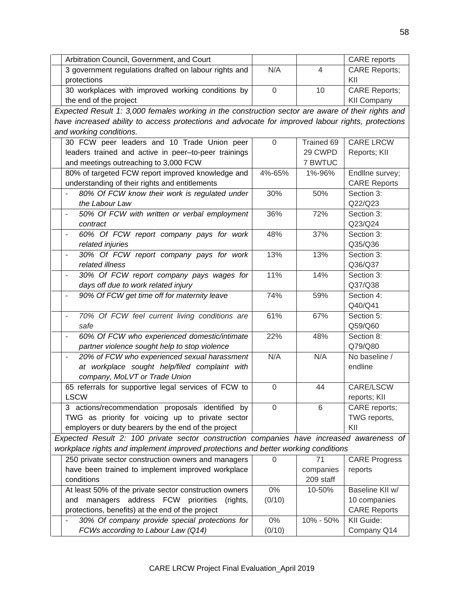| Arbitration Council, Government, and Court                                                           |                |            | CARE reports          |
|------------------------------------------------------------------------------------------------------|----------------|------------|-----------------------|
| 3 government regulations drafted on labour rights and                                                | N/A            | 4          | <b>CARE Reports;</b>  |
| protections                                                                                          |                |            | KII                   |
| 30 workplaces with improved working conditions by                                                    | $\mathbf 0$    | 10         | <b>CARE Reports;</b>  |
| the end of the project                                                                               |                |            | <b>KII Company</b>    |
| Expected Result 1: 3,000 females working in the construction sector are aware of their rights and    |                |            |                       |
| have increased ability to access protections and advocate for improved labour rights, protections    |                |            |                       |
| and working conditions.                                                                              |                |            |                       |
| 30 FCW peer leaders and 10 Trade Union peer                                                          | $\mathbf 0$    | Trained 69 | <b>CARE LRCW</b>      |
| leaders trained and active in peer-to-peer trainings                                                 |                | 29 CWPD    | Reports; KII          |
| and meetings outreaching to 3,000 FCW                                                                |                | 7 BWTUC    |                       |
| 80% of targeted FCW report improved knowledge and                                                    | 4%-65%         | 1%-96%     | Endline survey;       |
| understanding of their rights and entitlements                                                       |                |            | <b>CARE Reports</b>   |
| 80% Of FCW know their work is regulated under                                                        | 30%            | 50%        | Section 3:            |
| the Labour Law                                                                                       |                |            | Q22/Q23               |
| 50% Of FCW with written or verbal employment<br>$\overline{\phantom{a}}$                             | 36%            | 72%        | Section 3:            |
| contract                                                                                             |                |            | Q23/Q24               |
| 60% Of FCW report company pays for work<br>$\blacksquare$                                            | 48%            | 37%        | Section 3:            |
| related injuries                                                                                     |                |            | Q35/Q36               |
| 30% Of FCW report company pays for work<br>$\overline{\phantom{a}}$                                  | 13%            | 13%        | Section 3:            |
| related illness                                                                                      | 11%            |            | Q36/Q37               |
| 30% Of FCW report company pays wages for                                                             |                | 14%        | Section 3:            |
| days off due to work related injury<br>90% Of FCW get time off for maternity leave<br>$\blacksquare$ | 74%            | 59%        | Q37/Q38<br>Section 4: |
|                                                                                                      |                |            | Q40/Q41               |
| 70% Of FCW feel current living conditions are<br>$\blacksquare$                                      | 61%            | 67%        | Section 5:            |
| safe                                                                                                 |                |            | Q59/Q60               |
| 60% Of FCW who experienced domestic/intimate<br>$\overline{\phantom{a}}$                             | 22%            | 48%        | Section 8:            |
| partner violence sought help to stop violence                                                        |                |            | Q79/Q80               |
| 20% of FCW who experienced sexual harassment                                                         | N/A            | N/A        | No baseline /         |
| at workplace sought help/filed complaint with                                                        |                |            | endline               |
| company, MoLVT or Trade Union                                                                        |                |            |                       |
| 65 referrals for supportive legal services of FCW to                                                 | $\mathbf 0$    | 44         | CARE/LSCW             |
| <b>LSCW</b>                                                                                          |                |            | reports; KII          |
| 3 actions/recommendation proposals identified by                                                     | $\overline{0}$ | 6          | CARE reports;         |
| TWG as priority for voicing up to private sector                                                     |                |            | TWG reports,          |
| employers or duty bearers by the end of the project                                                  |                |            | KII                   |
| Expected Result 2: 100 private sector construction companies have increased awareness of             |                |            |                       |
| workplace rights and implement improved protections and better working conditions                    |                |            |                       |
| 250 private sector construction owners and managers                                                  | $\Omega$       | 71         | <b>CARE Progress</b>  |
| have been trained to implement improved workplace                                                    |                | companies  | reports               |
| conditions                                                                                           |                | 209 staff  |                       |
| At least 50% of the private sector construction owners                                               | 0%             | 10-50%     | Baseline KII w/       |
| managers address FCW priorities<br>(rights,<br>and                                                   | (0/10)         |            | 10 companies          |
| protections, benefits) at the end of the project                                                     |                |            | <b>CARE Reports</b>   |
| 30% Of company provide special protections for                                                       | 0%             | 10% - 50%  | KII Guide:            |
| FCWs according to Labour Law (Q14)                                                                   | (0/10)         |            | Company Q14           |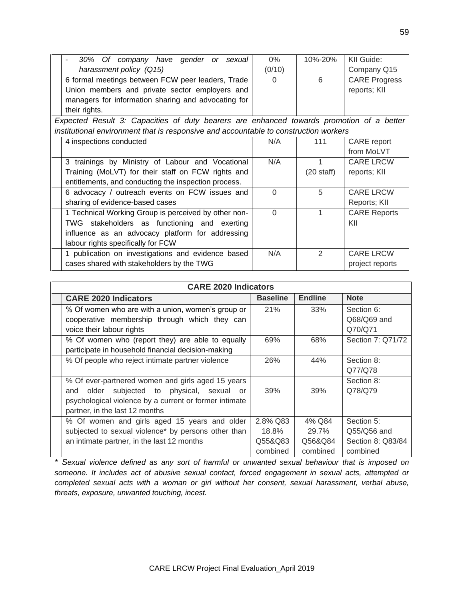| 30% Of company have gender or sexual                                                     | $0\%$    | 10%-20%              | KII Guide:           |
|------------------------------------------------------------------------------------------|----------|----------------------|----------------------|
| harassment policy (Q15)                                                                  | (0/10)   |                      | Company Q15          |
| 6 formal meetings between FCW peer leaders, Trade                                        | $\Omega$ | 6                    | <b>CARE Progress</b> |
| Union members and private sector employers and                                           |          |                      | reports; KII         |
| managers for information sharing and advocating for                                      |          |                      |                      |
| their rights.                                                                            |          |                      |                      |
| Expected Result 3: Capacities of duty bearers are enhanced towards promotion of a better |          |                      |                      |
| institutional environment that is responsive and accountable to construction workers     |          |                      |                      |
| 4 inspections conducted                                                                  | N/A      | 111                  | CARE report          |
|                                                                                          |          |                      | from MoLVT           |
| 3 trainings by Ministry of Labour and Vocational                                         | N/A      |                      | <b>CARE LRCW</b>     |
| Training (MoLVT) for their staff on FCW rights and                                       |          | $(20 \text{ staff})$ | reports; KII         |
| entitlements, and conducting the inspection process.                                     |          |                      |                      |
| 6 advocacy / outreach events on FCW issues and                                           | $\Omega$ | 5                    | <b>CARE LRCW</b>     |
| sharing of evidence-based cases                                                          |          |                      | Reports; KII         |
| 1 Technical Working Group is perceived by other non-                                     | $\Omega$ | 1                    | <b>CARE Reports</b>  |
| TWG stakeholders as functioning and exerting                                             |          |                      | KII                  |
| influence as an advocacy platform for addressing                                         |          |                      |                      |
| labour rights specifically for FCW                                                       |          |                      |                      |
| 1 publication on investigations and evidence based                                       | N/A      | 2                    | <b>CARE LRCW</b>     |
| cases shared with stakeholders by the TWG                                                |          |                      | project reports      |

| <b>CARE 2020 Indicators</b>                            |                 |                |                   |  |  |
|--------------------------------------------------------|-----------------|----------------|-------------------|--|--|
| <b>CARE 2020 Indicators</b>                            | <b>Baseline</b> | <b>Endline</b> | <b>Note</b>       |  |  |
| % Of women who are with a union, women's group or      | 21%             | 33%            | Section 6:        |  |  |
| cooperative membership through which they can          |                 |                | Q68/Q69 and       |  |  |
| voice their labour rights                              |                 |                | Q70/Q71           |  |  |
| % Of women who (report they) are able to equally       | 69%             | 68%            | Section 7: Q71/72 |  |  |
| participate in household financial decision-making     |                 |                |                   |  |  |
| % Of people who reject intimate partner violence       | 26%             | 44%            | Section 8:        |  |  |
|                                                        |                 |                | Q77/Q78           |  |  |
| % Of ever-partnered women and girls aged 15 years      |                 |                | Section 8:        |  |  |
| subjected to physical, sexual<br>older<br>and<br>or    | 39%             | 39%            | Q78/Q79           |  |  |
| psychological violence by a current or former intimate |                 |                |                   |  |  |
| partner, in the last 12 months                         |                 |                |                   |  |  |
| % Of women and girls aged 15 years and older           | 2.8% Q83        | 4% Q84         | Section 5:        |  |  |
| subjected to sexual violence* by persons other than    | 18.8%           | 29.7%          | Q55/Q56 and       |  |  |
| an intimate partner, in the last 12 months             | Q55&Q83         | Q56&Q84        | Section 8: Q83/84 |  |  |
|                                                        | combined        | combined       | combined          |  |  |

*\* Sexual violence defined as any sort of harmful or unwanted sexual behaviour that is imposed on someone. It includes act of abusive sexual contact, forced engagement in sexual acts, attempted or completed sexual acts with a woman or girl without her consent, sexual harassment, verbal abuse, threats, exposure, unwanted touching, incest.*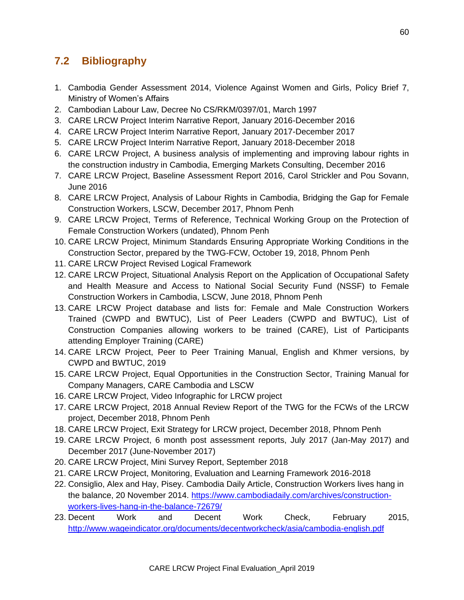# **7.2 Bibliography**

- 1. Cambodia Gender Assessment 2014, Violence Against Women and Girls, Policy Brief 7, Ministry of Women's Affairs
- 2. Cambodian Labour Law, Decree No CS/RKM/0397/01, March 1997
- 3. CARE LRCW Project Interim Narrative Report, January 2016-December 2016
- 4. CARE LRCW Project Interim Narrative Report, January 2017-December 2017
- 5. CARE LRCW Project Interim Narrative Report, January 2018-December 2018
- 6. CARE LRCW Project, A business analysis of implementing and improving labour rights in the construction industry in Cambodia, Emerging Markets Consulting, December 2016
- 7. CARE LRCW Project, Baseline Assessment Report 2016, Carol Strickler and Pou Sovann, June 2016
- 8. CARE LRCW Project, Analysis of Labour Rights in Cambodia, Bridging the Gap for Female Construction Workers, LSCW, December 2017, Phnom Penh
- 9. CARE LRCW Project, Terms of Reference, Technical Working Group on the Protection of Female Construction Workers (undated), Phnom Penh
- 10. CARE LRCW Project, Minimum Standards Ensuring Appropriate Working Conditions in the Construction Sector, prepared by the TWG-FCW, October 19, 2018, Phnom Penh
- 11. CARE LRCW Project Revised Logical Framework
- 12. CARE LRCW Project, Situational Analysis Report on the Application of Occupational Safety and Health Measure and Access to National Social Security Fund (NSSF) to Female Construction Workers in Cambodia, LSCW, June 2018, Phnom Penh
- 13. CARE LRCW Project database and lists for: Female and Male Construction Workers Trained (CWPD and BWTUC), List of Peer Leaders (CWPD and BWTUC), List of Construction Companies allowing workers to be trained (CARE), List of Participants attending Employer Training (CARE)
- 14. CARE LRCW Project, Peer to Peer Training Manual, English and Khmer versions, by CWPD and BWTUC, 2019
- 15. CARE LRCW Project, Equal Opportunities in the Construction Sector, Training Manual for Company Managers, CARE Cambodia and LSCW
- 16. CARE LRCW Project, Video Infographic for LRCW project
- 17. CARE LRCW Project, 2018 Annual Review Report of the TWG for the FCWs of the LRCW project, December 2018, Phnom Penh
- 18. CARE LRCW Project, Exit Strategy for LRCW project, December 2018, Phnom Penh
- 19. CARE LRCW Project, 6 month post assessment reports, July 2017 (Jan-May 2017) and December 2017 (June-November 2017)
- 20. CARE LRCW Project, Mini Survey Report, September 2018
- 21. CARE LRCW Project, Monitoring, Evaluation and Learning Framework 2016-2018
- 22. Consiglio, Alex and Hay, Pisey. Cambodia Daily Article, Construction Workers lives hang in the balance, 20 November 2014. [https://www.cambodiadaily.com/archives/construction](https://www.cambodiadaily.com/archives/construction-workers-lives-hang-in-the-balance-72679/)[workers-lives-hang-in-the-balance-72679/](https://www.cambodiadaily.com/archives/construction-workers-lives-hang-in-the-balance-72679/)
- 23. Decent Work and Decent Work Check, February 2015, <http://www.wageindicator.org/documents/decentworkcheck/asia/cambodia-english.pdf>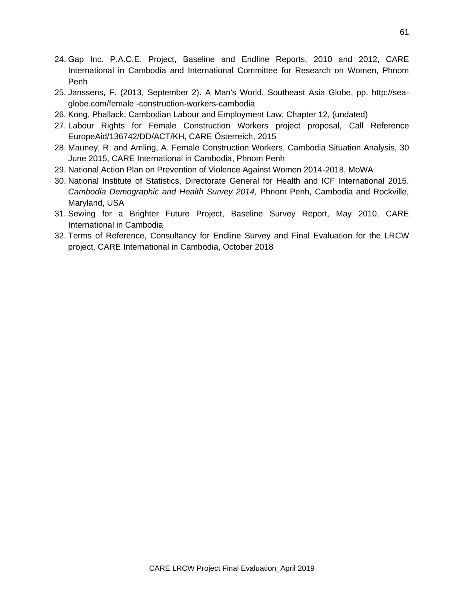- 24. Gap Inc. P.A.C.E. Project, Baseline and Endline Reports, 2010 and 2012, CARE International in Cambodia and International Committee for Research on Women, Phnom Penh
- 25. Janssens, F. (2013, September 2). A Man's World. Southeast Asia Globe, pp. http://seaglobe.com/female -construction-workers-cambodia
- 26. Kong, Phallack, Cambodian Labour and Employment Law, Chapter 12, (undated)
- 27. Labour Rights for Female Construction Workers project proposal, Call Reference EuropeAid/136742/DD/ACT/KH, CARE Österreich, 2015
- 28. Mauney, R. and Amling, A. Female Construction Workers, Cambodia Situation Analysis, 30 June 2015, CARE International in Cambodia, Phnom Penh
- 29. National Action Plan on Prevention of Violence Against Women 2014-2018, MoWA
- 30. National Institute of Statistics, Directorate General for Health and ICF International 2015. *Cambodia Demographic and Health Survey 2014,* Phnom Penh, Cambodia and Rockville, Maryland, USA
- 31. Sewing for a Brighter Future Project, Baseline Survey Report, May 2010, CARE International in Cambodia
- 32. Terms of Reference, Consultancy for Endline Survey and Final Evaluation for the LRCW project, CARE International in Cambodia, October 2018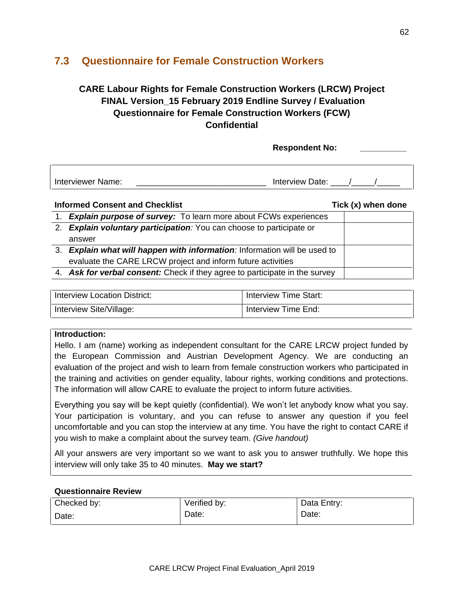# **7.3 Questionnaire for Female Construction Workers**

# **CARE Labour Rights for Female Construction Workers (LRCW) Project FINAL Version\_15 February 2019 Endline Survey / Evaluation Questionnaire for Female Construction Workers (FCW) Confidential**

**Respondent No: \_\_\_\_\_\_\_\_\_\_**

| <b>Interviewer Name:</b> | aerview Lif<br>лате |  |
|--------------------------|---------------------|--|

### **Informed Consent and Checklist** Tick (x) when done

| 1. Explain purpose of survey: To learn more about FCWs experiences          |  |
|-----------------------------------------------------------------------------|--|
| 2. Explain voluntary participation: You can choose to participate or        |  |
| answer                                                                      |  |
| 3. Explain what will happen with information: Information will be used to   |  |
| evaluate the CARE LRCW project and inform future activities                 |  |
| 4. Ask for verbal consent: Check if they agree to participate in the survey |  |

| Interview Location District: | Interview Time Start: |
|------------------------------|-----------------------|
| Interview Site/Village:      | Interview Time End:   |

### **Introduction:**

Hello. I am (name) working as independent consultant for the CARE LRCW project funded by the European Commission and Austrian Development Agency. We are conducting an evaluation of the project and wish to learn from female construction workers who participated in the training and activities on gender equality, labour rights, working conditions and protections. The information will allow CARE to evaluate the project to inform future activities.

Everything you say will be kept quietly (confidential). We won't let anybody know what you say. Your participation is voluntary, and you can refuse to answer any question if you feel uncomfortable and you can stop the interview at any time. You have the right to contact CARE if you wish to make a complaint about the survey team. *(Give handout)*

All your answers are very important so we want to ask you to answer truthfully. We hope this interview will only take 35 to 40 minutes. **May we start?**

### **Questionnaire Review**

| Checked by: | Verified by: | Data Entry: |
|-------------|--------------|-------------|
| Date:       | Date:        | Date:       |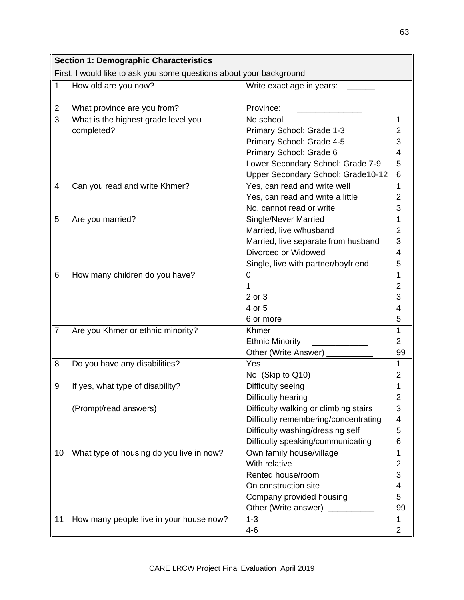| <b>Section 1: Demographic Characteristics</b> |                                                                     |                                       |                |  |  |  |
|-----------------------------------------------|---------------------------------------------------------------------|---------------------------------------|----------------|--|--|--|
|                                               | First, I would like to ask you some questions about your background |                                       |                |  |  |  |
| 1                                             | How old are you now?                                                | Write exact age in years:             |                |  |  |  |
| 2                                             | What province are you from?                                         | Province:                             |                |  |  |  |
| 3                                             | What is the highest grade level you                                 | No school                             |                |  |  |  |
|                                               | completed?                                                          | Primary School: Grade 1-3             | 2              |  |  |  |
|                                               |                                                                     | Primary School: Grade 4-5             | 3              |  |  |  |
|                                               |                                                                     | Primary School: Grade 6               | 4              |  |  |  |
|                                               |                                                                     | Lower Secondary School: Grade 7-9     | 5              |  |  |  |
|                                               |                                                                     | Upper Secondary School: Grade10-12    | 6              |  |  |  |
| 4                                             | Can you read and write Khmer?                                       | Yes, can read and write well          | 1              |  |  |  |
|                                               |                                                                     | Yes, can read and write a little      | 2              |  |  |  |
|                                               |                                                                     | No, cannot read or write              | 3              |  |  |  |
| 5                                             | Are you married?                                                    | <b>Single/Never Married</b>           | 1              |  |  |  |
|                                               |                                                                     | Married, live w/husband               | $\overline{2}$ |  |  |  |
|                                               |                                                                     | Married, live separate from husband   | 3              |  |  |  |
|                                               |                                                                     | Divorced or Widowed                   | 4              |  |  |  |
|                                               |                                                                     | Single, live with partner/boyfriend   | 5              |  |  |  |
| 6                                             | How many children do you have?                                      | 0                                     | 1              |  |  |  |
|                                               |                                                                     |                                       | $\overline{2}$ |  |  |  |
|                                               |                                                                     | 2 or 3                                | 3              |  |  |  |
|                                               |                                                                     | 4 or 5                                | 4              |  |  |  |
|                                               |                                                                     | 6 or more                             | 5              |  |  |  |
| $\overline{7}$                                | Are you Khmer or ethnic minority?                                   | Khmer                                 | 1              |  |  |  |
|                                               |                                                                     | <b>Ethnic Minority</b>                | $\overline{2}$ |  |  |  |
|                                               |                                                                     | Other (Write Answer) _                | 99             |  |  |  |
| 8                                             | Do you have any disabilities?                                       | Yes                                   | 1              |  |  |  |
|                                               |                                                                     | No (Skip to Q10)                      | 2              |  |  |  |
| 9                                             | If yes, what type of disability?                                    | Difficulty seeing                     | 1              |  |  |  |
|                                               |                                                                     | Difficulty hearing                    | 2              |  |  |  |
|                                               | (Prompt/read answers)                                               | Difficulty walking or climbing stairs | 3              |  |  |  |
|                                               |                                                                     | Difficulty remembering/concentrating  | 4              |  |  |  |
|                                               |                                                                     | Difficulty washing/dressing self      | 5              |  |  |  |
|                                               |                                                                     | Difficulty speaking/communicating     | 6              |  |  |  |
| 10                                            | What type of housing do you live in now?                            | Own family house/village              | 1              |  |  |  |
|                                               |                                                                     | With relative                         | $\overline{2}$ |  |  |  |
|                                               |                                                                     | Rented house/room                     | 3              |  |  |  |
|                                               |                                                                     | On construction site                  | 4              |  |  |  |
|                                               |                                                                     | Company provided housing              | 5              |  |  |  |
|                                               |                                                                     | Other (Write answer)                  | 99             |  |  |  |
| 11                                            | How many people live in your house now?                             | $1 - 3$                               |                |  |  |  |
|                                               |                                                                     | $4 - 6$                               | 2              |  |  |  |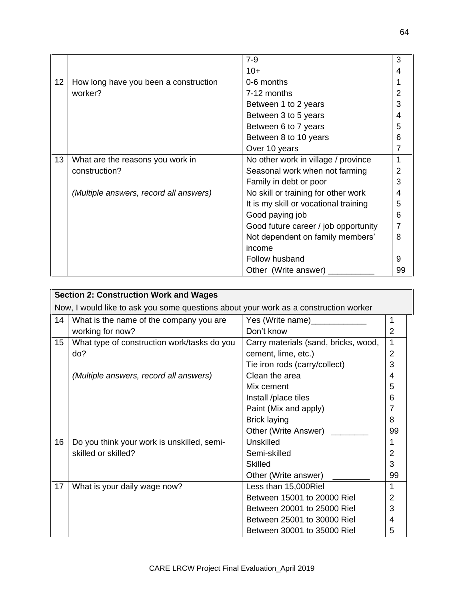|    |                                        | $7-9$                                 | 3  |
|----|----------------------------------------|---------------------------------------|----|
|    |                                        | $10+$                                 | 4  |
| 12 | How long have you been a construction  | 0-6 months                            | 1  |
|    | worker?                                | 7-12 months                           | 2  |
|    |                                        | Between 1 to 2 years                  | 3  |
|    |                                        | Between 3 to 5 years                  | 4  |
|    |                                        | Between 6 to 7 years                  | 5  |
|    |                                        | Between 8 to 10 years                 | 6  |
|    |                                        | Over 10 years                         | 7  |
| 13 | What are the reasons you work in       | No other work in village / province   | 1  |
|    | construction?                          | Seasonal work when not farming        | 2  |
|    |                                        | Family in debt or poor                | 3  |
|    | (Multiple answers, record all answers) | No skill or training for other work   | 4  |
|    |                                        | It is my skill or vocational training | 5  |
|    |                                        | Good paying job                       | 6  |
|    |                                        | Good future career / job opportunity  | 7  |
|    |                                        | Not dependent on family members'      | 8  |
|    |                                        | income                                |    |
|    |                                        | Follow husband                        | 9  |
|    |                                        | Other (Write answer)                  | 99 |

|    | <b>Section 2: Construction Work and Wages</b>                                        |                                      |                |  |  |  |
|----|--------------------------------------------------------------------------------------|--------------------------------------|----------------|--|--|--|
|    | Now, I would like to ask you some questions about your work as a construction worker |                                      |                |  |  |  |
| 14 | What is the name of the company you are                                              | Yes (Write name)                     | 1              |  |  |  |
|    | working for now?                                                                     | Don't know                           | 2              |  |  |  |
| 15 | What type of construction work/tasks do you                                          | Carry materials (sand, bricks, wood, | 1              |  |  |  |
|    | do?                                                                                  | cement, lime, etc.)                  | $\overline{2}$ |  |  |  |
|    |                                                                                      | Tie iron rods (carry/collect)        | 3              |  |  |  |
|    | (Multiple answers, record all answers)                                               | Clean the area                       | 4              |  |  |  |
|    |                                                                                      | Mix cement                           | 5              |  |  |  |
|    |                                                                                      | Install /place tiles                 | 6              |  |  |  |
|    |                                                                                      | Paint (Mix and apply)                | 7              |  |  |  |
|    |                                                                                      | <b>Brick laying</b>                  | 8              |  |  |  |
|    |                                                                                      | Other (Write Answer)                 | 99             |  |  |  |
| 16 | Do you think your work is unskilled, semi-                                           | Unskilled                            |                |  |  |  |
|    | skilled or skilled?                                                                  | Semi-skilled                         | 2              |  |  |  |
|    |                                                                                      | Skilled                              | 3              |  |  |  |
|    |                                                                                      | Other (Write answer)                 | 99             |  |  |  |
| 17 | What is your daily wage now?                                                         | Less than 15,000Riel                 | 1              |  |  |  |
|    |                                                                                      | Between 15001 to 20000 Riel          | $\overline{2}$ |  |  |  |
|    |                                                                                      | Between 20001 to 25000 Riel          | 3              |  |  |  |
|    |                                                                                      | Between 25001 to 30000 Riel          | 4              |  |  |  |
|    |                                                                                      | Between 30001 to 35000 Riel          | 5              |  |  |  |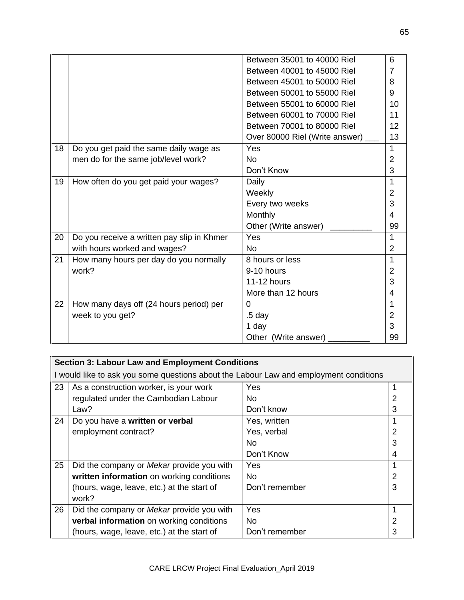|    |                                            | Between 35001 to 40000 Riel    | 6              |
|----|--------------------------------------------|--------------------------------|----------------|
|    |                                            | Between 40001 to 45000 Riel    | 7              |
|    |                                            | Between 45001 to 50000 Riel    | 8              |
|    |                                            | Between 50001 to 55000 Riel    | 9              |
|    |                                            | Between 55001 to 60000 Riel    | 10             |
|    |                                            | Between 60001 to 70000 Riel    | 11             |
|    |                                            | Between 70001 to 80000 Riel    | 12             |
|    |                                            | Over 80000 Riel (Write answer) | 13             |
| 18 | Do you get paid the same daily wage as     | Yes                            | 1              |
|    | men do for the same job/level work?        | N <sub>o</sub>                 | $\overline{2}$ |
|    |                                            | Don't Know                     | 3              |
| 19 | How often do you get paid your wages?      | Daily                          | 1              |
|    |                                            | Weekly                         | 2              |
|    |                                            | Every two weeks                | 3              |
|    |                                            | Monthly                        | 4              |
|    |                                            | Other (Write answer)           | 99             |
| 20 | Do you receive a written pay slip in Khmer | Yes                            | 1              |
|    | with hours worked and wages?               | N <sub>o</sub>                 | $\overline{2}$ |
| 21 | How many hours per day do you normally     | 8 hours or less                | 1              |
|    | work?                                      | 9-10 hours                     | $\overline{2}$ |
|    |                                            | <b>11-12 hours</b>             | 3              |
|    |                                            | More than 12 hours             | 4              |
| 22 | How many days off (24 hours period) per    | $\Omega$                       | 1              |
|    | week to you get?                           | .5 day                         | $\overline{2}$ |
|    |                                            | 1 day                          | 3              |
|    |                                            | Other (Write answer)           | 99             |

|    | <b>Section 3: Labour Law and Employment Conditions</b>                                |                |   |  |  |
|----|---------------------------------------------------------------------------------------|----------------|---|--|--|
|    | I would like to ask you some questions about the Labour Law and employment conditions |                |   |  |  |
| 23 | As a construction worker, is your work                                                | Yes            |   |  |  |
|    | regulated under the Cambodian Labour                                                  | No.            |   |  |  |
|    | Law?                                                                                  | Don't know     | З |  |  |
| 24 | Do you have a written or verbal                                                       | Yes, written   |   |  |  |
|    | employment contract?                                                                  | Yes, verbal    |   |  |  |
|    |                                                                                       | No.            | 3 |  |  |
|    |                                                                                       | Don't Know     | 4 |  |  |
| 25 | Did the company or <i>Mekar</i> provide you with                                      | Yes            |   |  |  |
|    | written information on working conditions                                             | No.            |   |  |  |
|    | (hours, wage, leave, etc.) at the start of                                            | Don't remember | 3 |  |  |
|    | work?                                                                                 |                |   |  |  |
| 26 | Did the company or <i>Mekar</i> provide you with                                      | Yes            |   |  |  |
|    | verbal information on working conditions                                              | No.            |   |  |  |
|    | (hours, wage, leave, etc.) at the start of                                            | Don't remember | 3 |  |  |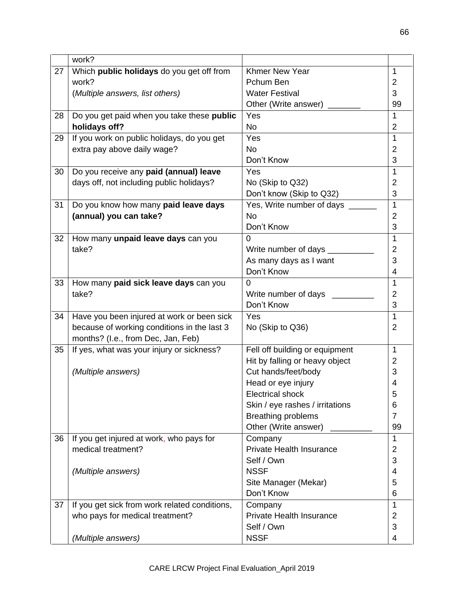|    | work?                                         |                                 |                |
|----|-----------------------------------------------|---------------------------------|----------------|
| 27 | Which public holidays do you get off from     | Khmer New Year                  | 1              |
|    | work?                                         | Pchum Ben                       | 2              |
|    | (Multiple answers, list others)               | <b>Water Festival</b>           | 3              |
|    |                                               | Other (Write answer)            | 99             |
| 28 | Do you get paid when you take these public    | Yes                             | 1              |
|    | holidays off?                                 | <b>No</b>                       | $\overline{2}$ |
| 29 | If you work on public holidays, do you get    | Yes                             | $\mathbf{1}$   |
|    | extra pay above daily wage?                   | <b>No</b>                       | 2              |
|    |                                               | Don't Know                      | 3              |
| 30 | Do you receive any paid (annual) leave        | Yes                             | 1              |
|    | days off, not including public holidays?      | No (Skip to Q32)                | 2              |
|    |                                               | Don't know (Skip to Q32)        | 3              |
| 31 | Do you know how many paid leave days          | Yes, Write number of days __    | $\mathbf{1}$   |
|    | (annual) you can take?                        | No                              | $\overline{2}$ |
|    |                                               | Don't Know                      | 3              |
| 32 | How many unpaid leave days can you            | $\overline{0}$                  | $\mathbf{1}$   |
|    | take?                                         | Write number of days            | $\overline{2}$ |
|    |                                               | As many days as I want          | 3              |
|    |                                               | Don't Know                      | 4              |
| 33 | How many paid sick leave days can you         | $\Omega$                        | $\mathbf{1}$   |
|    | take?                                         | Write number of days _____      | $\overline{2}$ |
|    |                                               | Don't Know                      | 3              |
| 34 | Have you been injured at work or been sick    | Yes                             | $\mathbf{1}$   |
|    | because of working conditions in the last 3   | No (Skip to Q36)                | $\overline{2}$ |
|    | months? (I.e., from Dec, Jan, Feb)            |                                 |                |
| 35 | If yes, what was your injury or sickness?     | Fell off building or equipment  | 1              |
|    |                                               | Hit by falling or heavy object  | 2              |
|    | (Multiple answers)                            | Cut hands/feet/body             | 3              |
|    |                                               | Head or eye injury              | 4              |
|    |                                               | <b>Electrical shock</b>         | C              |
|    |                                               | Skin / eye rashes / irritations | 6              |
|    |                                               | <b>Breathing problems</b>       | $\overline{7}$ |
|    |                                               | Other (Write answer)            | 99             |
| 36 | If you get injured at work, who pays for      | Company                         | 1              |
|    | medical treatment?                            | <b>Private Health Insurance</b> | 2              |
|    |                                               | Self / Own                      | 3              |
|    | (Multiple answers)                            | <b>NSSF</b>                     | 4              |
|    |                                               | Site Manager (Mekar)            | 5              |
|    |                                               | Don't Know                      | 6              |
| 37 | If you get sick from work related conditions, | Company                         | 1              |
|    | who pays for medical treatment?               | <b>Private Health Insurance</b> | 2              |
|    |                                               | Self / Own                      | 3              |
|    | (Multiple answers)                            | <b>NSSF</b>                     | 4              |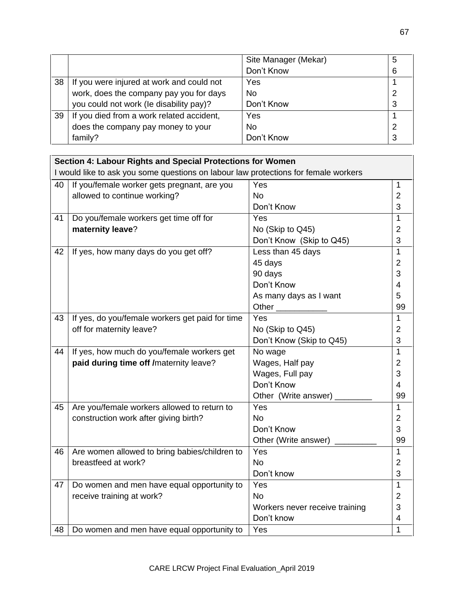|    |                                           | Site Manager (Mekar) | 5 |
|----|-------------------------------------------|----------------------|---|
|    |                                           | Don't Know           | 6 |
| 38 | If you were injured at work and could not | Yes                  |   |
|    | work, does the company pay you for days   | N <sub>0</sub>       |   |
|    | you could not work (le disability pay)?   | Don't Know           |   |
| 39 | If you died from a work related accident, | Yes                  |   |
|    | does the company pay money to your        | N <sub>o</sub>       |   |
|    | family?                                   | Don't Know           |   |

|    | Section 4: Labour Rights and Special Protections for Women                          |                                |                |
|----|-------------------------------------------------------------------------------------|--------------------------------|----------------|
|    | I would like to ask you some questions on labour law protections for female workers |                                |                |
| 40 | If you/female worker gets pregnant, are you                                         | Yes                            | $\mathbf{1}$   |
|    | allowed to continue working?                                                        | <b>No</b>                      | $\overline{2}$ |
|    |                                                                                     | Don't Know                     | 3              |
| 41 | Do you/female workers get time off for                                              | Yes                            | $\mathbf{1}$   |
|    | maternity leave?                                                                    | No (Skip to Q45)               | $\overline{2}$ |
|    |                                                                                     | Don't Know (Skip to Q45)       | 3              |
| 42 | If yes, how many days do you get off?                                               | Less than 45 days              | $\mathbf{1}$   |
|    |                                                                                     | 45 days                        | $\overline{2}$ |
|    |                                                                                     | 90 days                        | 3              |
|    |                                                                                     | Don't Know                     | $\overline{4}$ |
|    |                                                                                     | As many days as I want         | 5              |
|    |                                                                                     | Other $\_\_$                   | 99             |
| 43 | If yes, do you/female workers get paid for time                                     | Yes                            | $\mathbf 1$    |
|    | off for maternity leave?                                                            | No (Skip to Q45)               | $\overline{2}$ |
|    |                                                                                     | Don't Know (Skip to Q45)       | 3              |
| 44 | If yes, how much do you/female workers get                                          | No wage                        | $\overline{1}$ |
|    | paid during time off /maternity leave?                                              | Wages, Half pay                | $\overline{2}$ |
|    |                                                                                     | Wages, Full pay                | 3              |
|    |                                                                                     | Don't Know                     | $\overline{4}$ |
|    |                                                                                     | Other (Write answer)           | 99             |
| 45 | Are you/female workers allowed to return to                                         | Yes                            | $\mathbf 1$    |
|    | construction work after giving birth?                                               | <b>No</b>                      | $\overline{2}$ |
|    |                                                                                     | Don't Know                     | 3              |
|    |                                                                                     | Other (Write answer)           | 99             |
| 46 | Are women allowed to bring babies/children to                                       | Yes                            | 1              |
|    | breastfeed at work?                                                                 | <b>No</b>                      | $\overline{2}$ |
|    |                                                                                     | Don't know                     | 3              |
| 47 | Do women and men have equal opportunity to                                          | Yes                            | $\mathbf{1}$   |
|    | receive training at work?                                                           | <b>No</b>                      | $\overline{2}$ |
|    |                                                                                     | Workers never receive training | 3              |
|    |                                                                                     | Don't know                     | 4              |
| 48 | Do women and men have equal opportunity to                                          | Yes                            | 1              |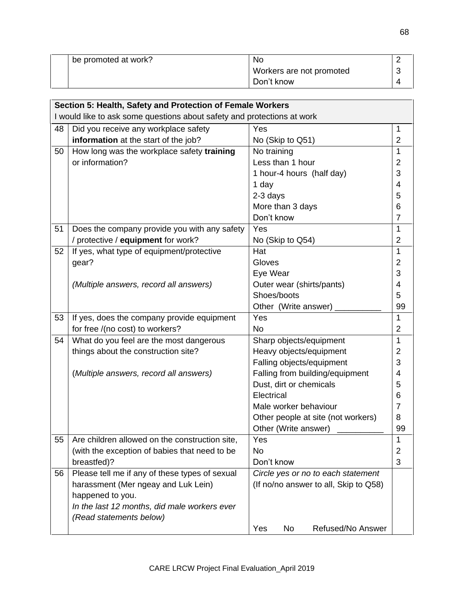| be promoted at work? | No.                      |  |
|----------------------|--------------------------|--|
|                      | Workers are not promoted |  |
|                      | Don't know               |  |

|    | Section 5: Health, Safety and Protection of Female Workers              |                                       |                |
|----|-------------------------------------------------------------------------|---------------------------------------|----------------|
|    | I would like to ask some questions about safety and protections at work |                                       |                |
| 48 | Did you receive any workplace safety                                    | Yes                                   | $\mathbf{1}$   |
|    | information at the start of the job?                                    | No (Skip to Q51)                      | $\overline{2}$ |
| 50 | How long was the workplace safety training                              | No training                           | 1              |
|    | or information?                                                         | Less than 1 hour                      | $\overline{2}$ |
|    |                                                                         | 1 hour-4 hours (half day)             | 3              |
|    |                                                                         | 1 day                                 | $\overline{4}$ |
|    |                                                                         | 2-3 days                              | 5              |
|    |                                                                         | More than 3 days                      | 6              |
|    |                                                                         | Don't know                            | $\overline{7}$ |
| 51 | Does the company provide you with any safety                            | Yes                                   | 1              |
|    | / protective / equipment for work?                                      | No (Skip to Q54)                      | $\overline{2}$ |
| 52 | If yes, what type of equipment/protective                               | Hat                                   | $\mathbf{1}$   |
|    | gear?                                                                   | Gloves                                | $\overline{2}$ |
|    |                                                                         | Eye Wear                              | 3              |
|    | (Multiple answers, record all answers)                                  | Outer wear (shirts/pants)             | $\overline{4}$ |
|    |                                                                         | Shoes/boots                           | 5              |
|    |                                                                         | Other (Write answer)                  | 99             |
| 53 | If yes, does the company provide equipment                              | Yes                                   | 1              |
|    | for free /(no cost) to workers?                                         | <b>No</b>                             | $\overline{2}$ |
| 54 | What do you feel are the most dangerous                                 | Sharp objects/equipment               | $\mathbf{1}$   |
|    | things about the construction site?                                     | Heavy objects/equipment               | 2              |
|    |                                                                         | Falling objects/equipment             | 3              |
|    | (Multiple answers, record all answers)                                  | Falling from building/equipment       | 4              |
|    |                                                                         | Dust, dirt or chemicals               | 5              |
|    |                                                                         | Electrical                            | 6              |
|    |                                                                         | Male worker behaviour                 | 7              |
|    |                                                                         | Other people at site (not workers)    | 8              |
|    |                                                                         | Other (Write answer)                  | 99             |
| 55 | Are children allowed on the construction site,                          | Yes                                   | 1              |
|    | (with the exception of babies that need to be                           | No                                    | $\overline{2}$ |
|    | breastfed)?                                                             | Don't know                            | 3              |
| 56 | Please tell me if any of these types of sexual                          | Circle yes or no to each statement    |                |
|    | harassment (Mer ngeay and Luk Lein)                                     | (If no/no answer to all, Skip to Q58) |                |
|    | happened to you.                                                        |                                       |                |
|    | In the last 12 months, did male workers ever                            |                                       |                |
|    | (Read statements below)                                                 |                                       |                |
|    |                                                                         | Refused/No Answer<br>No<br>Yes        |                |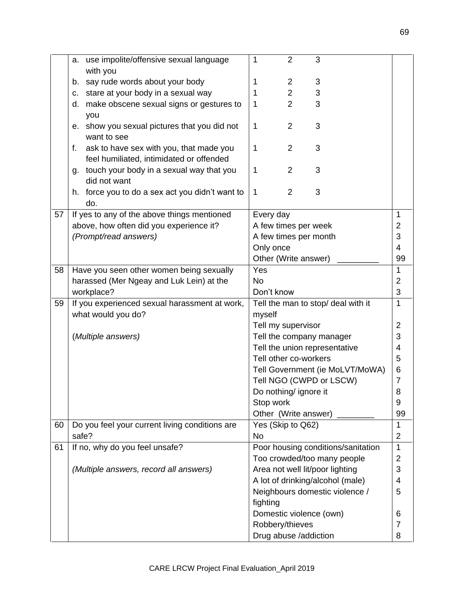|    | a. use impolite/offensive sexual language       | 1          | $\overline{2}$        | 3                                  |                     |
|----|-------------------------------------------------|------------|-----------------------|------------------------------------|---------------------|
|    | with you                                        |            |                       |                                    |                     |
|    | say rude words about your body<br>b.            | 1          | $\overline{2}$        | 3                                  |                     |
|    | stare at your body in a sexual way<br>C.        | 1          | $\overline{2}$        | 3                                  |                     |
|    | make obscene sexual signs or gestures to<br>d.  | 1          | $\overline{2}$        | 3                                  |                     |
|    | you                                             |            |                       |                                    |                     |
|    | show you sexual pictures that you did not<br>е. | 1          | $\overline{2}$        | 3                                  |                     |
|    | want to see                                     |            |                       |                                    |                     |
|    | ask to have sex with you, that made you<br>f.   | 1          | $\overline{2}$        | 3                                  |                     |
|    | feel humiliated, intimidated or offended        |            |                       |                                    |                     |
|    | g. touch your body in a sexual way that you     | 1          | 2                     | 3                                  |                     |
|    | did not want                                    |            |                       |                                    |                     |
|    | h. force you to do a sex act you didn't want to | 1          | 2                     | 3                                  |                     |
|    | do.                                             |            |                       |                                    |                     |
| 57 | If yes to any of the above things mentioned     | Every day  |                       |                                    | $\mathbf{1}$        |
|    | above, how often did you experience it?         |            |                       | A few times per week               | 2                   |
|    | (Prompt/read answers)                           |            |                       | A few times per month              | 3                   |
|    |                                                 | Only once  |                       |                                    | $\overline{4}$      |
|    |                                                 |            | Other (Write answer)  |                                    | 99                  |
| 58 | Have you seen other women being sexually        | Yes        |                       |                                    | $\mathbf{1}$        |
|    | harassed (Mer Ngeay and Luk Lein) at the        | <b>No</b>  |                       |                                    | $\overline{2}$      |
|    | workplace?                                      | Don't know |                       |                                    | 3                   |
| 59 | If you experienced sexual harassment at work,   |            |                       | Tell the man to stop/ deal with it | $\mathbf{1}$        |
|    | what would you do?                              | myself     |                       |                                    |                     |
|    |                                                 |            | Tell my supervisor    |                                    | $\overline{2}$      |
|    | (Multiple answers)                              |            |                       | Tell the company manager           | 3                   |
|    |                                                 |            |                       | Tell the union representative      | $\overline{4}$      |
|    |                                                 |            | Tell other co-workers |                                    | 5                   |
|    |                                                 |            |                       | Tell Government (ie MoLVT/MoWA)    | 6<br>$\overline{7}$ |
|    |                                                 |            |                       | Tell NGO (CWPD or LSCW)            |                     |
|    |                                                 | Stop work  | Do nothing/ ignore it |                                    | 8<br>9              |
|    |                                                 |            | Other (Write answer)  |                                    | 99                  |
| 60 | Do you feel your current living conditions are  |            | Yes (Skip to Q62)     |                                    | 1                   |
|    | safe?                                           | <b>No</b>  |                       |                                    | 2                   |
| 61 | If no, why do you feel unsafe?                  |            |                       | Poor housing conditions/sanitation | $\mathbf{1}$        |
|    |                                                 |            |                       | Too crowded/too many people        | $\overline{2}$      |
|    | (Multiple answers, record all answers)          |            |                       | Area not well lit/poor lighting    | 3                   |
|    |                                                 |            |                       | A lot of drinking/alcohol (male)   | 4                   |
|    |                                                 |            |                       | Neighbours domestic violence /     | 5                   |
|    |                                                 | fighting   |                       |                                    |                     |
|    |                                                 |            |                       | Domestic violence (own)            | 6                   |
|    |                                                 |            |                       |                                    |                     |
|    |                                                 |            | Robbery/thieves       |                                    | $\overline{7}$      |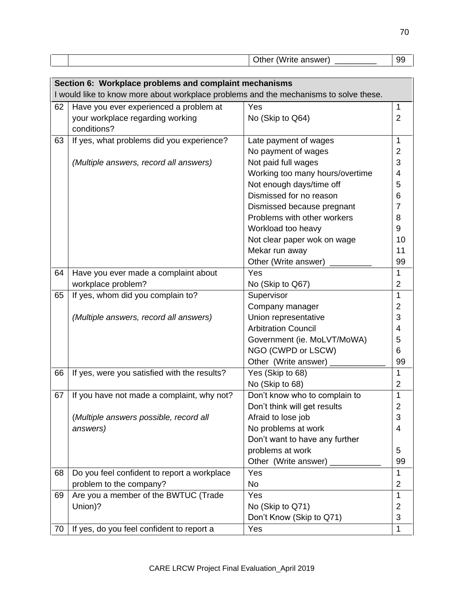|                                                        |                                                                                       | Other (Write answer)            | 99                  |  |  |  |
|--------------------------------------------------------|---------------------------------------------------------------------------------------|---------------------------------|---------------------|--|--|--|
|                                                        |                                                                                       |                                 |                     |  |  |  |
|                                                        |                                                                                       |                                 |                     |  |  |  |
| Section 6: Workplace problems and complaint mechanisms |                                                                                       |                                 |                     |  |  |  |
|                                                        | I would like to know more about workplace problems and the mechanisms to solve these. |                                 |                     |  |  |  |
| 62                                                     | Have you ever experienced a problem at                                                | Yes                             | $\mathbf{1}$        |  |  |  |
|                                                        | your workplace regarding working                                                      | No (Skip to Q64)                | $\overline{2}$      |  |  |  |
|                                                        | conditions?                                                                           |                                 |                     |  |  |  |
| 63                                                     | If yes, what problems did you experience?                                             | Late payment of wages           | 1                   |  |  |  |
|                                                        |                                                                                       | No payment of wages             | $\overline{2}$      |  |  |  |
|                                                        | (Multiple answers, record all answers)                                                | Not paid full wages             | 3                   |  |  |  |
|                                                        |                                                                                       | Working too many hours/overtime | $\overline{4}$      |  |  |  |
|                                                        |                                                                                       | Not enough days/time off        | 5                   |  |  |  |
|                                                        |                                                                                       | Dismissed for no reason         | 6                   |  |  |  |
|                                                        |                                                                                       | Dismissed because pregnant      | $\overline{7}$      |  |  |  |
|                                                        |                                                                                       | Problems with other workers     | 8                   |  |  |  |
|                                                        |                                                                                       | Workload too heavy              | 9                   |  |  |  |
|                                                        |                                                                                       | Not clear paper wok on wage     | 10                  |  |  |  |
|                                                        |                                                                                       | Mekar run away                  | 11                  |  |  |  |
|                                                        |                                                                                       | Other (Write answer)            | 99                  |  |  |  |
| 64                                                     | Have you ever made a complaint about                                                  | Yes                             | $\mathbf{1}$        |  |  |  |
|                                                        | workplace problem?                                                                    | No (Skip to Q67)                | $\overline{2}$      |  |  |  |
| 65                                                     | If yes, whom did you complain to?                                                     | Supervisor                      | 1                   |  |  |  |
|                                                        |                                                                                       | Company manager                 | $\overline{2}$      |  |  |  |
|                                                        | (Multiple answers, record all answers)                                                | Union representative            | 3                   |  |  |  |
|                                                        |                                                                                       | <b>Arbitration Council</b>      | 4                   |  |  |  |
|                                                        |                                                                                       | Government (ie. MoLVT/MoWA)     | 5                   |  |  |  |
|                                                        |                                                                                       | NGO (CWPD or LSCW)              | 6                   |  |  |  |
|                                                        |                                                                                       | Other (Write answer)            | 99                  |  |  |  |
| 66                                                     | If yes, were you satisfied with the results?                                          | Yes (Skip to 68)                | $\mathbf 1$         |  |  |  |
|                                                        |                                                                                       | No (Skip to 68)                 | $\overline{2}$      |  |  |  |
| 67                                                     |                                                                                       | Don't know who to complain to   |                     |  |  |  |
|                                                        | If you have not made a complaint, why not?                                            | Don't think will get results    | 1<br>$\overline{2}$ |  |  |  |
|                                                        |                                                                                       | Afraid to lose job              | 3                   |  |  |  |
|                                                        | (Multiple answers possible, record all<br>answers)                                    | No problems at work             | 4                   |  |  |  |
|                                                        |                                                                                       |                                 |                     |  |  |  |
|                                                        |                                                                                       | Don't want to have any further  |                     |  |  |  |
|                                                        |                                                                                       | problems at work                | 5                   |  |  |  |
|                                                        |                                                                                       | Other (Write answer)            | 99                  |  |  |  |
| 68                                                     | Do you feel confident to report a workplace                                           | Yes                             | $\mathbf{1}$        |  |  |  |
|                                                        | problem to the company?                                                               | No                              | $\overline{2}$      |  |  |  |
| 69                                                     | Are you a member of the BWTUC (Trade                                                  | Yes                             | $\mathbf 1$         |  |  |  |
|                                                        | Union)?                                                                               | No (Skip to Q71)                | 2                   |  |  |  |
|                                                        |                                                                                       | Don't Know (Skip to Q71)        | 3                   |  |  |  |
| 70                                                     | If yes, do you feel confident to report a                                             | Yes                             | 1                   |  |  |  |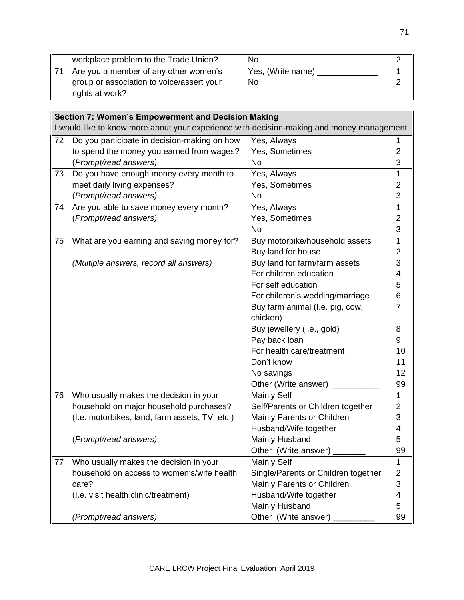| workplace problem to the Trade Union?     | No.               |  |
|-------------------------------------------|-------------------|--|
| Are you a member of any other women's     | Yes, (Write name) |  |
| group or association to voice/assert your | No                |  |
| rights at work?                           |                   |  |

| <b>Section 7: Women's Empowerment and Decision Making</b>                                 |                                                |                                     |                |  |  |  |  |  |
|-------------------------------------------------------------------------------------------|------------------------------------------------|-------------------------------------|----------------|--|--|--|--|--|
| I would like to know more about your experience with decision-making and money management |                                                |                                     |                |  |  |  |  |  |
| 72                                                                                        | Do you participate in decision-making on how   | Yes, Always                         |                |  |  |  |  |  |
|                                                                                           | to spend the money you earned from wages?      | Yes, Sometimes                      | $\overline{2}$ |  |  |  |  |  |
|                                                                                           | (Prompt/read answers)                          | <b>No</b>                           |                |  |  |  |  |  |
| 73                                                                                        | Do you have enough money every month to        | Yes, Always                         |                |  |  |  |  |  |
|                                                                                           | meet daily living expenses?                    | Yes, Sometimes                      | 2              |  |  |  |  |  |
|                                                                                           | (Prompt/read answers)                          | No                                  | 3              |  |  |  |  |  |
| 74                                                                                        | Are you able to save money every month?        | Yes, Always                         |                |  |  |  |  |  |
|                                                                                           | (Prompt/read answers)                          | Yes, Sometimes                      |                |  |  |  |  |  |
|                                                                                           |                                                | No                                  | 3              |  |  |  |  |  |
| 75                                                                                        | What are you earning and saving money for?     | Buy motorbike/household assets      | $\mathbf{1}$   |  |  |  |  |  |
|                                                                                           |                                                | Buy land for house                  | $\overline{2}$ |  |  |  |  |  |
|                                                                                           | (Multiple answers, record all answers)         | Buy land for farm/farm assets       |                |  |  |  |  |  |
|                                                                                           |                                                | For children education              | $\overline{4}$ |  |  |  |  |  |
|                                                                                           |                                                | For self education                  | 5              |  |  |  |  |  |
|                                                                                           |                                                | For children's wedding/marriage     | 6              |  |  |  |  |  |
|                                                                                           |                                                | Buy farm animal (I.e. pig, cow,     | $\overline{7}$ |  |  |  |  |  |
|                                                                                           |                                                | chicken)                            |                |  |  |  |  |  |
|                                                                                           |                                                | Buy jewellery (i.e., gold)          | 8              |  |  |  |  |  |
|                                                                                           |                                                | Pay back loan                       | 9              |  |  |  |  |  |
|                                                                                           |                                                | For health care/treatment           | 10             |  |  |  |  |  |
|                                                                                           |                                                | Don't know                          | 11             |  |  |  |  |  |
|                                                                                           |                                                | No savings                          | 12             |  |  |  |  |  |
|                                                                                           |                                                | Other (Write answer)                | 99             |  |  |  |  |  |
| 76                                                                                        | Who usually makes the decision in your         | <b>Mainly Self</b>                  | $\mathbf{1}$   |  |  |  |  |  |
|                                                                                           | household on major household purchases?        | Self/Parents or Children together   | $\overline{2}$ |  |  |  |  |  |
|                                                                                           | (I.e. motorbikes, land, farm assets, TV, etc.) | Mainly Parents or Children          | 3              |  |  |  |  |  |
|                                                                                           |                                                | Husband/Wife together               | $\overline{4}$ |  |  |  |  |  |
|                                                                                           | (Prompt/read answers)                          | Mainly Husband                      | 5              |  |  |  |  |  |
|                                                                                           |                                                | Other (Write answer) ___            | 99             |  |  |  |  |  |
| 77                                                                                        | Who usually makes the decision in your         | <b>Mainly Self</b>                  | $\mathbf 1$    |  |  |  |  |  |
|                                                                                           | household on access to women's/wife health     | Single/Parents or Children together | $\overline{2}$ |  |  |  |  |  |
|                                                                                           | care?                                          | Mainly Parents or Children          | 3              |  |  |  |  |  |
|                                                                                           | (I.e. visit health clinic/treatment)           | Husband/Wife together               | 4              |  |  |  |  |  |
|                                                                                           |                                                | Mainly Husband                      | 5              |  |  |  |  |  |
|                                                                                           | (Prompt/read answers)                          | Other (Write answer)                | 99             |  |  |  |  |  |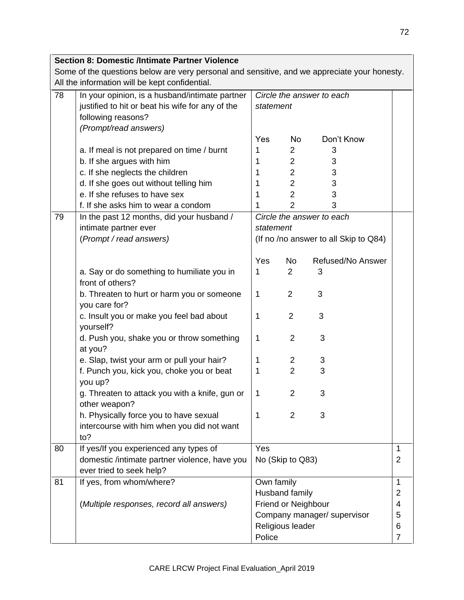|    | <b>Section 8: Domestic /Intimate Partner Violence</b>                                        |                            |                             |                                       |                |
|----|----------------------------------------------------------------------------------------------|----------------------------|-----------------------------|---------------------------------------|----------------|
|    | Some of the questions below are very personal and sensitive, and we appreciate your honesty. |                            |                             |                                       |                |
|    | All the information will be kept confidential.                                               |                            |                             |                                       |                |
| 78 | In your opinion, is a husband/intimate partner                                               |                            |                             | Circle the answer to each             |                |
|    | justified to hit or beat his wife for any of the                                             | statement                  |                             |                                       |                |
|    | following reasons?                                                                           |                            |                             |                                       |                |
|    | (Prompt/read answers)                                                                        |                            |                             |                                       |                |
|    |                                                                                              | Yes                        | No.                         | Don't Know                            |                |
|    | a. If meal is not prepared on time / burnt                                                   | 1                          | 2                           | 3                                     |                |
|    | b. If she argues with him                                                                    | 1                          | $\overline{2}$              | 3                                     |                |
|    | c. If she neglects the children                                                              | 1                          | $\overline{2}$              | 3                                     |                |
|    | d. If she goes out without telling him                                                       | 1                          | $\overline{2}$              | 3                                     |                |
|    | e. If she refuses to have sex                                                                | 1                          | $\overline{2}$              | 3                                     |                |
|    | f. If she asks him to wear a condom                                                          | 1                          | $\overline{2}$              | 3                                     |                |
| 79 | In the past 12 months, did your husband /                                                    | Circle the answer to each  |                             |                                       |                |
|    | intimate partner ever                                                                        | statement                  |                             |                                       |                |
|    | (Prompt / read answers)                                                                      |                            |                             | (If no /no answer to all Skip to Q84) |                |
|    |                                                                                              |                            |                             |                                       |                |
|    |                                                                                              | Yes                        | No                          | Refused/No Answer                     |                |
|    | a. Say or do something to humiliate you in                                                   | 1                          | $\overline{2}$              | 3                                     |                |
|    | front of others?                                                                             |                            |                             |                                       |                |
|    | b. Threaten to hurt or harm you or someone                                                   | $\mathbf{1}$               | $\overline{2}$              | 3                                     |                |
|    | you care for?                                                                                |                            |                             |                                       |                |
|    | c. Insult you or make you feel bad about                                                     | 1                          | $\overline{2}$              | 3                                     |                |
|    | yourself?                                                                                    |                            |                             |                                       |                |
|    | d. Push you, shake you or throw something                                                    | 1                          | $\overline{2}$              | 3                                     |                |
|    | at you?                                                                                      |                            |                             |                                       |                |
|    | e. Slap, twist your arm or pull your hair?                                                   | 1                          | 2                           | 3                                     |                |
|    | f. Punch you, kick you, choke you or beat                                                    | 1                          | $\overline{2}$              | 3                                     |                |
|    | you up?                                                                                      |                            |                             |                                       |                |
|    | g. Threaten to attack you with a knife, gun or                                               | 1                          | $\overline{2}$              | 3                                     |                |
|    | other weapon?                                                                                |                            |                             |                                       |                |
|    | h. Physically force you to have sexual                                                       | 1                          | 2                           | 3                                     |                |
|    | intercourse with him when you did not want                                                   |                            |                             |                                       |                |
|    | to?                                                                                          |                            |                             |                                       |                |
| 80 | If yes/If you experienced any types of                                                       | Yes                        |                             |                                       |                |
|    | domestic /intimate partner violence, have you                                                | No (Skip to Q83)           |                             |                                       | $\overline{2}$ |
|    | ever tried to seek help?                                                                     |                            |                             |                                       |                |
| 81 | If yes, from whom/where?                                                                     | Own family                 |                             |                                       | 1              |
|    |                                                                                              |                            | Husband family              |                                       |                |
|    | (Multiple responses, record all answers)                                                     |                            | <b>Friend or Neighbour</b>  |                                       |                |
|    |                                                                                              |                            | Company manager/ supervisor |                                       |                |
|    |                                                                                              | Religious leader<br>Police |                             |                                       | 6              |
|    |                                                                                              |                            |                             |                                       | $\overline{7}$ |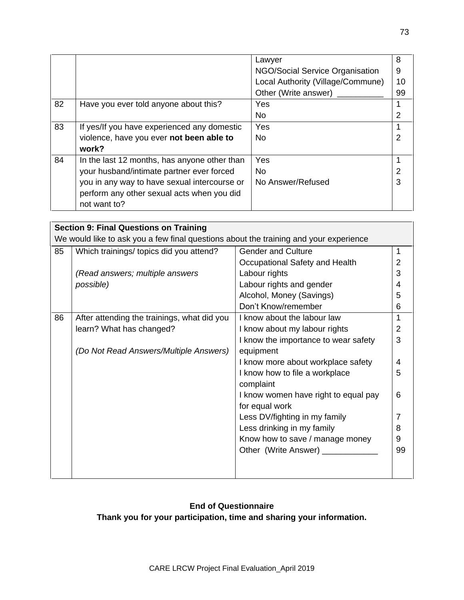|                                              | Lawyer                            | 8  |
|----------------------------------------------|-----------------------------------|----|
|                                              | NGO/Social Service Organisation   | 9  |
|                                              | Local Authority (Village/Commune) | 10 |
|                                              | Other (Write answer)              | 99 |
| Have you ever told anyone about this?        | Yes                               |    |
|                                              | No.                               | 2  |
| If yes/If you have experienced any domestic  | Yes                               |    |
| violence, have you ever not been able to     | No.                               | 2  |
| work?                                        |                                   |    |
| In the last 12 months, has anyone other than | Yes                               |    |
| your husband/intimate partner ever forced    | No.                               | 2  |
| you in any way to have sexual intercourse or | No Answer/Refused                 | 3  |
| perform any other sexual acts when you did   |                                   |    |
| not want to?                                 |                                   |    |
|                                              |                                   |    |

| <b>Section 9: Final Questions on Training</b> |                                                                                       |                                      |                |  |  |
|-----------------------------------------------|---------------------------------------------------------------------------------------|--------------------------------------|----------------|--|--|
|                                               | We would like to ask you a few final questions about the training and your experience |                                      |                |  |  |
| 85                                            | Which trainings/ topics did you attend?                                               | <b>Gender and Culture</b>            | 1              |  |  |
|                                               |                                                                                       | Occupational Safety and Health       | $\overline{2}$ |  |  |
|                                               | (Read answers; multiple answers                                                       | Labour rights                        | 3              |  |  |
|                                               | possible)                                                                             | Labour rights and gender             | 4              |  |  |
|                                               |                                                                                       | Alcohol, Money (Savings)             | 5              |  |  |
|                                               |                                                                                       | Don't Know/remember                  | 6              |  |  |
| 86                                            | After attending the trainings, what did you                                           | I know about the labour law          | 1              |  |  |
|                                               | learn? What has changed?                                                              | I know about my labour rights        | $\overline{2}$ |  |  |
|                                               |                                                                                       | I know the importance to wear safety | 3              |  |  |
|                                               | (Do Not Read Answers/Multiple Answers)                                                | equipment                            |                |  |  |
|                                               |                                                                                       | I know more about workplace safety   | 4              |  |  |
|                                               |                                                                                       | I know how to file a workplace       | 5              |  |  |
|                                               |                                                                                       | complaint                            |                |  |  |
|                                               |                                                                                       | I know women have right to equal pay | 6              |  |  |
|                                               |                                                                                       | for equal work                       |                |  |  |
|                                               |                                                                                       | Less DV/fighting in my family        | 7              |  |  |
|                                               |                                                                                       | Less drinking in my family           | 8              |  |  |
|                                               |                                                                                       | Know how to save / manage money      | 9              |  |  |
|                                               |                                                                                       | Other (Write Answer) ________        | 99             |  |  |
|                                               |                                                                                       |                                      |                |  |  |
|                                               |                                                                                       |                                      |                |  |  |

## **End of Questionnaire**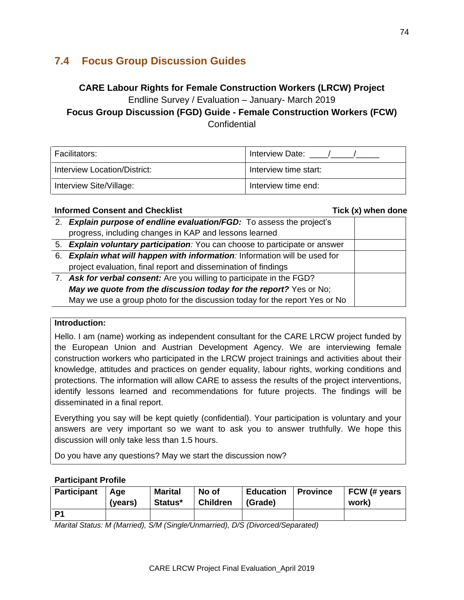## **7.4 Focus Group Discussion Guides**

# **CARE Labour Rights for Female Construction Workers (LRCW) Project**  Endline Survey / Evaluation – January- March 2019

**Focus Group Discussion (FGD) Guide - Female Construction Workers (FCW) Confidential** 

| Facilitators:                | <b>Interview Date:</b> |
|------------------------------|------------------------|
| Interview Location/District: | Interview time start:  |
| Interview Site/Village:      | Interview time end:    |

#### **Informed Consent and Checklist** Tick (x) when done

| 2. Explain purpose of endline evaluation/FGD: To assess the project's       |
|-----------------------------------------------------------------------------|
| progress, including changes in KAP and lessons learned                      |
| 5. Explain voluntary participation: You can choose to participate or answer |
| 6. Explain what will happen with information: Information will be used for  |
| project evaluation, final report and dissemination of findings              |
| 7. Ask for verbal consent: Are you willing to participate in the FGD?       |
| May we quote from the discussion today for the report? Yes or No;           |
| May we use a group photo for the discussion today for the report Yes or No  |

#### **Introduction:**

Hello. I am (name) working as independent consultant for the CARE LRCW project funded by the European Union and Austrian Development Agency. We are interviewing female construction workers who participated in the LRCW project trainings and activities about their knowledge, attitudes and practices on gender equality, labour rights, working conditions and protections. The information will allow CARE to assess the results of the project interventions, identify lessons learned and recommendations for future projects. The findings will be disseminated in a final report.

Everything you say will be kept quietly (confidential). Your participation is voluntary and your answers are very important so we want to ask you to answer truthfully. We hope this discussion will only take less than 1.5 hours.

Do you have any questions? May we start the discussion now?

#### **Participant Profile**

| Participant   Age | (years) | <b>Marital</b><br>Status* | No of<br><b>Children</b> | <b>Education</b><br>(Grade) | <b>Province</b> | FCW (# years<br>work) |
|-------------------|---------|---------------------------|--------------------------|-----------------------------|-----------------|-----------------------|
| P <sub>1</sub>    |         |                           |                          |                             |                 |                       |

*Marital Status: M (Married), S/M (Single/Unmarried), D/S (Divorced/Separated)*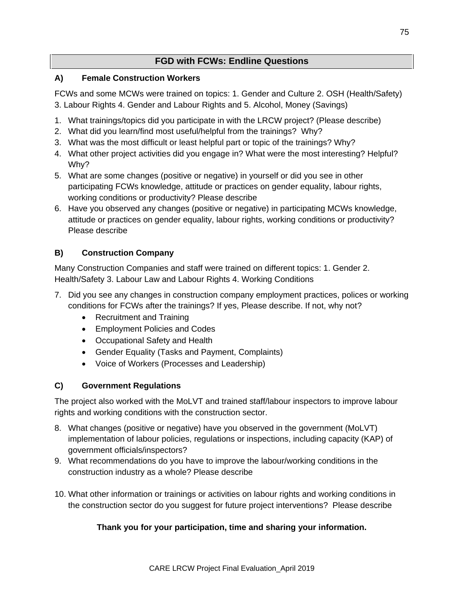## **FGD with FCWs: Endline Questions**

## **A) Female Construction Workers**

FCWs and some MCWs were trained on topics: 1. Gender and Culture 2. OSH (Health/Safety) 3. Labour Rights 4. Gender and Labour Rights and 5. Alcohol, Money (Savings)

- 1. What trainings/topics did you participate in with the LRCW project? (Please describe)
- 2. What did you learn/find most useful/helpful from the trainings? Why?
- 3. What was the most difficult or least helpful part or topic of the trainings? Why?
- 4. What other project activities did you engage in? What were the most interesting? Helpful? Why?
- 5. What are some changes (positive or negative) in yourself or did you see in other participating FCWs knowledge, attitude or practices on gender equality, labour rights, working conditions or productivity? Please describe
- 6. Have you observed any changes (positive or negative) in participating MCWs knowledge, attitude or practices on gender equality, labour rights, working conditions or productivity? Please describe

## **B) Construction Company**

Many Construction Companies and staff were trained on different topics: 1. Gender 2. Health/Safety 3. Labour Law and Labour Rights 4. Working Conditions

- 7. Did you see any changes in construction company employment practices, polices or working conditions for FCWs after the trainings? If yes, Please describe. If not, why not?
	- Recruitment and Training
	- Employment Policies and Codes
	- Occupational Safety and Health
	- Gender Equality (Tasks and Payment, Complaints)
	- Voice of Workers (Processes and Leadership)

## **C) Government Regulations**

The project also worked with the MoLVT and trained staff/labour inspectors to improve labour rights and working conditions with the construction sector.

- 8. What changes (positive or negative) have you observed in the government (MoLVT) implementation of labour policies, regulations or inspections, including capacity (KAP) of government officials/inspectors?
- 9. What recommendations do you have to improve the labour/working conditions in the construction industry as a whole? Please describe
- 10. What other information or trainings or activities on labour rights and working conditions in the construction sector do you suggest for future project interventions? Please describe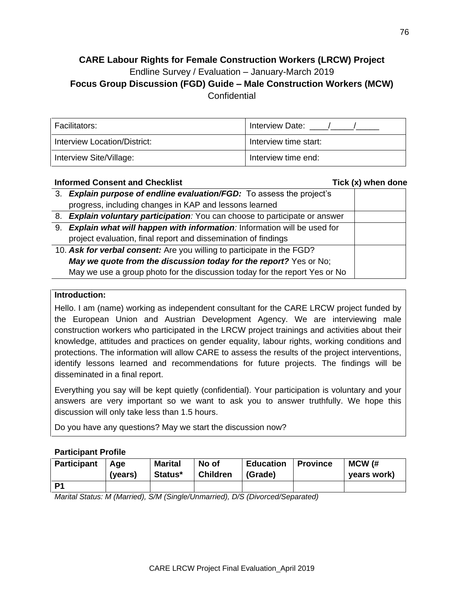## **CARE Labour Rights for Female Construction Workers (LRCW) Project** Endline Survey / Evaluation – January-March 2019 **Focus Group Discussion (FGD) Guide – Male Construction Workers (MCW) Confidential**

| Facilitators:                | <b>Interview Date:</b> |
|------------------------------|------------------------|
| Interview Location/District: | Interview time start:  |
| Interview Site/Village:      | Interview time end:    |

## **Informed Consent and Checklist Conservation Conservation Check (x) when done** 3. *Explain purpose of endline evaluation/FGD:* To assess the project's progress, including changes in KAP and lessons learned 8. *Explain voluntary participation:* You can choose to participate or answer 9. *Explain what will happen with information:* Information will be used for project evaluation, final report and dissemination of findings 10. *Ask for verbal consent:* Are you willing to participate in the FGD? *May we quote from the discussion today for the report?* Yes or No; May we use a group photo for the discussion today for the report Yes or No

#### **Introduction:**

Hello. I am (name) working as independent consultant for the CARE LRCW project funded by the European Union and Austrian Development Agency. We are interviewing male construction workers who participated in the LRCW project trainings and activities about their knowledge, attitudes and practices on gender equality, labour rights, working conditions and protections. The information will allow CARE to assess the results of the project interventions, identify lessons learned and recommendations for future projects. The findings will be disseminated in a final report.

Everything you say will be kept quietly (confidential). Your participation is voluntary and your answers are very important so we want to ask you to answer truthfully. We hope this discussion will only take less than 1.5 hours.

Do you have any questions? May we start the discussion now?

#### **Participant Profile**

| Participant   Age | (vears) | <b>Marital</b><br>Status* | No of<br><b>Children</b> | Education   Province<br>  (Grade) | MCW (#<br>vears work) |
|-------------------|---------|---------------------------|--------------------------|-----------------------------------|-----------------------|
| D1                |         |                           |                          |                                   |                       |

*Marital Status: M (Married), S/M (Single/Unmarried), D/S (Divorced/Separated)*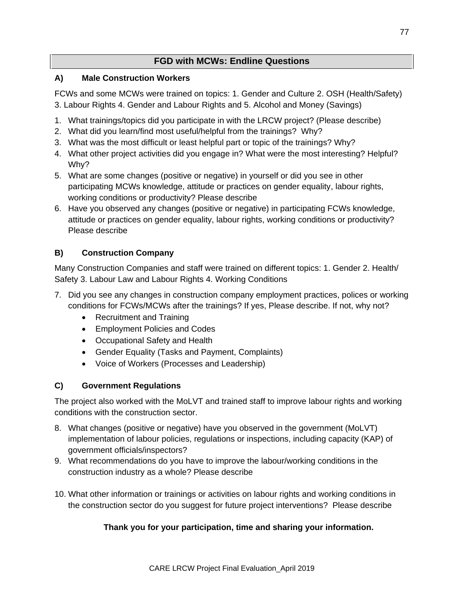## **FGD with MCWs: Endline Questions**

## **A) Male Construction Workers**

FCWs and some MCWs were trained on topics: 1. Gender and Culture 2. OSH (Health/Safety) 3. Labour Rights 4. Gender and Labour Rights and 5. Alcohol and Money (Savings)

- 1. What trainings/topics did you participate in with the LRCW project? (Please describe)
- 2. What did you learn/find most useful/helpful from the trainings? Why?
- 3. What was the most difficult or least helpful part or topic of the trainings? Why?
- 4. What other project activities did you engage in? What were the most interesting? Helpful? Why?
- 5. What are some changes (positive or negative) in yourself or did you see in other participating MCWs knowledge, attitude or practices on gender equality, labour rights, working conditions or productivity? Please describe
- 6. Have you observed any changes (positive or negative) in participating FCWs knowledge, attitude or practices on gender equality, labour rights, working conditions or productivity? Please describe

## **B) Construction Company**

Many Construction Companies and staff were trained on different topics: 1. Gender 2. Health/ Safety 3. Labour Law and Labour Rights 4. Working Conditions

- 7. Did you see any changes in construction company employment practices, polices or working conditions for FCWs/MCWs after the trainings? If yes, Please describe. If not, why not?
	- Recruitment and Training
	- Employment Policies and Codes
	- Occupational Safety and Health
	- Gender Equality (Tasks and Payment, Complaints)
	- Voice of Workers (Processes and Leadership)

## **C) Government Regulations**

The project also worked with the MoLVT and trained staff to improve labour rights and working conditions with the construction sector.

- 8. What changes (positive or negative) have you observed in the government (MoLVT) implementation of labour policies, regulations or inspections, including capacity (KAP) of government officials/inspectors?
- 9. What recommendations do you have to improve the labour/working conditions in the construction industry as a whole? Please describe
- 10. What other information or trainings or activities on labour rights and working conditions in the construction sector do you suggest for future project interventions? Please describe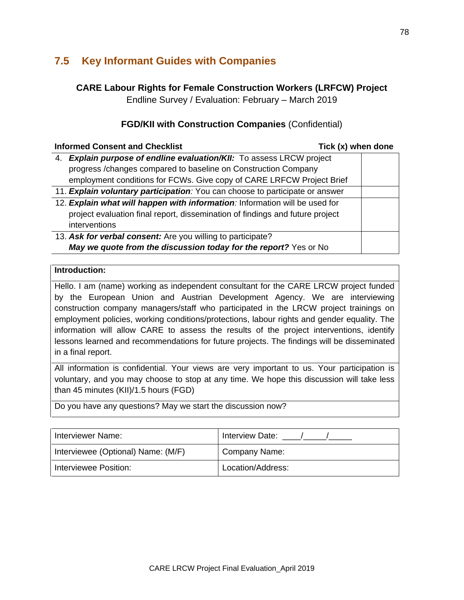## **7.5 Key Informant Guides with Companies**

## **CARE Labour Rights for Female Construction Workers (LRFCW) Project**

Endline Survey / Evaluation: February – March 2019

## **FGD/KII with Construction Companies** (Confidential)

| <b>Informed Consent and Checklist</b>                                         | Tick (x) when done |
|-------------------------------------------------------------------------------|--------------------|
| 4. Explain purpose of endline evaluation/KII: To assess LRCW project          |                    |
| progress /changes compared to baseline on Construction Company                |                    |
| employment conditions for FCWs. Give copy of CARE LRFCW Project Brief         |                    |
| 11. Explain voluntary participation: You can choose to participate or answer  |                    |
| 12. Explain what will happen with information: Information will be used for   |                    |
| project evaluation final report, dissemination of findings and future project |                    |
| interventions                                                                 |                    |
| 13. Ask for verbal consent: Are you willing to participate?                   |                    |
| May we quote from the discussion today for the report? Yes or No              |                    |

#### **Introduction:**

Hello. I am (name) working as independent consultant for the CARE LRCW project funded by the European Union and Austrian Development Agency. We are interviewing construction company managers/staff who participated in the LRCW project trainings on employment policies, working conditions/protections, labour rights and gender equality. The information will allow CARE to assess the results of the project interventions, identify lessons learned and recommendations for future projects. The findings will be disseminated in a final report.

All information is confidential. Your views are very important to us. Your participation is voluntary, and you may choose to stop at any time. We hope this discussion will take less than 45 minutes (KII)/1.5 hours (FGD)

Do you have any questions? May we start the discussion now?

| Interviewer Name:                  | Interview Date:   |  |  |
|------------------------------------|-------------------|--|--|
| Interviewee (Optional) Name: (M/F) | Company Name:     |  |  |
| Interviewee Position:              | Location/Address: |  |  |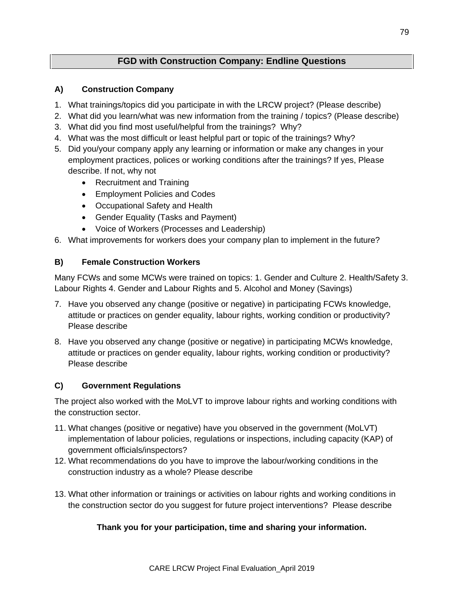## **FGD with Construction Company: Endline Questions**

## **A) Construction Company**

- 1. What trainings/topics did you participate in with the LRCW project? (Please describe)
- 2. What did you learn/what was new information from the training / topics? (Please describe)
- 3. What did you find most useful/helpful from the trainings? Why?
- 4. What was the most difficult or least helpful part or topic of the trainings? Why?
- 5. Did you/your company apply any learning or information or make any changes in your employment practices, polices or working conditions after the trainings? If yes, Please describe. If not, why not
	- Recruitment and Training
	- Employment Policies and Codes
	- Occupational Safety and Health
	- Gender Equality (Tasks and Payment)
	- Voice of Workers (Processes and Leadership)
- 6. What improvements for workers does your company plan to implement in the future?

## **B) Female Construction Workers**

Many FCWs and some MCWs were trained on topics: 1. Gender and Culture 2. Health/Safety 3. Labour Rights 4. Gender and Labour Rights and 5. Alcohol and Money (Savings)

- 7. Have you observed any change (positive or negative) in participating FCWs knowledge, attitude or practices on gender equality, labour rights, working condition or productivity? Please describe
- 8. Have you observed any change (positive or negative) in participating MCWs knowledge, attitude or practices on gender equality, labour rights, working condition or productivity? Please describe

## **C) Government Regulations**

The project also worked with the MoLVT to improve labour rights and working conditions with the construction sector.

- 11. What changes (positive or negative) have you observed in the government (MoLVT) implementation of labour policies, regulations or inspections, including capacity (KAP) of government officials/inspectors?
- 12. What recommendations do you have to improve the labour/working conditions in the construction industry as a whole? Please describe
- 13. What other information or trainings or activities on labour rights and working conditions in the construction sector do you suggest for future project interventions? Please describe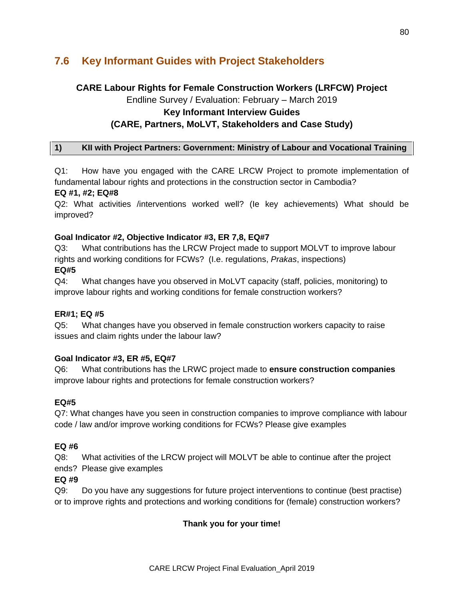## **7.6 Key Informant Guides with Project Stakeholders**

## **CARE Labour Rights for Female Construction Workers (LRFCW) Project**

Endline Survey / Evaluation: February – March 2019

### **Key Informant Interview Guides**

## **(CARE, Partners, MoLVT, Stakeholders and Case Study)**

### **1) KII with Project Partners: Government: Ministry of Labour and Vocational Training**

Q1: How have you engaged with the CARE LRCW Project to promote implementation of fundamental labour rights and protections in the construction sector in Cambodia?

#### **EQ #1, #2; EQ#8**

Q2: What activities /interventions worked well? (Ie key achievements) What should be improved?

### **Goal Indicator #2, Objective Indicator #3, ER 7,8, EQ#7**

Q3: What contributions has the LRCW Project made to support MOLVT to improve labour rights and working conditions for FCWs? (I.e. regulations, *Prakas*, inspections)

### **EQ#5**

Q4: What changes have you observed in MoLVT capacity (staff, policies, monitoring) to improve labour rights and working conditions for female construction workers?

#### **ER#1; EQ #5**

Q5: What changes have you observed in female construction workers capacity to raise issues and claim rights under the labour law?

#### **Goal Indicator #3, ER #5, EQ#7**

Q6: What contributions has the LRWC project made to **ensure construction companies** improve labour rights and protections for female construction workers?

## **EQ#5**

Q7: What changes have you seen in construction companies to improve compliance with labour code / law and/or improve working conditions for FCWs? Please give examples

#### **EQ #6**

Q8: What activities of the LRCW project will MOLVT be able to continue after the project ends? Please give examples

#### **EQ #9**

Q9: Do you have any suggestions for future project interventions to continue (best practise) or to improve rights and protections and working conditions for (female) construction workers?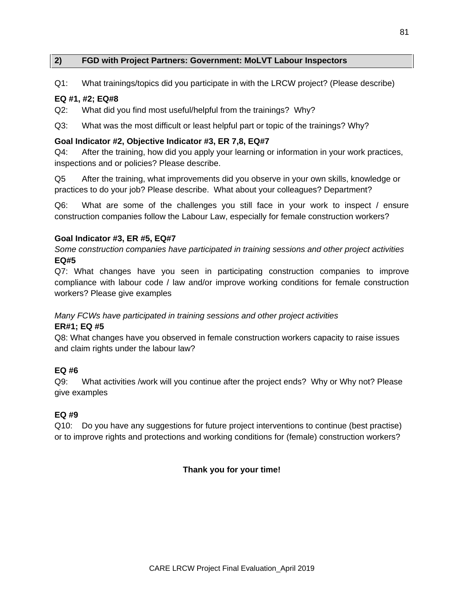#### **2) FGD with Project Partners: Government: MoLVT Labour Inspectors**

Q1: What trainings/topics did you participate in with the LRCW project? (Please describe)

#### **EQ #1, #2; EQ#8**

Q2: What did you find most useful/helpful from the trainings? Why?

Q3: What was the most difficult or least helpful part or topic of the trainings? Why?

#### **Goal Indicator #2, Objective Indicator #3, ER 7,8, EQ#7**

Q4: After the training, how did you apply your learning or information in your work practices, inspections and or policies? Please describe.

Q5 After the training, what improvements did you observe in your own skills, knowledge or practices to do your job? Please describe. What about your colleagues? Department?

Q6: What are some of the challenges you still face in your work to inspect / ensure construction companies follow the Labour Law, especially for female construction workers?

#### **Goal Indicator #3, ER #5, EQ#7**

*Some construction companies have participated in training sessions and other project activities* **EQ#5**

Q7: What changes have you seen in participating construction companies to improve compliance with labour code / law and/or improve working conditions for female construction workers? Please give examples

## *Many FCWs have participated in training sessions and other project activities*

#### **ER#1; EQ #5**

Q8: What changes have you observed in female construction workers capacity to raise issues and claim rights under the labour law?

#### **EQ #6**

Q9: What activities /work will you continue after the project ends? Why or Why not? Please give examples

#### **EQ #9**

Q10: Do you have any suggestions for future project interventions to continue (best practise) or to improve rights and protections and working conditions for (female) construction workers?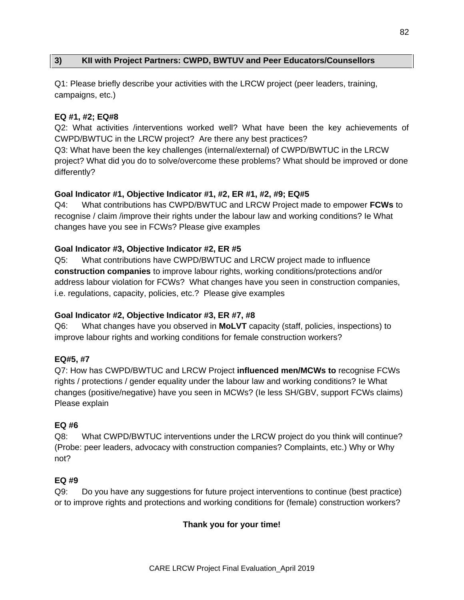### **3) KII with Project Partners: CWPD, BWTUV and Peer Educators/Counsellors**

Q1: Please briefly describe your activities with the LRCW project (peer leaders, training, campaigns, etc.)

#### **EQ #1, #2; EQ#8**

Q2: What activities /interventions worked well? What have been the key achievements of CWPD/BWTUC in the LRCW project? Are there any best practices?

Q3: What have been the key challenges (internal/external) of CWPD/BWTUC in the LRCW project? What did you do to solve/overcome these problems? What should be improved or done differently?

#### **Goal Indicator #1, Objective Indicator #1, #2, ER #1, #2, #9; EQ#5**

Q4: What contributions has CWPD/BWTUC and LRCW Project made to empower **FCWs** to recognise / claim /improve their rights under the labour law and working conditions? Ie What changes have you see in FCWs? Please give examples

#### **Goal Indicator #3, Objective Indicator #2, ER #5**

Q5: What contributions have CWPD/BWTUC and LRCW project made to influence **construction companies** to improve labour rights, working conditions/protections and/or address labour violation for FCWs? What changes have you seen in construction companies, i.e. regulations, capacity, policies, etc.? Please give examples

#### **Goal Indicator #2, Objective Indicator #3, ER #7, #8**

Q6: What changes have you observed in **MoLVT** capacity (staff, policies, inspections) to improve labour rights and working conditions for female construction workers?

#### **EQ#5, #7**

Q7: How has CWPD/BWTUC and LRCW Project **influenced men/MCWs to** recognise FCWs rights / protections / gender equality under the labour law and working conditions? Ie What changes (positive/negative) have you seen in MCWs? (Ie less SH/GBV, support FCWs claims) Please explain

#### **EQ #6**

Q8: What CWPD/BWTUC interventions under the LRCW project do you think will continue? (Probe: peer leaders, advocacy with construction companies? Complaints, etc.) Why or Why not?

#### **EQ #9**

Q9: Do you have any suggestions for future project interventions to continue (best practice) or to improve rights and protections and working conditions for (female) construction workers?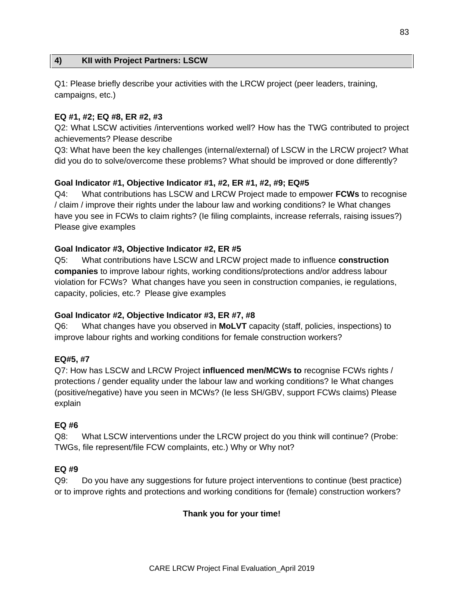#### **4) KII with Project Partners: LSCW**

Q1: Please briefly describe your activities with the LRCW project (peer leaders, training, campaigns, etc.)

#### **EQ #1, #2; EQ #8, ER #2, #3**

Q2: What LSCW activities /interventions worked well? How has the TWG contributed to project achievements? Please describe

Q3: What have been the key challenges (internal/external) of LSCW in the LRCW project? What did you do to solve/overcome these problems? What should be improved or done differently?

### **Goal Indicator #1, Objective Indicator #1, #2, ER #1, #2, #9; EQ#5**

Q4: What contributions has LSCW and LRCW Project made to empower **FCWs** to recognise / claim / improve their rights under the labour law and working conditions? Ie What changes have you see in FCWs to claim rights? (Ie filing complaints, increase referrals, raising issues?) Please give examples

#### **Goal Indicator #3, Objective Indicator #2, ER #5**

Q5: What contributions have LSCW and LRCW project made to influence **construction companies** to improve labour rights, working conditions/protections and/or address labour violation for FCWs? What changes have you seen in construction companies, ie regulations, capacity, policies, etc.? Please give examples

#### **Goal Indicator #2, Objective Indicator #3, ER #7, #8**

Q6: What changes have you observed in **MoLVT** capacity (staff, policies, inspections) to improve labour rights and working conditions for female construction workers?

#### **EQ#5, #7**

Q7: How has LSCW and LRCW Project **influenced men/MCWs to** recognise FCWs rights / protections / gender equality under the labour law and working conditions? Ie What changes (positive/negative) have you seen in MCWs? (Ie less SH/GBV, support FCWs claims) Please explain

#### **EQ #6**

Q8: What LSCW interventions under the LRCW project do you think will continue? (Probe: TWGs, file represent/file FCW complaints, etc.) Why or Why not?

#### **EQ #9**

Q9: Do you have any suggestions for future project interventions to continue (best practice) or to improve rights and protections and working conditions for (female) construction workers?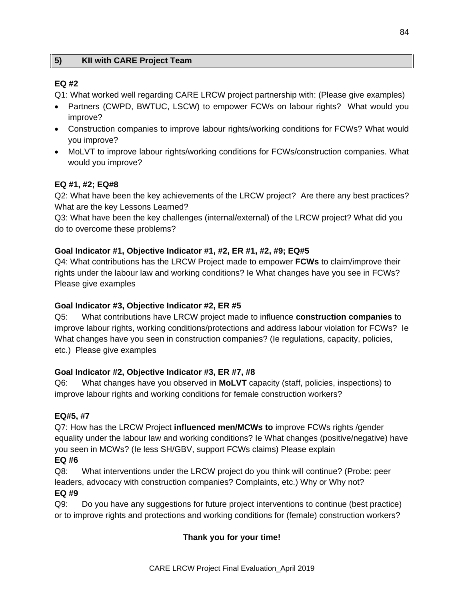### **5) KII with CARE Project Team**

### **EQ #2**

Q1: What worked well regarding CARE LRCW project partnership with: (Please give examples)

- Partners (CWPD, BWTUC, LSCW) to empower FCWs on labour rights? What would you improve?
- Construction companies to improve labour rights/working conditions for FCWs? What would you improve?
- MoLVT to improve labour rights/working conditions for FCWs/construction companies. What would you improve?

## **EQ #1, #2; EQ#8**

Q2: What have been the key achievements of the LRCW project? Are there any best practices? What are the key Lessons Learned?

Q3: What have been the key challenges (internal/external) of the LRCW project? What did you do to overcome these problems?

### **Goal Indicator #1, Objective Indicator #1, #2, ER #1, #2, #9; EQ#5**

Q4: What contributions has the LRCW Project made to empower **FCWs** to claim/improve their rights under the labour law and working conditions? Ie What changes have you see in FCWs? Please give examples

#### **Goal Indicator #3, Objective Indicator #2, ER #5**

Q5: What contributions have LRCW project made to influence **construction companies** to improve labour rights, working conditions/protections and address labour violation for FCWs? Ie What changes have you seen in construction companies? (Ie regulations, capacity, policies, etc.) Please give examples

#### **Goal Indicator #2, Objective Indicator #3, ER #7, #8**

Q6: What changes have you observed in **MoLVT** capacity (staff, policies, inspections) to improve labour rights and working conditions for female construction workers?

#### **EQ#5, #7**

Q7: How has the LRCW Project **influenced men/MCWs to** improve FCWs rights /gender equality under the labour law and working conditions? Ie What changes (positive/negative) have you seen in MCWs? (Ie less SH/GBV, support FCWs claims) Please explain

### **EQ #6**

Q8: What interventions under the LRCW project do you think will continue? (Probe: peer leaders, advocacy with construction companies? Complaints, etc.) Why or Why not? **EQ #9**

## Q9: Do you have any suggestions for future project interventions to continue (best practice) or to improve rights and protections and working conditions for (female) construction workers?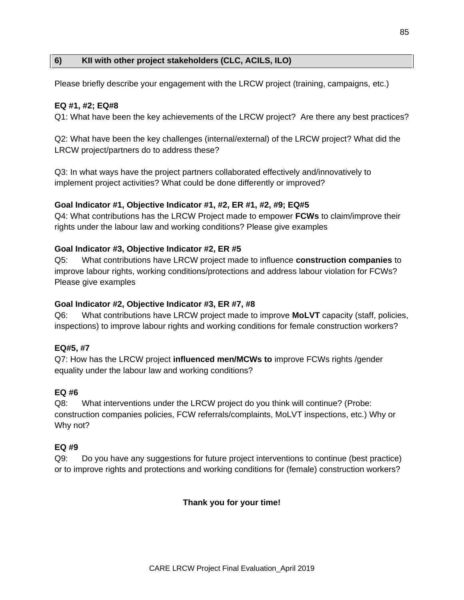### **6) KII with other project stakeholders (CLC, ACILS, ILO)**

Please briefly describe your engagement with the LRCW project (training, campaigns, etc.)

#### **EQ #1, #2; EQ#8**

Q1: What have been the key achievements of the LRCW project? Are there any best practices?

Q2: What have been the key challenges (internal/external) of the LRCW project? What did the LRCW project/partners do to address these?

Q3: In what ways have the project partners collaborated effectively and/innovatively to implement project activities? What could be done differently or improved?

#### **Goal Indicator #1, Objective Indicator #1, #2, ER #1, #2, #9; EQ#5**

Q4: What contributions has the LRCW Project made to empower **FCWs** to claim/improve their rights under the labour law and working conditions? Please give examples

#### **Goal Indicator #3, Objective Indicator #2, ER #5**

Q5: What contributions have LRCW project made to influence **construction companies** to improve labour rights, working conditions/protections and address labour violation for FCWs? Please give examples

#### **Goal Indicator #2, Objective Indicator #3, ER #7, #8**

Q6: What contributions have LRCW project made to improve **MoLVT** capacity (staff, policies, inspections) to improve labour rights and working conditions for female construction workers?

#### **EQ#5, #7**

Q7: How has the LRCW project **influenced men/MCWs to** improve FCWs rights /gender equality under the labour law and working conditions?

#### **EQ #6**

Q8: What interventions under the LRCW project do you think will continue? (Probe: construction companies policies, FCW referrals/complaints, MoLVT inspections, etc.) Why or Why not?

#### **EQ #9**

Q9: Do you have any suggestions for future project interventions to continue (best practice) or to improve rights and protections and working conditions for (female) construction workers?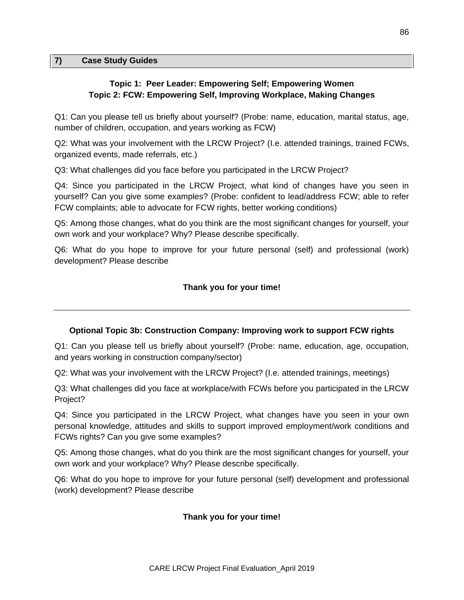#### **7) Case Study Guides**

#### **Topic 1: Peer Leader: Empowering Self; Empowering Women Topic 2: FCW: Empowering Self, Improving Workplace, Making Changes**

Q1: Can you please tell us briefly about yourself? (Probe: name, education, marital status, age, number of children, occupation, and years working as FCW)

Q2: What was your involvement with the LRCW Project? (I.e. attended trainings, trained FCWs, organized events, made referrals, etc.)

Q3: What challenges did you face before you participated in the LRCW Project?

Q4: Since you participated in the LRCW Project, what kind of changes have you seen in yourself? Can you give some examples? (Probe: confident to lead/address FCW; able to refer FCW complaints; able to advocate for FCW rights, better working conditions)

Q5: Among those changes, what do you think are the most significant changes for yourself, your own work and your workplace? Why? Please describe specifically.

Q6: What do you hope to improve for your future personal (self) and professional (work) development? Please describe

### **Thank you for your time!**

#### **Optional Topic 3b: Construction Company: Improving work to support FCW rights**

Q1: Can you please tell us briefly about yourself? (Probe: name, education, age, occupation, and years working in construction company/sector)

Q2: What was your involvement with the LRCW Project? (I.e. attended trainings, meetings)

Q3: What challenges did you face at workplace/with FCWs before you participated in the LRCW Project?

Q4: Since you participated in the LRCW Project, what changes have you seen in your own personal knowledge, attitudes and skills to support improved employment/work conditions and FCWs rights? Can you give some examples?

Q5: Among those changes, what do you think are the most significant changes for yourself, your own work and your workplace? Why? Please describe specifically.

Q6: What do you hope to improve for your future personal (self) development and professional (work) development? Please describe